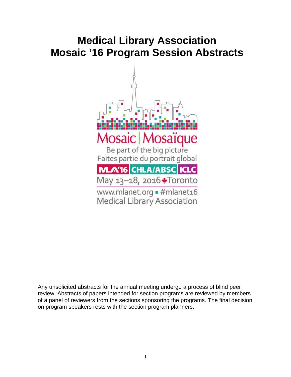# **Medical Library Association Mosaic '16 Program Session Abstracts**



Any unsolicited abstracts for the annual meeting undergo a process of blind peer review. Abstracts of papers intended for section programs are reviewed by members of a panel of reviewers from the sections sponsoring the programs. The final decision on program speakers rests with the section program planners.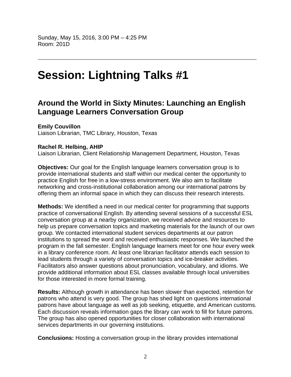# **Session: Lightning Talks #1**

# **Around the World in Sixty Minutes: Launching an English Language Learners Conversation Group**

**Emily Couvillon** 

Liaison Librarian, TMC Library, Houston, Texas

# **Rachel R. Helbing, AHIP**

Liaison Librarian, Client Relationship Management Department, Houston, Texas

**Objectives:** Our goal for the English language learners conversation group is to provide international students and staff within our medical center the opportunity to practice English for free in a low-stress environment. We also aim to facilitate networking and cross-institutional collaboration among our international patrons by offering them an informal space in which they can discuss their research interests.

**Methods:** We identified a need in our medical center for programming that supports practice of conversational English. By attending several sessions of a successful ESL conversation group at a nearby organization, we received advice and resources to help us prepare conversation topics and marketing materials for the launch of our own group. We contacted international student services departments at our patron institutions to spread the word and received enthusiastic responses. We launched the program in the fall semester. English language learners meet for one hour every week in a library conference room. At least one librarian facilitator attends each session to lead students through a variety of conversation topics and ice-breaker activities. Facilitators also answer questions about pronunciation, vocabulary, and idioms. We provide additional information about ESL classes available through local universities for those interested in more formal training.

**Results:** Although growth in attendance has been slower than expected, retention for patrons who attend is very good. The group has shed light on questions international patrons have about language as well as job seeking, etiquette, and American customs. Each discussion reveals information gaps the library can work to fill for future patrons. The group has also opened opportunities for closer collaboration with international services departments in our governing institutions.

**Conclusions:** Hosting a conversation group in the library provides international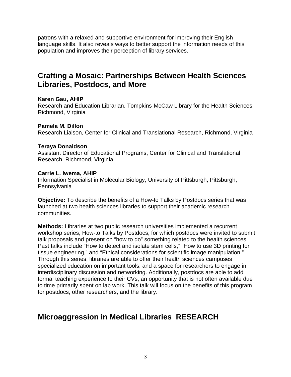patrons with a relaxed and supportive environment for improving their English language skills. It also reveals ways to better support the information needs of this population and improves their perception of library services.

# **Crafting a Mosaic: Partnerships Between Health Sciences Libraries, Postdocs, and More**

### **Karen Gau, AHIP**

Research and Education Librarian, Tompkins-McCaw Library for the Health Sciences, Richmond, Virginia

## **Pamela M. Dillon**

Research Liaison, Center for Clinical and Translational Research, Richmond, Virginia

## **Teraya Donaldson**

Assistant Director of Educational Programs, Center for Clinical and Translational Research, Richmond, Virginia

### **Carrie L. Iwema, AHIP**

Information Specialist in Molecular Biology, University of Pittsburgh, Pittsburgh, Pennsylvania

**Objective:** To describe the benefits of a How-to Talks by Postdocs series that was launched at two health sciences libraries to support their academic research communities.

**Methods:** Libraries at two public research universities implemented a recurrent workshop series, How-to Talks by Postdocs, for which postdocs were invited to submit talk proposals and present on "how to do" something related to the health sciences. Past talks include "How to detect and isolate stem cells," "How to use 3D printing for tissue engineering," and "Ethical considerations for scientific image manipulation." Through this series, libraries are able to offer their health sciences campuses specialized education on important tools, and a space for researchers to engage in interdisciplinary discussion and networking. Additionally, postdocs are able to add formal teaching experience to their CVs, an opportunity that is not often available due to time primarily spent on lab work. This talk will focus on the benefits of this program for postdocs, other researchers, and the library.

# **Microaggression in Medical Libraries RESEARCH**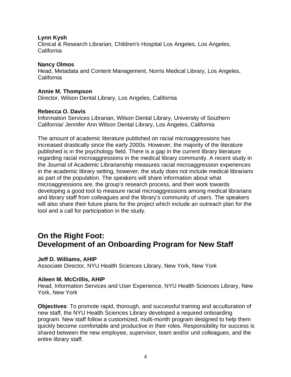### **Lynn Kysh**

Clinical & Research Librarian, Children's Hospital Los Angeles, Los Angeles, California

### **Nancy Olmos**

Head, Metadata and Content Management, Norris Medical Library, Los Angeles, California

### **Annie M. Thompson**

Director, Wilson Dental Library, Los Angeles, California

## **Rebecca O. Davis**

Information Services Librarian, Wilson Dental Library, University of Southern California/ Jennifer Ann Wilson Dental Library, Los Angeles, California

The amount of academic literature published on racial microaggressions has increased drastically since the early 2000s. However, the majority of the literature published is in the psychology field. There is a gap in the current library literature regarding racial microaggressions in the medical library community. A recent study in the Journal of Academic Librarianship measures racial microaggression experiences in the academic library setting, however, the study does not include medical librarians as part of the population. The speakers will share information about what microaggressions are, the group's research process, and their work towards developing a good tool to measure racial microaggressions among medical librarians and library staff from colleagues and the library's community of users. The speakers will also share their future plans for the project which include an outreach plan for the tool and a call for participation in the study.

# **On the Right Foot: Development of an Onboarding Program for New Staff**

### **Jeff D. Williams, AHIP**

Associate Director, NYU Health Sciences Library, New York, New York

# **Aileen M. McCrillis, AHIP**

Head, Information Services and User Experience, NYU Health Sciences Library, New York, New York

**Objectives**: To promote rapid, thorough, and successful training and acculturation of new staff, the NYU Health Sciences Library developed a required onboarding program. New staff follow a customized, multi-month program designed to help them quickly become comfortable and productive in their roles. Responsibility for success is shared between the new employee, supervisor, team and/or unit colleagues, and the entire library staff.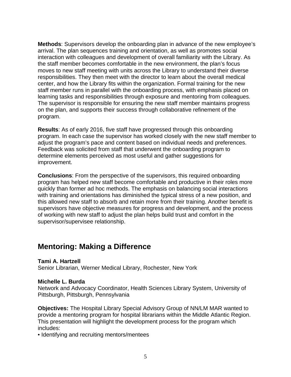**Methods**: Supervisors develop the onboarding plan in advance of the new employee's arrival. The plan sequences training and orientation, as well as promotes social interaction with colleagues and development of overall familiarity with the Library. As the staff member becomes comfortable in the new environment, the plan's focus moves to new staff meeting with units across the Library to understand their diverse responsibilities. They then meet with the director to learn about the overall medical center, and how the Library fits within the organization. Formal training for the new staff member runs in parallel with the onboarding process, with emphasis placed on learning tasks and responsibilities through exposure and mentoring from colleagues. The supervisor is responsible for ensuring the new staff member maintains progress on the plan, and supports their success through collaborative refinement of the program.

**Results**: As of early 2016, five staff have progressed through this onboarding program. In each case the supervisor has worked closely with the new staff member to adjust the program's pace and content based on individual needs and preferences. Feedback was solicited from staff that underwent the onboarding program to determine elements perceived as most useful and gather suggestions for improvement.

**Conclusions**: From the perspective of the supervisors, this required onboarding program has helped new staff become comfortable and productive in their roles more quickly than former ad hoc methods. The emphasis on balancing social interactions with training and orientations has diminished the typical stress of a new position, and this allowed new staff to absorb and retain more from their training. Another benefit is supervisors have objective measures for progress and development, and the process of working with new staff to adjust the plan helps build trust and comfort in the supervisor/supervisee relationship.

# **Mentoring: Making a Difference**

# **Tami A. Hartzell**

Senior Librarian, Werner Medical Library, Rochester, New York

### **Michelle L. Burda**

Network and Advocacy Coordinator, Health Sciences Library System, University of Pittsburgh, Pittsburgh, Pennsylvania

**Objectives:** The Hospital Library Special Advisory Group of NN/LM MAR wanted to provide a mentoring program for hospital librarians within the Middle Atlantic Region. This presentation will highlight the development process for the program which includes:

• Identifying and recruiting mentors/mentees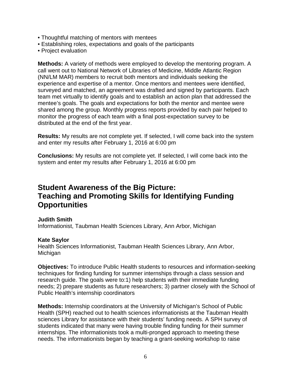- Thoughtful matching of mentors with mentees
- Establishing roles, expectations and goals of the participants
- Project evaluation

**Methods:** A variety of methods were employed to develop the mentoring program. A call went out to National Network of Libraries of Medicine, Middle Atlantic Region (NN/LM MAR) members to recruit both mentors and individuals seeking the experience and expertise of a mentor. Once mentors and mentees were identified, surveyed and matched, an agreement was drafted and signed by participants. Each team met virtually to identify goals and to establish an action plan that addressed the mentee's goals. The goals and expectations for both the mentor and mentee were shared among the group. Monthly progress reports provided by each pair helped to monitor the progress of each team with a final post-expectation survey to be distributed at the end of the first year.

**Results:** My results are not complete yet. If selected, I will come back into the system and enter my results after February 1, 2016 at 6:00 pm

**Conclusions:** My results are not complete yet. If selected, I will come back into the system and enter my results after February 1, 2016 at 6:00 pm

# **Student Awareness of the Big Picture: Teaching and Promoting Skills for Identifying Funding Opportunities**

### **Judith Smith**

Informationist, Taubman Health Sciences Library, Ann Arbor, Michigan

### **Kate Saylor**

Health Sciences Informationist, Taubman Health Sciences Library, Ann Arbor, Michigan

**Objectives:** To introduce Public Health students to resources and information-seeking techniques for finding funding for summer internships through a class session and research guide. The goals were to:1) help students with their immediate funding needs; 2) prepare students as future researchers; 3) partner closely with the School of Public Health's internship coordinators

**Methods:** Internship coordinators at the University of Michigan's School of Public Health (SPH) reached out to health sciences informationists at the Taubman Health sciences Library for assistance with their students' funding needs. A SPH survey of students indicated that many were having trouble finding funding for their summer internships. The informationists took a multi-pronged approach to meeting these needs. The informationists began by teaching a grant-seeking workshop to raise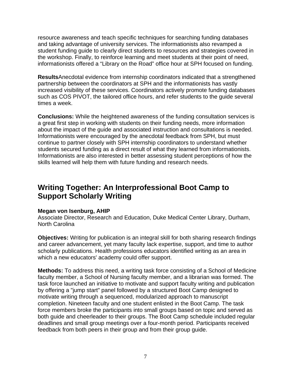resource awareness and teach specific techniques for searching funding databases and taking advantage of university services. The informationists also revamped a student funding guide to clearly direct students to resources and strategies covered in the workshop. Finally, to reinforce learning and meet students at their point of need, informationists offered a "Library on the Road" office hour at SPH focused on funding.

**Results**Anecdotal evidence from internship coordinators indicated that a strengthened partnership between the coordinators at SPH and the informationists has vastly increased visibility of these services. Coordinators actively promote funding databases such as COS PIVOT, the tailored office hours, and refer students to the guide several times a week.

**Conclusions:** While the heightened awareness of the funding consultation services is a great first step in working with students on their funding needs, more information about the impact of the guide and associated instruction and consultations is needed. Informationists were encouraged by the anecdotal feedback from SPH, but must continue to partner closely with SPH internship coordinators to understand whether students secured funding as a direct result of what they learned from informationists. Informationists are also interested in better assessing student perceptions of how the skills learned will help them with future funding and research needs.

# **Writing Together: An Interprofessional Boot Camp to Support Scholarly Writing**

### **Megan von Isenburg, AHIP**

Associate Director, Research and Education, Duke Medical Center Library, Durham, North Carolina

**Objectives:** Writing for publication is an integral skill for both sharing research findings and career advancement, yet many faculty lack expertise, support, and time to author scholarly publications. Health professions educators identified writing as an area in which a new educators' academy could offer support.

**Methods:** To address this need, a writing task force consisting of a School of Medicine faculty member, a School of Nursing faculty member, and a librarian was formed. The task force launched an initiative to motivate and support faculty writing and publication by offering a "jump start" panel followed by a structured Boot Camp designed to motivate writing through a sequenced, modularized approach to manuscript completion. Nineteen faculty and one student enlisted in the Boot Camp. The task force members broke the participants into small groups based on topic and served as both guide and cheerleader to their groups. The Boot Camp schedule included regular deadlines and small group meetings over a four-month period. Participants received feedback from both peers in their group and from their group guide.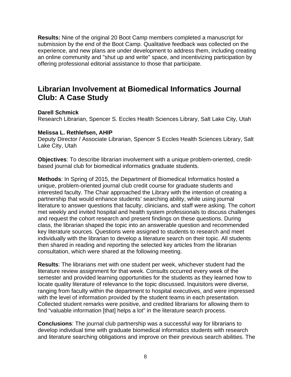**Results:** Nine of the original 20 Boot Camp members completed a manuscript for submission by the end of the Boot Camp. Qualitative feedback was collected on the experience, and new plans are under development to address them, including creating an online community and "shut up and write" space, and incentivizing participation by offering professional editorial assistance to those that participate.

# **Librarian Involvement at Biomedical Informatics Journal Club: A Case Study**

### **Darell Schmick**

Research Librarian, Spencer S. Eccles Health Sciences Library, Salt Lake City, Utah

### **Melissa L. Rethlefsen, AHIP**

Deputy Director / Associate Librarian, Spencer S Eccles Health Sciences Library, Salt Lake City, Utah

**Objectives**: To describe librarian involvement with a unique problem-oriented, creditbased journal club for biomedical informatics graduate students.

**Methods**: In Spring of 2015, the Department of Biomedical Informatics hosted a unique, problem-oriented journal club credit course for graduate students and interested faculty. The Chair approached the Library with the intention of creating a partnership that would enhance students' searching ability, while using journal literature to answer questions that faculty, clinicians, and staff were asking. The cohort met weekly and invited hospital and health system professionals to discuss challenges and request the cohort research and present findings on these questions. During class, the librarian shaped the topic into an answerable question and recommended key literature sources. Questions were assigned to students to research and meet individually with the librarian to develop a literature search on their topic. All students then shared in reading and reporting the selected key articles from the librarian consultation, which were shared at the following meeting.

**Results**: The librarians met with one student per week, whichever student had the literature review assignment for that week. Consults occurred every week of the semester and provided learning opportunities for the students as they learned how to locate quality literature of relevance to the topic discussed. Inquisitors were diverse, ranging from faculty within the department to hospital executives, and were impressed with the level of information provided by the student teams in each presentation. Collected student remarks were positive, and credited librarians for allowing them to find "valuable information [that] helps a lot" in the literature search process.

**Conclusions**: The journal club partnership was a successful way for librarians to develop individual time with graduate biomedical informatics students with research and literature searching obligations and improve on their previous search abilities. The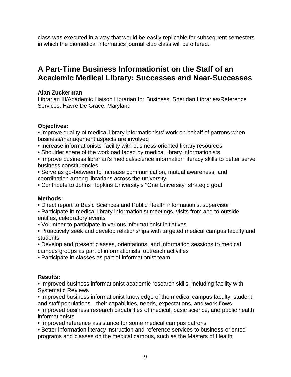class was executed in a way that would be easily replicable for subsequent semesters in which the biomedical informatics journal club class will be offered.

# **A Part-Time Business Informationist on the Staff of an Academic Medical Library: Successes and Near-Successes**

### **Alan Zuckerman**

Librarian III/Academic Liaison Librarian for Business, Sheridan Libraries/Reference Services, Havre De Grace, Maryland

## **Objectives:**

• Improve quality of medical library informationists' work on behalf of patrons when business/management aspects are involved

- Increase informationists' facility with business-oriented library resources
- Shoulder share of the workload faced by medical library informationists

• Improve business librarian's medical/science information literacy skills to better serve business constituencies

- Serve as go-between to Increase communication, mutual awareness, and coordination among librarians across the university
- Contribute to Johns Hopkins University's "One University" strategic goal

### **Methods:**

- Direct report to Basic Sciences and Public Health informationist supervisor
- Participate in medical library informationist meetings, visits from and to outside entities, celebratory events
- Volunteer to participate in various informationist initiatives
- Proactively seek and develop relationships with targeted medical campus faculty and students
- Develop and present classes, orientations, and information sessions to medical campus groups as part of informationists' outreach activities
- Participate in classes as part of informationist team

# **Results:**

• Improved business informationist academic research skills, including facility with Systematic Reviews

• Improved business informationist knowledge of the medical campus faculty, student, and staff populations—their capabilities, needs, expectations, and work flows

• Improved business research capabilities of medical, basic science, and public health informationists

• Improved reference assistance for some medical campus patrons

• Better information literacy instruction and reference services to business-oriented programs and classes on the medical campus, such as the Masters of Health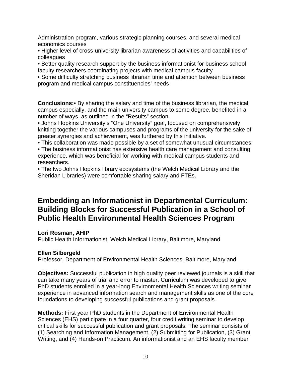Administration program, various strategic planning courses, and several medical economics courses

• Higher level of cross-university librarian awareness of activities and capabilities of colleagues

• Better quality research support by the business informationist for business school faculty researchers coordinating projects with medical campus faculty

• Some difficulty stretching business librarian time and attention between business program and medical campus constituencies' needs

**Conclusions:**• By sharing the salary and time of the business librarian, the medical campus especially, and the main university campus to some degree, benefited in a number of ways, as outlined in the "Results" section.

• Johns Hopkins University's "One University" goal, focused on comprehensively knitting together the various campuses and programs of the university for the sake of greater synergies and achievement, was furthered by this initiative.

• This collaboration was made possible by a set of somewhat unusual circumstances:

• The business informationist has extensive health care management and consulting experience, which was beneficial for working with medical campus students and researchers.

• The two Johns Hopkins library ecosystems (the Welch Medical Library and the Sheridan Libraries) were comfortable sharing salary and FTEs.

# **Embedding an Informationist in Departmental Curriculum: Building Blocks for Successful Publication in a School of Public Health Environmental Health Sciences Program**

# **Lori Rosman, AHIP**

Public Health Informationist, Welch Medical Library, Baltimore, Maryland

### **Ellen Silbergeld**

Professor, Department of Environmental Health Sciences, Baltimore, Maryland

**Objectives:** Successful publication in high quality peer reviewed journals is a skill that can take many years of trial and error to master. Curriculum was developed to give PhD students enrolled in a year-long Environmental Health Sciences writing seminar experience in advanced information search and management skills as one of the core foundations to developing successful publications and grant proposals.

**Methods:** First year PhD students in the Department of Environmental Health Sciences (EHS) participate in a four quarter, four credit writing seminar to develop critical skills for successful publication and grant proposals. The seminar consists of (1) Searching and Information Management, (2) Submitting for Publication, (3) Grant Writing, and (4) Hands-on Practicum. An informationist and an EHS faculty member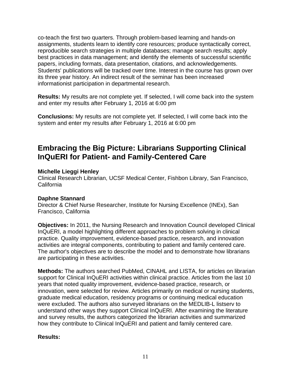co-teach the first two quarters. Through problem-based learning and hands-on assignments, students learn to identify core resources; produce syntactically correct, reproducible search strategies in multiple databases; manage search results; apply best practices in data management; and identify the elements of successful scientific papers, including formats, data presentation, citations, and acknowledgements. Students' publications will be tracked over time. Interest in the course has grown over its three year history. An indirect result of the seminar has been increased informationist participation in departmental research.

**Results:** My results are not complete yet. If selected, I will come back into the system and enter my results after February 1, 2016 at 6:00 pm

**Conclusions:** My results are not complete yet. If selected, I will come back into the system and enter my results after February 1, 2016 at 6:00 pm

# **Embracing the Big Picture: Librarians Supporting Clinical InQuERI for Patient- and Family-Centered Care**

## **Michelle Lieggi Henley**

Clinical Research Librarian, UCSF Medical Center, Fishbon Library, San Francisco, California

# **Daphne Stannard**

Director & Chief Nurse Researcher, Institute for Nursing Excellence (INEx), San Francisco, California

**Objectives:** In 2011, the Nursing Research and Innovation Council developed Clinical InQuERI, a model highlighting different approaches to problem solving in clinical practice. Quality improvement, evidence-based practice, research, and innovation activities are integral components, contributing to patient and family centered care. The author's objectives are to describe the model and to demonstrate how librarians are participating in these activities.

**Methods:** The authors searched PubMed, CINAHL and LISTA, for articles on librarian support for Clinical InQuERI activities within clinical practice. Articles from the last 10 years that noted quality improvement, evidence-based practice, research, or innovation, were selected for review. Articles primarily on medical or nursing students, graduate medical education, residency programs or continuing medical education were excluded. The authors also surveyed librarians on the MEDLIB-L listserv to understand other ways they support Clinical InQuERI. After examining the literature and survey results, the authors categorized the librarian activities and summarized how they contribute to Clinical InQuERI and patient and family centered care.

# **Results:**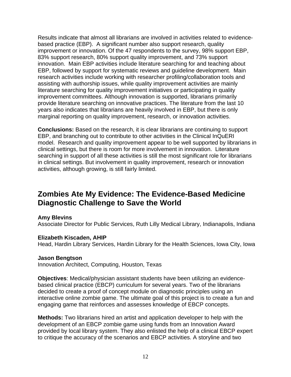Results indicate that almost all librarians are involved in activities related to evidencebased practice (EBP). A significant number also support research, quality improvement or innovation. Of the 47 respondents to the survey, 98% support EBP, 83% support research, 80% support quality improvement, and 73% support innovation. Main EBP activities include literature searching for and teaching about EBP, followed by support for systematic reviews and guideline development. Main research activities include working with researcher profiling/collaboration tools and assisting with authorship issues, while quality improvement activities are mainly literature searching for quality improvement initiatives or participating in quality improvement committees. Although innovation is supported, librarians primarily provide literature searching on innovative practices. The literature from the last 10 years also indicates that librarians are heavily involved in EBP, but there is only marginal reporting on quality improvement, research, or innovation activities.

**Conclusions:** Based on the research, it is clear librarians are continuing to support EBP, and branching out to contribute to other activities in the Clinical InQuERI model. Research and quality improvement appear to be well supported by librarians in clinical settings, but there is room for more involvement in innovation. Literature searching in support of all these activities is still the most significant role for librarians in clinical settings. But involvement in quality improvement, research or innovation activities, although growing, is still fairly limited.

# **Zombies Ate My Evidence: The Evidence-Based Medicine Diagnostic Challenge to Save the World**

# **Amy Blevins**

Associate Director for Public Services, Ruth Lilly Medical Library, Indianapolis, Indiana

### **Elizabeth Kiscaden, AHIP**

Head, Hardin Library Services, Hardin Library for the Health Sciences, Iowa City, Iowa

### **Jason Bengtson**

Innovation Architect, Computing, Houston, Texas

**Objectives**: Medical/physician assistant students have been utilizing an evidencebased clinical practice (EBCP) curriculum for several years. Two of the librarians decided to create a proof of concept module on diagnostic principles using an interactive online zombie game. The ultimate goal of this project is to create a fun and engaging game that reinforces and assesses knowledge of EBCP concepts.

**Methods:** Two librarians hired an artist and application developer to help with the development of an EBCP zombie game using funds from an Innovation Award provided by local library system. They also enlisted the help of a clinical EBCP expert to critique the accuracy of the scenarios and EBCP activities. A storyline and two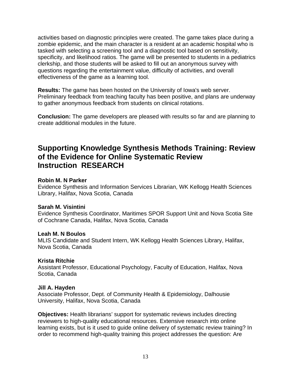activities based on diagnostic principles were created. The game takes place during a zombie epidemic, and the main character is a resident at an academic hospital who is tasked with selecting a screening tool and a diagnostic tool based on sensitivity, specificity, and likelihood ratios. The game will be presented to students in a pediatrics clerkship, and those students will be asked to fill out an anonymous survey with questions regarding the entertainment value, difficulty of activities, and overall effectiveness of the game as a learning tool.

**Results:** The game has been hosted on the University of Iowa's web server. Preliminary feedback from teaching faculty has been positive, and plans are underway to gather anonymous feedback from students on clinical rotations.

**Conclusion:** The game developers are pleased with results so far and are planning to create additional modules in the future.

# **Supporting Knowledge Synthesis Methods Training: Review of the Evidence for Online Systematic Review Instruction RESEARCH**

### **Robin M. N Parker**

Evidence Synthesis and Information Services Librarian, WK Kellogg Health Sciences Library, Halifax, Nova Scotia, Canada

### **Sarah M. Visintini**

Evidence Synthesis Coordinator, Maritimes SPOR Support Unit and Nova Scotia Site of Cochrane Canada, Halifax, Nova Scotia, Canada

### **Leah M. N Boulos**

MLIS Candidate and Student Intern, WK Kellogg Health Sciences Library, Halifax, Nova Scotia, Canada

# **Krista Ritchie**

Assistant Professor, Educational Psychology, Faculty of Education, Halifax, Nova Scotia, Canada

### **Jill A. Hayden**

Associate Professor, Dept. of Community Health & Epidemiology, Dalhousie University, Halifax, Nova Scotia, Canada

**Objectives:** Health librarians' support for systematic reviews includes directing reviewers to high-quality educational resources. Extensive research into online learning exists, but is it used to guide online delivery of systematic review training? In order to recommend high-quality training this project addresses the question: Are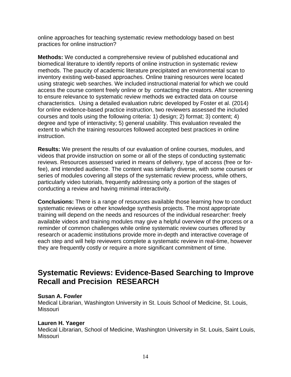online approaches for teaching systematic review methodology based on best practices for online instruction?

**Methods:** We conducted a comprehensive review of published educational and biomedical literature to identify reports of online instruction in systematic review methods. The paucity of academic literature precipitated an environmental scan to inventory existing web-based approaches. Online training resources were located using strategic web searches. We included instructional material for which we could access the course content freely online or by contacting the creators. After screening to ensure relevance to systematic review methods we extracted data on course characteristics. Using a detailed evaluation rubric developed by Foster et al. (2014) for online evidence-based practice instruction, two reviewers assessed the included courses and tools using the following criteria: 1) design; 2) format; 3) content; 4) degree and type of interactivity; 5) general usability. This evaluation revealed the extent to which the training resources followed accepted best practices in online instruction.

**Results:** We present the results of our evaluation of online courses, modules, and videos that provide instruction on some or all of the steps of conducting systematic reviews. Resources assessed varied in means of delivery, type of access (free or forfee), and intended audience. The content was similarly diverse, with some courses or series of modules covering all steps of the systematic review process, while others, particularly video tutorials, frequently addressing only a portion of the stages of conducting a review and having minimal interactivity.

**Conclusions:** There is a range of resources available those learning how to conduct systematic reviews or other knowledge synthesis projects. The most appropriate training will depend on the needs and resources of the individual researcher: freely available videos and training modules may give a helpful overview of the process or a reminder of common challenges while online systematic review courses offered by research or academic institutions provide more in-depth and interactive coverage of each step and will help reviewers complete a systematic review in real-time, however they are frequently costly or require a more significant commitment of time.

# **Systematic Reviews: Evidence-Based Searching to Improve Recall and Precision RESEARCH**

### **Susan A. Fowler**

Medical Librarian, Washington University in St. Louis School of Medicine, St. Louis, Missouri

### **Lauren H. Yaeger**

Medical Librarian, School of Medicine, Washington University in St. Louis, Saint Louis, Missouri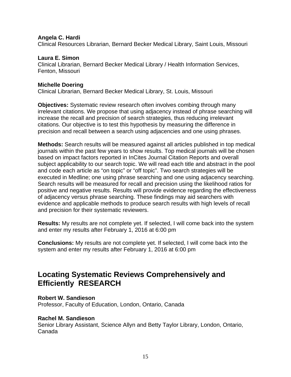#### **Angela C. Hardi**

Clinical Resources Librarian, Bernard Becker Medical Library, Saint Louis, Missouri

#### **Laura E. Simon**

Clinical Librarian, Bernard Becker Medical Library / Health Information Services, Fenton, Missouri

#### **Michelle Doering**

Clinical Librarian, Bernard Becker Medical Library, St. Louis, Missouri

**Objectives:** Systematic review research often involves combing through many irrelevant citations. We propose that using adjacency instead of phrase searching will increase the recall and precision of search strategies, thus reducing irrelevant citations. Our objective is to test this hypothesis by measuring the difference in precision and recall between a search using adjacencies and one using phrases.

**Methods:** Search results will be measured against all articles published in top medical journals within the past few years to show results. Top medical journals will be chosen based on impact factors reported in InCites Journal Citation Reports and overall subject applicability to our search topic. We will read each title and abstract in the pool and code each article as "on topic" or "off topic". Two search strategies will be executed in Medline; one using phrase searching and one using adjacency searching. Search results will be measured for recall and precision using the likelihood ratios for positive and negative results. Results will provide evidence regarding the effectiveness of adjacency versus phrase searching. These findings may aid searchers with evidence and applicable methods to produce search results with high levels of recall and precision for their systematic reviewers.

**Results:** My results are not complete yet. If selected, I will come back into the system and enter my results after February 1, 2016 at 6:00 pm

**Conclusions:** My results are not complete yet. If selected, I will come back into the system and enter my results after February 1, 2016 at 6:00 pm

# **Locating Systematic Reviews Comprehensively and Efficiently RESEARCH**

### **Robert W. Sandieson**

Professor, Faculty of Education, London, Ontario, Canada

#### **Rachel M. Sandieson**

Senior Library Assistant, Science Allyn and Betty Taylor Library, London, Ontario, Canada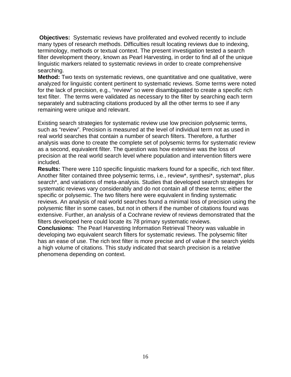**Objectives:** Systematic reviews have proliferated and evolved recently to include many types of research methods. Difficulties result locating reviews due to indexing, terminology, methods or textual context. The present investigation tested a search filter development theory, known as Pearl Harvesting, in order to find all of the unique linguistic markers related to systematic reviews in order to create comprehensive searching.

**Method:** Two texts on systematic reviews, one quantitative and one qualitative, were analyzed for linguistic content pertinent to systematic reviews. Some terms were noted for the lack of precision, e.g., "review" so were disambiguated to create a specific rich text filter. The terms were validated as necessary to the filter by searching each term separately and subtracting citations produced by all the other terms to see if any remaining were unique and relevant.

Existing search strategies for systematic review use low precision polysemic terms, such as "review". Precision is measured at the level of individual term not as used in real world searches that contain a number of search filters. Therefore, a further analysis was done to create the complete set of polysemic terms for systematic review as a second, equivalent filter. The question was how extensive was the loss of precision at the real world search level where population and intervention filters were included.

**Results:** There were 110 specific linguistic markers found for a specific, rich text filter. Another filter contained three polysemic terms, i.e., review\*, synthesi\*, systemat\*, plus search\*, and variations of meta-analysis. Studies that developed search strategies for systematic reviews vary considerably and do not contain all of these terms; either the specific or polysemic. The two filters here were equivalent in finding systematic reviews. An analysis of real world searches found a minimal loss of precision using the polysemic filter in some cases, but not in others if the number of citations found was extensive. Further, an analysis of a Cochrane review of reviews demonstrated that the filters developed here could locate its 78 primary systematic reviews.

**Conclusions:** The Pearl Harvesting Information Retrieval Theory was valuable in developing two equivalent search filters for systematic reviews. The polysemic filter has an ease of use. The rich text filter is more precise and of value if the search yields a high volume of citations. This study indicated that search precision is a relative phenomena depending on context.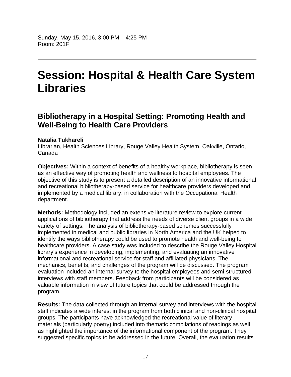# **Session: Hospital & Health Care System Libraries**

# **Bibliotherapy in a Hospital Setting: Promoting Health and Well-Being to Health Care Providers**

# **Natalia Tukhareli**

Librarian, Health Sciences Library, Rouge Valley Health System, Oakville, Ontario, Canada

**Objectives:** Within a context of benefits of a healthy workplace, bibliotherapy is seen as an effective way of promoting health and wellness to hospital employees. The objective of this study is to present a detailed description of an innovative informational and recreational bibliotherapy-based service for healthcare providers developed and implemented by a medical library, in collaboration with the Occupational Health department.

**Methods:** Methodology included an extensive literature review to explore current applications of bibliotherapy that address the needs of diverse client groups in a wide variety of settings. The analysis of bibliotherapy-based schemes successfully implemented in medical and public libraries in North America and the UK helped to identify the ways bibliotherapy could be used to promote health and well-being to healthcare providers. A case study was included to describe the Rouge Valley Hospital library's experience in developing, implementing, and evaluating an innovative informational and recreational service for staff and affiliated physicians. The mechanics, benefits, and challenges of the program will be discussed. The program evaluation included an internal survey to the hospital employees and semi-structured interviews with staff members. Feedback from participants will be considered as valuable information in view of future topics that could be addressed through the program.

**Results:** The data collected through an internal survey and interviews with the hospital staff indicates a wide interest in the program from both clinical and non-clinical hospital groups. The participants have acknowledged the recreational value of literary materials (particularly poetry) included into thematic compilations of readings as well as highlighted the importance of the informational component of the program. They suggested specific topics to be addressed in the future. Overall, the evaluation results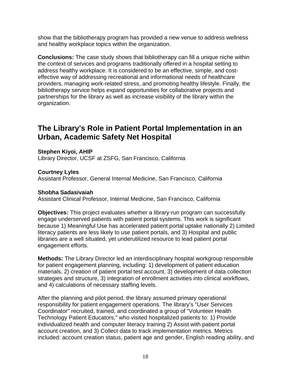show that the bibliotherapy program has provided a new venue to address wellness and healthy workplace topics within the organization.

**Conclusions:** The case study shows that bibliotherapy can fill a unique niche within the context of services and programs traditionally offered in a hospital setting to address healthy workplace. It is considered to be an effective, simple, and costeffective way of addressing recreational and informational needs of healthcare providers, managing work-related stress, and promoting healthy lifestyle. Finally, the bibliotherapy service helps expand opportunities for collaborative projects and partnerships for the library as well as increase visibility of the library within the organization.

# **The Library's Role in Patient Portal Implementation in an Urban, Academic Safety Net Hospital**

**Stephen Kiyoi, AHIP** 

Library Director, UCSF at ZSFG, San Francisco, California

**Courtney Lyles** 

Assistant Professor, General Internal Medicine, San Francisco, California

### **Shobha Sadasivaiah**

Assistant Clinical Professor, Internal Medicine, San Francisco, California

**Objectives:** This project evaluates whether a library-run program can successfully engage underserved patients with patient portal systems. This work is significant because 1) Meaningful Use has accelerated patient portal uptake nationally 2) Limited literacy patients are less likely to use patient portals, and 3) Hospital and public libraries are a well situated, yet underutilized resource to lead patient portal engagement efforts.

**Methods:** The Library Director led an interdisciplinary hospital workgroup responsible for patient engagement planning, including: 1) development of patient education materials, 2) creation of patient portal test account, 3) development of data collection strategies and structure, 3) integration of enrollment activities into clinical workflows, and 4) calculations of necessary staffing levels.

After the planning and pilot period, the library assumed primary operational responsibility for patient engagement operations. The library's "User Services Coordinator" recruited, trained, and coordinated a group of "Volunteer Health Technology Patient Educators," who visited hospitalized patients to: 1) Provide individualized health and computer literacy training 2) Assist with patient portal account creation, and 3) Collect data to track implementation metrics. Metrics included: account creation status, patient age and gender, English reading ability, and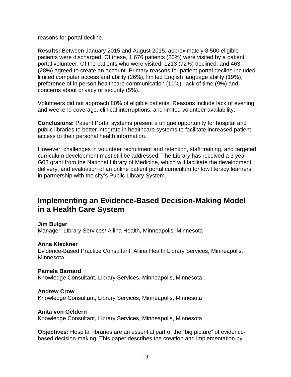reasons for portal decline.

**Results:** Between January 2015 and August 2015, approximately 8,500 eligible patients were discharged. Of these, 1,676 patients (20%) were visited by a patient portal volunteer. Of the patients who were visited, 1213 (72%) declined, and 463 (28%) agreed to create an account. Primary reasons for patient portal decline included limited computer access and ability (26%), limited English language ability (19%), preference of in person healthcare communication (11%), lack of time (9%) and concerns about privacy or security (5%).

Volunteers did not approach 80% of eligible patients. Reasons include lack of evening and weekend coverage, clinical interruptions, and limited volunteer availability.

**Conclusions:** Patient Portal systems present a unique opportunity for hospital and public libraries to better integrate in healthcare systems to facilitate increased patient access to their personal health information.

However, challenges in volunteer recruitment and retention, staff training, and targeted curriculum development must still be addressed. The Library has received a 3 year G08 grant from the National Library of Medicine, which will facilitate the development, delivery, and evaluation of an online patient portal curriculum for low literacy learners, in partnership with the city's Public Library System.

# **Implementing an Evidence-Based Decision-Making Model in a Health Care System**

#### **Jim Bulger**

Manager, LIbrary Services/ Allina Health, Minneapolis, Minnesota

### **Anna Kleckner**

Evidence-Based Practice Consultant, Allina Health Library Services, Minneapolis, Minnesota

# **Pamela Barnard**

Knowledge Consultant, Library Services, Minneapolis, Minnesota

### **Andrew Crow**

Knowledge Consultant, Library Services, Minneapolis, Minnesota

#### **Anita von Geldern**

Knowledge Consultant, Library Services, Minneapolis, Minnesota

**Objectives:** Hospital libraries are an essential part of the "big picture" of evidencebased decision-making. This paper describes the creation and implementation by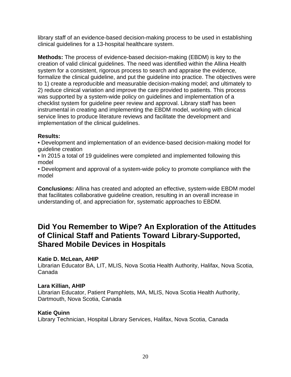library staff of an evidence-based decision-making process to be used in establishing clinical guidelines for a 13-hospital healthcare system.

**Methods:** The process of evidence-based decision-making (EBDM) is key to the creation of valid clinical guidelines. The need was identified within the Allina Health system for a consistent, rigorous process to search and appraise the evidence, formalize the clinical guideline, and put the guideline into practice. The objectives were to 1) create a reproducible and measurable decision-making model; and ultimately to 2) reduce clinical variation and improve the care provided to patients. This process was supported by a system-wide policy on guidelines and implementation of a checklist system for guideline peer review and approval. Library staff has been instrumental in creating and implementing the EBDM model, working with clinical service lines to produce literature reviews and facilitate the development and implementation of the clinical guidelines.

## **Results:**

• Development and implementation of an evidence-based decision-making model for guideline creation

• In 2015 a total of 19 guidelines were completed and implemented following this model

• Development and approval of a system-wide policy to promote compliance with the model

**Conclusions:** Allina has created and adopted an effective, system-wide EBDM model that facilitates collaborative guideline creation, resulting in an overall increase in understanding of, and appreciation for, systematic approaches to EBDM.

# **Did You Remember to Wipe? An Exploration of the Attitudes of Clinical Staff and Patients Toward Library-Supported, Shared Mobile Devices in Hospitals**

# **Katie D. McLean, AHIP**

Librarian Educator BA, LIT, MLIS, Nova Scotia Health Authority, Halifax, Nova Scotia, Canada

# **Lara Killian, AHIP**

Librarian Educator, Patient Pamphlets, MA, MLIS, Nova Scotia Health Authority, Dartmouth, Nova Scotia, Canada

# **Katie Quinn**

Library Technician, Hospital Library Services, Halifax, Nova Scotia, Canada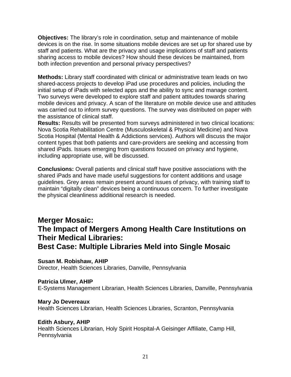**Objectives:** The library's role in coordination, setup and maintenance of mobile devices is on the rise. In some situations mobile devices are set up for shared use by staff and patients. What are the privacy and usage implications of staff and patients sharing access to mobile devices? How should these devices be maintained, from both infection prevention and personal privacy perspectives?

**Methods:** Library staff coordinated with clinical or administrative team leads on two shared-access projects to develop iPad use procedures and policies, including the initial setup of iPads with selected apps and the ability to sync and manage content. Two surveys were developed to explore staff and patient attitudes towards sharing mobile devices and privacy. A scan of the literature on mobile device use and attitudes was carried out to inform survey questions. The survey was distributed on paper with the assistance of clinical staff.

**Results:** Results will be presented from surveys administered in two clinical locations: Nova Scotia Rehabilitation Centre (Musculoskeletal & Physical Medicine) and Nova Scotia Hospital (Mental Health & Addictions services). Authors will discuss the major content types that both patients and care-providers are seeking and accessing from shared iPads. Issues emerging from questions focused on privacy and hygiene, including appropriate use, will be discussed.

**Conclusions:** Overall patients and clinical staff have positive associations with the shared iPads and have made useful suggestions for content additions and usage guidelines. Grey areas remain present around issues of privacy, with training staff to maintain "digitally clean" devices being a continuous concern. To further investigate the physical cleanliness additional research is needed.

# **Merger Mosaic: The Impact of Mergers Among Health Care Institutions on Their Medical Libraries:**

# **Best Case: Multiple Libraries Meld into Single Mosaic**

**Susan M. Robishaw, AHIP** 

Director, Health Sciences Libraries, Danville, Pennsylvania

# **Patricia Ulmer, AHIP**

E-Systems Management Librarian, Health Sciences Libraries, Danville, Pennsylvania

# **Mary Jo Devereaux**

Health Sciences Librarian, Health Sciences Libraries, Scranton, Pennsylvania

# **Edith Asbury, AHIP**

Health Sciences Librarian, Holy Spirit Hospital-A Geisinger Affiliate, Camp Hill, **Pennsylvania**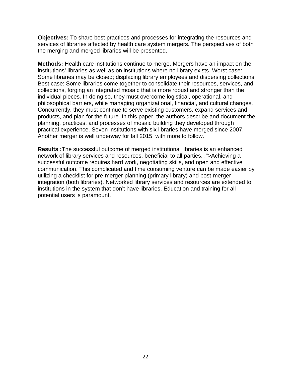**Objectives:** To share best practices and processes for integrating the resources and services of libraries affected by health care system mergers. The perspectives of both the merging and merged libraries will be presented.

**Methods:** Health care institutions continue to merge. Mergers have an impact on the institutions' libraries as well as on institutions where no library exists. Worst case: Some libraries may be closed; displacing library employees and dispersing collections. Best case: Some libraries come together to consolidate their resources, services, and collections, forging an integrated mosaic that is more robust and stronger than the individual pieces. In doing so, they must overcome logistical, operational, and philosophical barriers, while managing organizational, financial, and cultural changes. Concurrently, they must continue to serve existing customers, expand services and products, and plan for the future. In this paper, the authors describe and document the planning, practices, and processes of mosaic building they developed through practical experience. Seven institutions with six libraries have merged since 2007. Another merger is well underway for fall 2015, with more to follow.

**Results :**The successful outcome of merged institutional libraries is an enhanced network of library services and resources, beneficial to all parties. ;">Achieving a successful outcome requires hard work, negotiating skills, and open and effective communication. This complicated and time consuming venture can be made easier by utilizing a checklist for pre-merger planning (primary library) and post-merger integration (both libraries). Networked library services and resources are extended to institutions in the system that don't have libraries. Education and training for all potential users is paramount.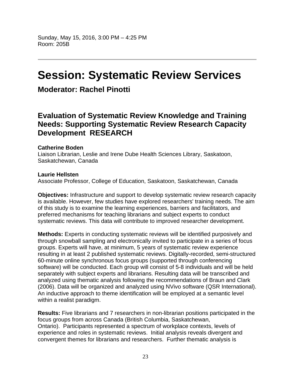# **Session: Systematic Review Services**

# **Moderator: Rachel Pinotti**

# **Evaluation of Systematic Review Knowledge and Training Needs: Supporting Systematic Review Research Capacity Development RESEARCH**

## **Catherine Boden**

Liaison Librarian, Leslie and Irene Dube Health Sciences Library, Saskatoon, Saskatchewan, Canada

## **Laurie Hellsten**

Associate Professor, College of Education, Saskatoon, Saskatchewan, Canada

**Objectives:** Infrastructure and support to develop systematic review research capacity is available. However, few studies have explored researchers' training needs. The aim of this study is to examine the learning experiences, barriers and facilitators, and preferred mechanisms for teaching librarians and subject experts to conduct systematic reviews. This data will contribute to improved researcher development.

**Methods:** Experts in conducting systematic reviews will be identified purposively and through snowball sampling and electronically invited to participate in a series of focus groups. Experts will have, at minimum, 5 years of systematic review experience resulting in at least 2 published systematic reviews. Digitally-recorded, semi-structured 60-minute online synchronous focus groups (supported through conferencing software) will be conducted. Each group will consist of 5-8 individuals and will be held separately with subject experts and librarians. Resulting data will be transcribed and analyzed using thematic analysis following the recommendations of Braun and Clark (2006). Data will be organized and analyzed using NVivo software (QSR International). An inductive approach to theme identification will be employed at a semantic level within a realist paradigm.

**Results:** Five librarians and 7 researchers in non-librarian positions participated in the focus groups from across Canada (British Columbia, Saskatchewan, Ontario). Participants represented a spectrum of workplace contexts, levels of experience and roles in systematic reviews. Initial analysis reveals divergent and convergent themes for librarians and researchers. Further thematic analysis is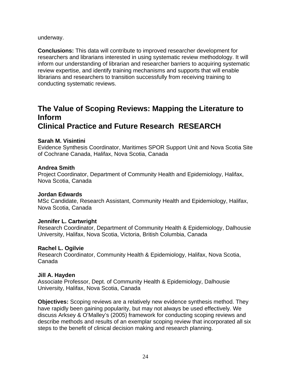underway.

**Conclusions:** This data will contribute to improved researcher development for researchers and librarians interested in using systematic review methodology. It will inform our understanding of librarian and researcher barriers to acquiring systematic review expertise, and identify training mechanisms and supports that will enable librarians and researchers to transition successfully from receiving training to conducting systematic reviews.

# **The Value of Scoping Reviews: Mapping the Literature to Inform**

# **Clinical Practice and Future Research RESEARCH**

## **Sarah M. Visintini**

Evidence Synthesis Coordinator, Maritimes SPOR Support Unit and Nova Scotia Site of Cochrane Canada, Halifax, Nova Scotia, Canada

## **Andrea Smith**

Project Coordinator, Department of Community Health and Epidemiology, Halifax, Nova Scotia, Canada

# **Jordan Edwards**

MSc Candidate, Research Assistant, Community Health and Epidemiology, Halifax, Nova Scotia, Canada

# **Jennifer L. Cartwright**

Research Coordinator, Department of Community Health & Epidemiology, Dalhousie University, Halifax, Nova Scotia, Victoria, British Columbia, Canada

# **Rachel L. Ogilvie**

Research Coordinator, Community Health & Epidemiology, Halifax, Nova Scotia, Canada

# **Jill A. Hayden**

Associate Professor, Dept. of Community Health & Epidemiology, Dalhousie University, Halifax, Nova Scotia, Canada

**Objectives:** Scoping reviews are a relatively new evidence synthesis method. They have rapidly been gaining popularity, but may not always be used effectively. We discuss Arksey & O'Malley's (2005) framework for conducting scoping reviews and describe methods and results of an exemplar scoping review that incorporated all six steps to the benefit of clinical decision making and research planning.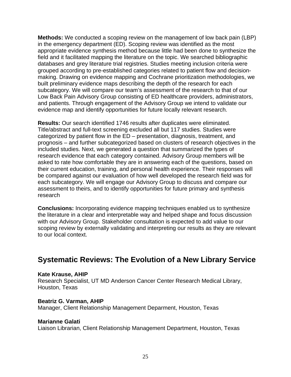**Methods:** We conducted a scoping review on the management of low back pain (LBP) in the emergency department (ED). Scoping review was identified as the most appropriate evidence synthesis method because little had been done to synthesize the field and it facilitated mapping the literature on the topic. We searched bibliographic databases and grey literature trial registries. Studies meeting inclusion criteria were grouped according to pre-established categories related to patient flow and decisionmaking. Drawing on evidence mapping and Cochrane prioritization methodologies, we built preliminary evidence maps describing the depth of the research for each subcategory. We will compare our team's assessment of the research to that of our Low Back Pain Advisory Group consisting of ED healthcare providers, administrators, and patients. Through engagement of the Advisory Group we intend to validate our evidence map and identify opportunities for future locally relevant research.

**Results:** Our search identified 1746 results after duplicates were eliminated. Title/abstract and full-text screening excluded all but 117 studies. Studies were categorized by patient flow in the ED – presentation, diagnosis, treatment, and prognosis – and further subcategorized based on clusters of research objectives in the included studies. Next, we generated a question that summarized the types of research evidence that each category contained. Advisory Group members will be asked to rate how comfortable they are in answering each of the questions, based on their current education, training, and personal health experience. Their responses will be compared against our evaluation of how well developed the research field was for each subcategory. We will engage our Advisory Group to discuss and compare our assessment to theirs, and to identify opportunities for future primary and synthesis research

**Conclusions:** Incorporating evidence mapping techniques enabled us to synthesize the literature in a clear and interpretable way and helped shape and focus discussion with our Advisory Group. Stakeholder consultation is expected to add value to our scoping review by externally validating and interpreting our results as they are relevant to our local context.

# **Systematic Reviews: The Evolution of a New Library Service**

### **Kate Krause, AHIP**

Research Specialist, UT MD Anderson Cancer Center Research Medical Library, Houston, Texas

### **Beatriz G. Varman, AHIP**

Manager, Client Relationship Management Deparment, Houston, Texas

### **Marianne Galati**

Liaison Librarian, Client Relationship Management Department, Houston, Texas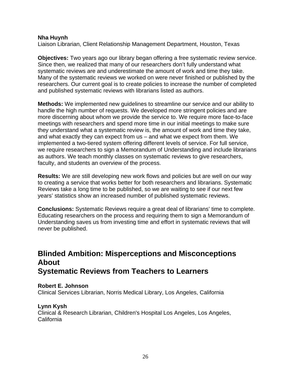### **Nha Huynh**

Liaison Librarian, Client Relationship Management Department, Houston, Texas

**Objectives:** Two years ago our library began offering a free systematic review service. Since then, we realized that many of our researchers don't fully understand what systematic reviews are and underestimate the amount of work and time they take. Many of the systematic reviews we worked on were never finished or published by the researchers. Our current goal is to create policies to increase the number of completed and published systematic reviews with librarians listed as authors.

**Methods:** We implemented new guidelines to streamline our service and our ability to handle the high number of requests. We developed more stringent policies and are more discerning about whom we provide the service to. We require more face-to-face meetings with researchers and spend more time in our initial meetings to make sure they understand what a systematic review is, the amount of work and time they take, and what exactly they can expect from us – and what we expect from them. We implemented a two-tiered system offering different levels of service. For full service, we require researchers to sign a Memorandum of Understanding and include librarians as authors. We teach monthly classes on systematic reviews to give researchers, faculty, and students an overview of the process.

**Results:** We are still developing new work flows and policies but are well on our way to creating a service that works better for both researchers and librarians. Systematic Reviews take a long time to be published, so we are waiting to see if our next few years' statistics show an increased number of published systematic reviews.

**Conclusions:** Systematic Reviews require a great deal of librarians' time to complete. Educating researchers on the process and requiring them to sign a Memorandum of Understanding saves us from investing time and effort in systematic reviews that will never be published.

# **Blinded Ambition: Misperceptions and Misconceptions About Systematic Reviews from Teachers to Learners**

### **Robert E. Johnson**

Clinical Services Librarian, Norris Medical Library, Los Angeles, California

# **Lynn Kysh**

Clinical & Research Librarian, Children's Hospital Los Angeles, Los Angeles, California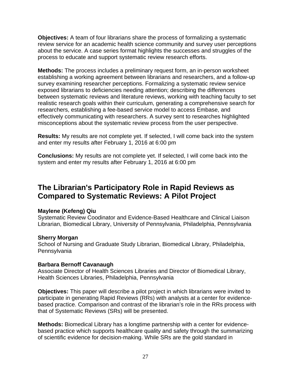**Objectives:** A team of four librarians share the process of formalizing a systematic review service for an academic health science community and survey user perceptions about the service. A case series format highlights the successes and struggles of the process to educate and support systematic review research efforts.

**Methods:** The process includes a preliminary request form, an in-person worksheet establishing a working agreement between librarians and researchers, and a follow-up survey examining researcher perceptions. Formalizing a systematic review service exposed librarians to deficiencies needing attention; describing the differences between systematic reviews and literature reviews, working with teaching faculty to set realistic research goals within their curriculum, generating a comprehensive search for researchers, establishing a fee-based service model to access Embase, and effectively communicating with researchers. A survey sent to researches highlighted misconceptions about the systematic review process from the user perspective.

**Results:** My results are not complete yet. If selected, I will come back into the system and enter my results after February 1, 2016 at 6:00 pm

**Conclusions:** My results are not complete yet. If selected, I will come back into the system and enter my results after February 1, 2016 at 6:00 pm

# **The Librarian's Participatory Role in Rapid Reviews as Compared to Systematic Reviews: A Pilot Project**

### **Maylene (Kefeng) Qiu**

Systematic Review Coodinator and Evidence-Based Healthcare and Clinical Liaison Librarian, Biomedical Library, University of Pennsylvania, Philadelphia, Pennsylvania

### **Sherry Morgan**

School of Nursing and Graduate Study Librarian, Biomedical Library, Philadelphia, Pennsylvania

### **Barbara Bernoff Cavanaugh**

Associate Director of Health Sciences Libraries and Director of Biomedical Library, Health Sciences Libraries, Philadelphia, Pennsylvania

**Objectives:** This paper will describe a pilot project in which librarians were invited to participate in generating Rapid Reviews (RRs) with analysts at a center for evidencebased practice. Comparison and contrast of the librarian's role in the RRs process with that of Systematic Reviews (SRs) will be presented.

**Methods:** Biomedical Library has a longtime partnership with a center for evidencebased practice which supports healthcare quality and safety through the summarizing of scientific evidence for decision-making. While SRs are the gold standard in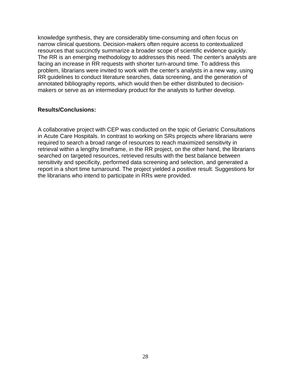knowledge synthesis, they are considerably time-consuming and often focus on narrow clinical questions. Decision-makers often require access to contextualized resources that succinctly summarize a broader scope of scientific evidence quickly. The RR is an emerging methodology to addresses this need. The center's analysts are facing an increase in RR requests with shorter turn-around time. To address this problem, librarians were invited to work with the center's analysts in a new way, using RR guidelines to conduct literature searches, data screening, and the generation of annotated bibliography reports, which would then be either distributed to decisionmakers or serve as an intermediary product for the analysts to further develop.

## **Results/Conclusions:**

A collaborative project with CEP was conducted on the topic of Geriatric Consultations in Acute Care Hospitals. In contrast to working on SRs projects where librarians were required to search a broad range of resources to reach maximized sensitivity in retrieval within a lengthy timeframe, in the RR project, on the other hand, the librarians searched on targeted resources, retrieved results with the best balance between sensitivity and specificity, performed data screening and selection, and generated a report in a short time turnaround. The project yielded a positive result. Suggestions for the librarians who intend to participate in RRs were provided.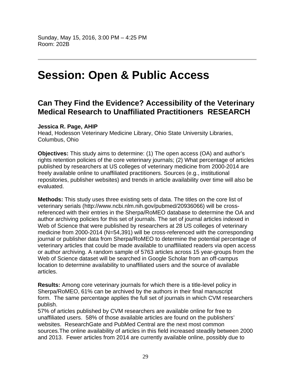# **Session: Open & Public Access**

# **Can They Find the Evidence? Accessibility of the Veterinary Medical Research to Unaffiliated Practitioners RESEARCH**

#### **Jessica R. Page, AHIP**

Head, Hodesson Veterinary Medicine Library, Ohio State University Libraries, Columbus, Ohio

**Objectives:** This study aims to determine: (1) The open access (OA) and author's rights retention policies of the core veterinary journals; (2) What percentage of articles published by researchers at US colleges of veterinary medicine from 2000-2014 are freely available online to unaffiliated practitioners. Sources (e.g., institutional repositories, publisher websites) and trends in article availability over time will also be evaluated.

**Methods:** This study uses three existing sets of data. The titles on the core list of veterinary serials (http://www.ncbi.nlm.nih.gov/pubmed/20936066) will be crossreferenced with their entries in the Sherpa/RoMEO database to determine the OA and author archiving policies for this set of journals. The set of journal articles indexed in Web of Science that were published by researchers at 28 US colleges of veterinary medicine from 2000-2014 (N=54,391) will be cross-referenced with the corresponding journal or publisher data from Sherpa/RoMEO to determine the potential percentage of veterinary articles that could be made available to unaffiliated readers via open access or author archiving. A random sample of 5763 articles across 15 year-groups from the Web of Science dataset will be searched in Google Scholar from an off-campus location to determine availability to unaffiliated users and the source of available articles.

**Results:** Among core veterinary journals for which there is a title-level policy in Sherpa/RoMEO, 61% can be archived by the authors in their final manuscript form. The same percentage applies the full set of journals in which CVM researchers publish.

57% of articles published by CVM researchers are available online for free to unaffiliated users. 58% of those available articles are found on the publishers' websites. ResearchGate and PubMed Central are the next most common sources.The online availability of articles in this field increased steadily between 2000 and 2013. Fewer articles from 2014 are currently available online, possibly due to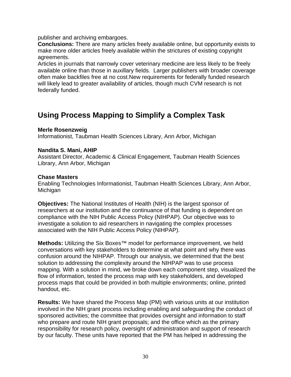publisher and archiving embargoes.

**Conclusions:** There are many articles freely available online, but opportunity exists to make more older articles freely available within the strictures of existing copyright agreements.

Articles in journals that narrowly cover veterinary medicine are less likely to be freely available online than those in auxillary fields. Larger publishers with broader coverage often make backfiles free at no cost.New requirements for federally funded research will likely lead to greater availability of articles, though much CVM research is not federally funded.

# **Using Process Mapping to Simplify a Complex Task**

### **Merle Rosenzweig**

Informationist, Taubman Health Sciences Library, Ann Arbor, Michigan

#### **Nandita S. Mani, AHIP**

Assistant Director, Academic & Clinical Engagement, Taubman Health Sciences Library, Ann Arbor, Michigan

#### **Chase Masters**

Enabling Technologies Informationist, Taubman Health Sciences Library, Ann Arbor, Michigan

**Objectives:** The National Institutes of Health (NIH) is the largest sponsor of researchers at our institution and the continuance of that funding is dependent on compliance with the NIH Public Access Policy (NIHPAP). Our objective was to investigate a solution to aid researchers in navigating the complex processes associated with the NIH Public Access Policy (NIHPAP).

**Methods:** Utilizing the Six Boxes™ model for performance improvement, we held conversations with key stakeholders to determine at what point and why there was confusion around the NIHPAP. Through our analysis, we determined that the best solution to addressing the complexity around the NIHPAP was to use process mapping. With a solution in mind, we broke down each component step, visualized the flow of information, tested the process map with key stakeholders, and developed process maps that could be provided in both multiple environments; online, printed handout, etc.

**Results:** We have shared the Process Map (PM) with various units at our institution involved in the NIH grant process including enabling and safeguarding the conduct of sponsored activities; the committee that provides oversight and information to staff who prepare and route NIH grant proposals; and the office which as the primary responsibility for research policy, oversight of administration and support of research by our faculty. These units have reported that the PM has helped in addressing the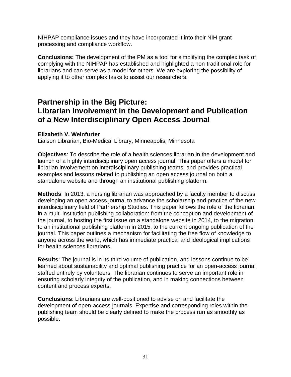NIHPAP compliance issues and they have incorporated it into their NIH grant processing and compliance workflow.

**Conclusions:** The development of the PM as a tool for simplifying the complex task of complying with the NIHPAP has established and highlighted a non-traditional role for librarians and can serve as a model for others. We are exploring the possibility of applying it to other complex tasks to assist our researchers.

# **Partnership in the Big Picture: Librarian Involvement in the Development and Publication of a New Interdisciplinary Open Access Journal**

### **Elizabeth V. Weinfurter**

Liaison Librarian, Bio-Medical Library, Minneapolis, Minnesota

**Objectives**: To describe the role of a health sciences librarian in the development and launch of a highly interdisciplinary open access journal. This paper offers a model for librarian involvement on interdisciplinary publishing teams, and provides practical examples and lessons related to publishing an open access journal on both a standalone website and through an institutional publishing platform.

**Methods**: In 2013, a nursing librarian was approached by a faculty member to discuss developing an open access journal to advance the scholarship and practice of the new interdisciplinary field of Partnership Studies. This paper follows the role of the librarian in a multi-institution publishing collaboration: from the conception and development of the journal, to hosting the first issue on a standalone website in 2014, to the migration to an institutional publishing platform in 2015, to the current ongoing publication of the journal. This paper outlines a mechanism for facilitating the free flow of knowledge to anyone across the world, which has immediate practical and ideological implications for health sciences librarians.

**Results**: The journal is in its third volume of publication, and lessons continue to be learned about sustainability and optimal publishing practice for an open-access journal staffed entirely by volunteers. The librarian continues to serve an important role in ensuring scholarly integrity of the publication, and in making connections between content and process experts.

**Conclusions**: Librarians are well-positioned to advise on and facilitate the development of open-access journals. Expertise and corresponding roles within the publishing team should be clearly defined to make the process run as smoothly as possible.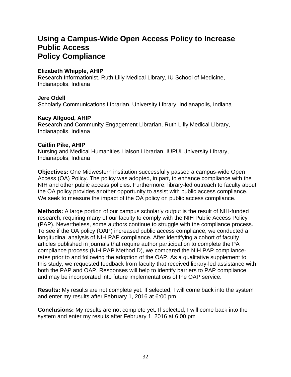# **Using a Campus-Wide Open Access Policy to Increase Public Access Policy Compliance**

### **Elizabeth Whipple, AHIP**

Research Informationist, Ruth Lilly Medical Library, IU School of Medicine, Indianapolis, Indiana

### **Jere Odell**

Scholarly Communications Librarian, University Library, Indianapolis, Indiana

### **Kacy Allgood, AHIP**

Research and Community Engagement Librarian, Ruth LIlly Medical Library, Indianapolis, Indiana

### **Caitlin Pike, AHIP**

Nursing and Medical Humanities Liaison Librarian, IUPUI University Library, Indianapolis, Indiana

**Objectives:** One Midwestern institution successfully passed a campus-wide Open Access (OA) Policy. The policy was adopted, in part, to enhance compliance with the NIH and other public access policies. Furthermore, library-led outreach to faculty about the OA policy provides another opportunity to assist with public access compliance. We seek to measure the impact of the OA policy on public access compliance.

**Methods:** A large portion of our campus scholarly output is the result of NIH-funded research, requiring many of our faculty to comply with the NIH Public Access Policy (PAP). Nevertheless, some authors continue to struggle with the compliance process. To see if the OA policy (OAP) increased public access compliance, we conducted a longitudinal analysis of NIH PAP compliance. After identifying a cohort of faculty articles published in journals that require author participation to complete the PA compliance process (NIH PAP Method D), we compared the NIH PAP compliancerates prior to and following the adoption of the OAP. As a qualitative supplement to this study, we requested feedback from faculty that received library-led assistance with both the PAP and OAP. Responses will help to identify barriers to PAP compliance and may be incorporated into future implementations of the OAP service.

**Results:** My results are not complete yet. If selected, I will come back into the system and enter my results after February 1, 2016 at 6:00 pm

**Conclusions:** My results are not complete yet. If selected, I will come back into the system and enter my results after February 1, 2016 at 6:00 pm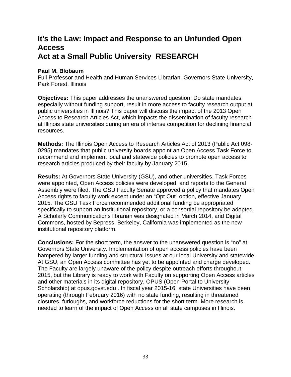# **It's the Law: Impact and Response to an Unfunded Open Access Act at a Small Public University RESEARCH**

### **Paul M. Blobaum**

Full Professor and Health and Human Services Librarian, Governors State University, Park Forest, Illinois

**Objectives:** This paper addresses the unanswered question: Do state mandates, especially without funding support, result in more access to faculty research output at public universities in Illinois? This paper will discuss the impact of the 2013 Open Access to Research Articles Act, which impacts the dissemination of faculty research at Illinois state universities during an era of intense competition for declining financial resources.

**Methods:** The Illinois Open Access to Research Articles Act of 2013 (Public Act 098- 0295) mandates that public university boards appoint an Open Access Task Force to recommend and implement local and statewide policies to promote open access to research articles produced by their faculty by January 2015.

**Results:** At Governors State University (GSU), and other universities, Task Forces were appointed, Open Access policies were developed, and reports to the General Assembly were filed. The GSU Faculty Senate approved a policy that mandates Open Access rights to faculty work except under an "Opt Out" option, effective January 2015. The GSU Task Force recommended additional funding be appropriated specifically to support an institutional repository, or a consortial repository be adopted. A Scholarly Communications librarian was designated in March 2014, and Digital Commons, hosted by Bepress, Berkeley, California was implemented as the new institutional repository platform.

**Conclusions:** For the short term, the answer to the unanswered question is "no" at Governors State University. Implementation of open access policies have been hampered by larger funding and structural issues at our local University and statewide. At GSU, an Open Access committee has yet to be appointed and charge developed. The Faculty are largely unaware of the policy despite outreach efforts throughout 2015, but the Library is ready to work with Faculty on supporting Open Access articles and other materials in its digital repository, OPUS (Open Portal to University Scholarship) at opus.govst.edu . In fiscal year 2015-16, state Universities have been operating (through February 2016) with no state funding, resulting in threatened closures, furloughs, and workforce reductions for the short term. More research is needed to learn of the impact of Open Access on all state campuses in Illinois.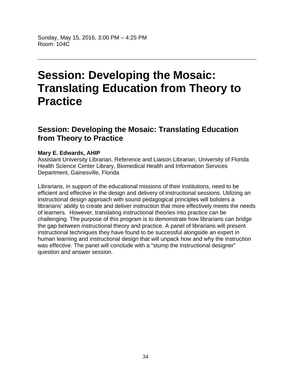Sunday, May 15, 2016, 3:00 PM – 4:25 PM Room: 104C

# **Session: Developing the Mosaic: Translating Education from Theory to Practice**

# **Session: Developing the Mosaic: Translating Education from Theory to Practice**

### **Mary E. Edwards, AHIP**

Assistant University Librarian, Reference and Liaison Librarian, University of Florida Health Science Center Library, Biomedical Health and Information Services Department, Gainesville, Florida

Librarians, in support of the educational missions of their institutions, need to be efficient and effective in the design and delivery of instructional sessions. Utilizing an instructional design approach with sound pedagogical principles will bolsters a librarians' ability to create and deliver instruction that more effectively meets the needs of learners. However, translating instructional theories into practice can be challenging. The purpose of this program is to demonstrate how librarians can bridge the gap between instructional theory and practice. A panel of librarians will present instructional techniques they have found to be successful alongside an expert in human learning and instructional design that will unpack how and why the instruction was effective. The panel will conclude with a "stump the instructional designer" question and answer session.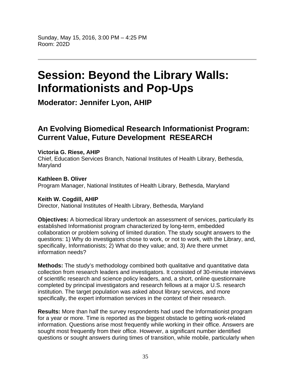# **Session: Beyond the Library Walls: Informationists and Pop-Ups**

**Moderator: Jennifer Lyon, AHIP**

# **An Evolving Biomedical Research Informationist Program: Current Value, Future Development RESEARCH**

# **Victoria G. Riese, AHIP**

Chief, Education Services Branch, National Institutes of Health Library, Bethesda, Maryland

**Kathleen B. Oliver**  Program Manager, National Institutes of Health Library, Bethesda, Maryland

### **Keith W. Cogdill, AHIP**

Director, National Institutes of Health Library, Bethesda, Maryland

**Objectives:** A biomedical library undertook an assessment of services, particularly its established Informationist program characterized by long-term, embedded collaboration or problem solving of limited duration. The study sought answers to the questions: 1) Why do investigators chose to work, or not to work, with the Library, and, specifically, Informationists; 2) What do they value; and, 3) Are there unmet information needs?

**Methods:** The study's methodology combined both qualitative and quantitative data collection from research leaders and investigators. It consisted of 30-minute interviews of scientific research and science policy leaders, and, a short, online questionnaire completed by principal investigators and research fellows at a major U.S. research institution. The target population was asked about library services, and more specifically, the expert information services in the context of their research.

**Results:** More than half the survey respondents had used the Informationist program for a year or more. Time is reported as the biggest obstacle to getting work-related information. Questions arise most frequently while working in their office. Answers are sought most frequently from their office. However, a significant number identified questions or sought answers during times of transition, while mobile, particularly when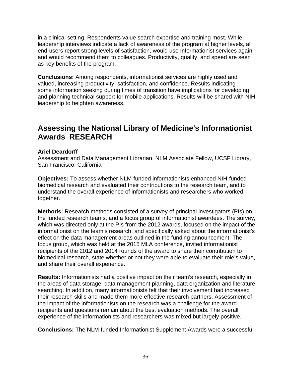in a clinical setting. Respondents value search expertise and training most. While leadership interviews indicate a lack of awareness of the program at higher levels, all end-users report strong levels of satisfaction, would use Informationist services again and would recommend them to colleagues. Productivity, quality, and speed are seen as key benefits of the program.

**Conclusions:** Among respondents, informationist services are highly used and valued, increasing productivity, satisfaction, and confidence. Results indicating some information seeking during times of transition have implications for developing and planning technical support for mobile applications. Results will be shared with NIH leadership to heighten awareness.

# **Assessing the National Library of Medicine's Informationist Awards RESEARCH**

### **Ariel Deardorff**

Assessment and Data Management Librarian, NLM Associate Fellow, UCSF Library, San Francisco, California

**Objectives:** To assess whether NLM-funded informationists enhanced NIH-funded biomedical research and evaluated their contributions to the research team, and to understand the overall experience of informationists and researchers who worked together.

**Methods:** Research methods consisted of a survey of principal investigators (PIs) on the funded research teams, and a focus group of informationist awardees. The survey, which was directed only at the PIs from the 2012 awards, focused on the impact of the informationist on the team's research, and specifically asked about the informationist's effect on the data management areas outlined in the funding announcement. The focus group, which was held at the 2015 MLA conference, invited informationist recipients of the 2012 and 2014 rounds of the award to share their contribution to biomedical research, state whether or not they were able to evaluate their role's value, and share their overall experience.

**Results:** Informationists had a positive impact on their team's research, especially in the areas of data storage, data management planning, data organization and literature searching. In addition, many informationists felt that their involvement had increased their research skills and made them more effective research partners. Assessment of the impact of the informationists on the research was a challenge for the award recipients and questions remain about the best evaluation methods. The overall experience of the informationists and researchers was mixed but largely positive.

**Conclusions:** The NLM-funded Informationist Supplement Awards were a successful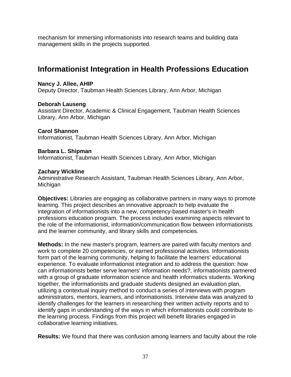mechanism for immersing informationists into research teams and building data management skills in the projects supported.

## **Informationist Integration in Health Professions Education**

### **Nancy J. Allee, AHIP**

Deputy Director, Taubman Health Sciences Library, Ann Arbor, Michigan

### **Deborah Lauseng**

Assistant Director, Academic & Clinical Engagement, Taubman Health Sciences Library, Ann Arbor, Michigan

### **Carol Shannon**

Informationist, Taubman Health Sciences Library, Ann Arbor, Michigan

### **Barbara L. Shipman**

Informationist, Taubman Health Sciences Library, Ann Arbor, Michigan

### **Zachary Wickline**

Administrative Research Assistant, Taubman Health Sciences Library, Ann Arbor, Michigan

**Objectives:** Libraries are engaging as collaborative partners in many ways to promote learning. This project describes an innovative approach to help evaluate the integration of informationists into a new, competency-based master's in health professions education program. The process includes examining aspects relevant to the role of the informationist, information/communication flow between informationists and the learner community, and library skills and competencies.

**Methods:** In the new master's program, learners are paired with faculty mentors and work to complete 20 competencies, or earned professional activities. Informationists form part of the learning community, helping to facilitate the learners' educational experience. To evaluate informationist integration and to address the question: how can informationists better serve learners' information needs?, informationists partnered with a group of graduate information science and health informatics students. Working together, the informationists and graduate students designed an evaluation plan, utilizing a contextual inquiry method to conduct a series of interviews with program administrators, mentors, learners, and informationists. Interview data was analyzed to identify challenges for the learners in researching their written activity reports and to identify gaps in understanding of the ways in which informationists could contribute to the learning process. Findings from this project will benefit libraries engaged in collaborative learning initiatives.

**Results:** We found that there was confusion among learners and faculty about the role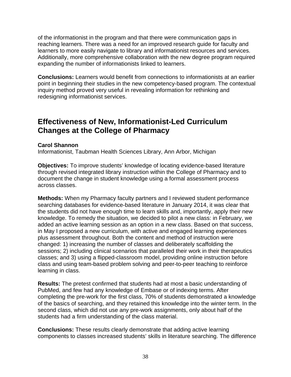of the informationist in the program and that there were communication gaps in reaching learners. There was a need for an improved research guide for faculty and learners to more easily navigate to library and informationist resources and services. Additionally, more comprehensive collaboration with the new degree program required expanding the number of informationists linked to learners.

**Conclusions:** Learners would benefit from connections to informationists at an earlier point in beginning their studies in the new competency-based program. The contextual inquiry method proved very useful in revealing information for rethinking and redesigning informationist services.

### **Effectiveness of New, Informationist-Led Curriculum Changes at the College of Pharmacy**

### **Carol Shannon**

Informationist, Taubman Health Sciences Library, Ann Arbor, Michigan

**Objectives:** To improve students' knowledge of locating evidence-based literature through revised integrated library instruction within the College of Pharmacy and to document the change in student knowledge using a formal assessment process across classes.

**Methods:** When my Pharmacy faculty partners and I reviewed student performance searching databases for evidence-based literature in January 2014, it was clear that the students did not have enough time to learn skills and, importantly, apply their new knowledge. To remedy the situation, we decided to pilot a new class: in February, we added an active learning session as an option in a new class. Based on that success, in May I proposed a new curriculum, with active and engaged learning experiences plus assessment throughout. Both the content and method of instruction were changed: 1) increasing the number of classes and deliberately scaffolding the sessions; 2) including clinical scenarios that paralleled their work in their therapeutics classes; and 3) using a flipped-classroom model, providing online instruction before class and using team-based problem solving and peer-to-peer teaching to reinforce learning in class.

**Results:** The pretest confirmed that students had at most a basic understanding of PubMed, and few had any knowledge of Embase or of indexing terms. After completing the pre-work for the first class, 70% of students demonstrated a knowledge of the basics of searching, and they retained this knowledge into the winter term. In the second class, which did not use any pre-work assignments, only about half of the students had a firm understanding of the class material.

**Conclusions:** These results clearly demonstrate that adding active learning components to classes increased students' skills in literature searching. The difference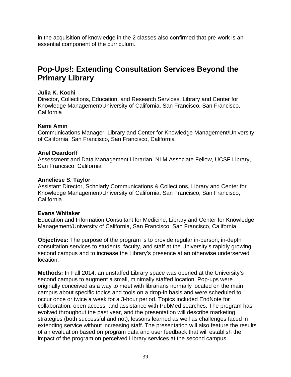in the acquisition of knowledge in the 2 classes also confirmed that pre-work is an essential component of the curriculum.

# **Pop-Ups!: Extending Consultation Services Beyond the Primary Library**

### **Julia K. Kochi**

Director, Collections, Education, and Research Services, Library and Center for Knowledge Management/University of California, San Francisco, San Francisco, **California** 

### **Kemi Amin**

Communications Manager, Library and Center for Knowledge Management/University of California, San Francisco, San Francisco, California

### **Ariel Deardorff**

Assessment and Data Management Librarian, NLM Associate Fellow, UCSF Library, San Francisco, California

### **Anneliese S. Taylor**

Assistant Director, Scholarly Communications & Collections, Library and Center for Knowledge Management/University of California, San Francisco, San Francisco, California

### **Evans Whitaker**

Education and Information Consultant for Medicine, Library and Center for Knowledge Management/University of California, San Francisco, San Francisco, California

**Objectives:** The purpose of the program is to provide regular in-person, in-depth consultation services to students, faculty, and staff at the University's rapidly growing second campus and to increase the Library's presence at an otherwise underserved location.

**Methods:** In Fall 2014, an unstaffed Library space was opened at the University's second campus to augment a small, minimally staffed location. Pop-ups were originally conceived as a way to meet with librarians normally located on the main campus about specific topics and tools on a drop-in basis and were scheduled to occur once or twice a week for a 3-hour period. Topics included EndNote for collaboration, open access, and assistance with PubMed searches. The program has evolved throughout the past year, and the presentation will describe marketing strategies (both successful and not), lessons learned as well as challenges faced in extending service without increasing staff. The presentation will also feature the results of an evaluation based on program data and user feedback that will establish the impact of the program on perceived Library services at the second campus.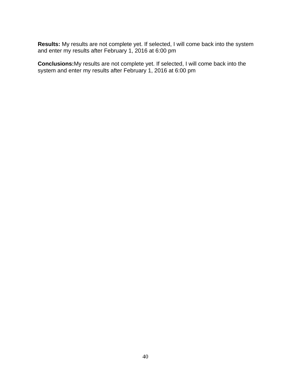**Results:** My results are not complete yet. If selected, I will come back into the system and enter my results after February 1, 2016 at 6:00 pm

**Conclusions:**My results are not complete yet. If selected, I will come back into the system and enter my results after February 1, 2016 at 6:00 pm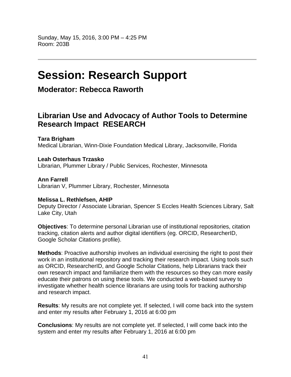# **Session: Research Support**

**Moderator: Rebecca Raworth**

# **Librarian Use and Advocacy of Author Tools to Determine Research Impact RESEARCH**

**Tara Brigham** 

Medical Librarian, Winn-Dixie Foundation Medical Library, Jacksonville, Florida

**Leah Osterhaus Trzasko** 

Librarian, Plummer Library / Public Services, Rochester, Minnesota

**Ann Farrell**  Librarian V, Plummer Library, Rochester, Minnesota

### **Melissa L. Rethlefsen, AHIP**

Deputy Director / Associate Librarian, Spencer S Eccles Health Sciences Library, Salt Lake City, Utah

**Objectives**: To determine personal Librarian use of institutional repositories, citation tracking, citation alerts and author digital identifiers (eg. ORCID, ResearcherID, Google Scholar Citations profile).

**Methods**: Proactive authorship involves an individual exercising the right to post their work in an institutional repository and tracking their research impact. Using tools such as ORCID, ResearcherID, and Google Scholar Citations, help Librarians track their own research impact and familiarize them with the resources so they can more easily educate their patrons on using these tools. We conducted a web-based survey to investigate whether health science librarians are using tools for tracking authorship and research impact.

**Results**: My results are not complete yet. If selected, I will come back into the system and enter my results after February 1, 2016 at 6:00 pm

**Conclusions**: My results are not complete yet. If selected, I will come back into the system and enter my results after February 1, 2016 at 6:00 pm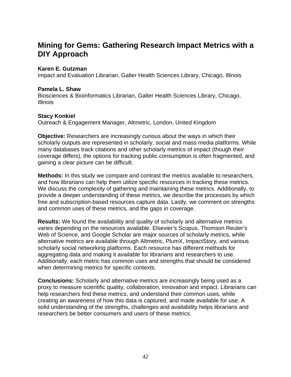# **Mining for Gems: Gathering Research Impact Metrics with a DIY Approach**

### **Karen E. Gutzman**

Impact and Evaluation Librarian, Galter Health Sciences Library, Chicago, Illinois

### **Pamela L. Shaw**

Biosciences & Bioinformatics Librarian, Galter Health Sciences Library, Chicago, **Illinois** 

### **Stacy Konkiel**

Outreach & Engagement Manager, Altmetric, London, United Kingdom

**Objective:** Researchers are increasingly curious about the ways in which their scholarly outputs are represented in scholarly, social and mass media platforms. While many databases track citations and other scholarly metrics of impact (though their coverage differs), the options for tracking public consumption is often fragmented, and gaining a clear picture can be difficult.

**Methods:** In this study we compare and contrast the metrics available to researchers, and how librarians can help them utilize specific resources in tracking these metrics. We discuss the complexity of gathering and maintaining these metrics. Additionally, to provide a deeper understanding of these metrics, we describe the processes by which free and subscription-based resources capture data. Lastly, we comment on strengths and common uses of these metrics, and the gaps in coverage.

**Results:** We found the availability and quality of scholarly and alternative metrics varies depending on the resources available. Elsevier's Scopus, Thomson Reuter's Web of Science, and Google Scholar are major sources of scholarly metrics, while alternative metrics are available through Altmetric, PlumX, ImpactStory, and various scholarly social networking platforms. Each resource has different methods for aggregating data and making it available for librarians and researchers to use. Additionally, each metric has common uses and strengths that should be considered when determining metrics for specific contexts.

**Conclusions:** Scholarly and alternative metrics are increasingly being used as a proxy to measure scientific quality, collaboration, innovation and impact. Librarians can help researchers find these metrics, and understand their common uses, while creating an awareness of how this data is captured, and made available for use. A solid understanding of the strengths, challenges and availability helps librarians and researchers be better consumers and users of these metrics.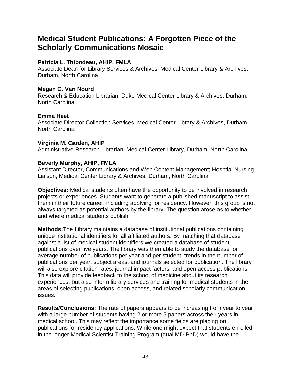## **Medical Student Publications: A Forgotten Piece of the Scholarly Communications Mosaic**

### **Patricia L. Thibodeau, AHIP, FMLA**

Associate Dean for Library Services & Archives, Medical Center Library & Archives, Durham, North Carolina

### **Megan G. Van Noord**

Research & Education Librarian, Duke Medical Center Library & Archives, Durham, North Carolina

### **Emma Heet**

Associate Director Collection Services, Medical Center Library & Archives, Durham, North Carolina

### **Virginia M. Carden, AHIP**

Administrative Research Librarian, Medical Center Library, Durham, North Carolina

### **Beverly Murphy, AHIP, FMLA**

Assistant Director, Communications and Web Content Management; Hosptial Nursing Liaison, Medical Center Library & Archives, Durham, North Carolina

**Objectives:** Medical students often have the opportunity to be involved in research projects or experiences. Students want to generate a published manuscript to assist them in their future career, including applying for residency. However, this group is not always targeted as potential authors by the library. The question arose as to whether and where medical students publish.

**Methods:**The Library maintains a database of institutional publications containing unique institutional identifiers for all affiliated authors. By matching that database against a list of medical student identifiers we created a database of student publications over five years. The library was then able to study the database for average number of publications per year and per student, trends in the number of publications per year, subject areas, and journals selected for publication. The library will also explore citation rates, journal impact factors, and open access publications. This data will provide feedback to the school of medicine about its research experiences, but also inform library services and training for medical students in the areas of selecting publications, open access, and related scholarly communication issues.

**Results/Conclusions:** The rate of papers appears to be increasing from year to year with a large number of students having 2 or more 5 papers across their years in medical school. This may reflect the importance some fields are placing on publications for residency applications. While one might expect that students enrolled in the longer Medical Scientist Training Program (dual MD-PhD) would have the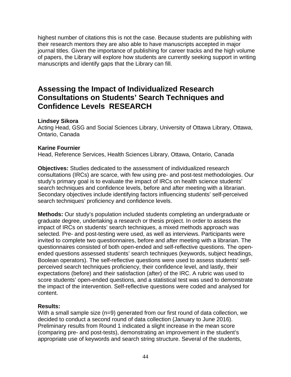highest number of citations this is not the case. Because students are publishing with their research mentors they are also able to have manuscripts accepted in major journal titles. Given the importance of publishing for career tracks and the high volume of papers, the Library will explore how students are currently seeking support in writing manuscripts and identify gaps that the Library can fill.

# **Assessing the Impact of Individualized Research Consultations on Students' Search Techniques and Confidence Levels RESEARCH**

### **Lindsey Sikora**

Acting Head, GSG and Social Sciences Library, University of Ottawa Library, Ottawa, Ontario, Canada

### **Karine Fournier**

Head, Reference Services, Health Sciences Library, Ottawa, Ontario, Canada

**Objectives:** Studies dedicated to the assessment of individualized research consultations (IRCs) are scarce, with few using pre- and post-test methodologies. Our study's primary goal is to evaluate the impact of IRCs on health science students' search techniques and confidence levels, before and after meeting with a librarian. Secondary objectives include identifying factors influencing students' self-perceived search techniques' proficiency and confidence levels.

**Methods:** Our study's population included students completing an undergraduate or graduate degree, undertaking a research or thesis project. In order to assess the impact of IRCs on students' search techniques, a mixed methods approach was selected. Pre- and post-testing were used, as well as interviews. Participants were invited to complete two questionnaires, before and after meeting with a librarian. The questionnaires consisted of both open-ended and self-reflective questions. The openended questions assessed students' search techniques (keywords, subject headings, Boolean operators). The self-reflective questions were used to assess students' selfperceived search techniques proficiency, their confidence level, and lastly, their expectations (before) and their satisfaction (after) of the IRC. A rubric was used to score students' open-ended questions, and a statistical test was used to demonstrate the impact of the intervention. Self-reflective questions were coded and analysed for content.

### **Results:**

With a small sample size (n=9) generated from our first round of data collection, we decided to conduct a second round of data collection (January to June 2016). Preliminary results from Round 1 indicated a slight increase in the mean score (comparing pre- and post-tests), demonstrating an improvement in the student's appropriate use of keywords and search string structure. Several of the students,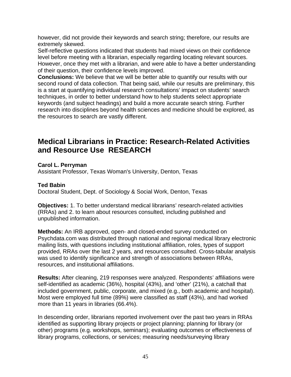however, did not provide their keywords and search string; therefore, our results are extremely skewed.

Self-reflective questions indicated that students had mixed views on their confidence level before meeting with a librarian, especially regarding locating relevant sources. However, once they met with a librarian, and were able to have a better understanding of their question, their confidence levels improved.

**Conclusions:** We believe that we will be better able to quantify our results with our second round of data collection. That being said, while our results are preliminary, this is a start at quantifying individual research consultations' impact on students' search techniques, in order to better understand how to help students select appropriate keywords (and subject headings) and build a more accurate search string. Further research into disciplines beyond health sciences and medicine should be explored, as the resources to search are vastly different.

# **Medical Librarians in Practice: Research-Related Activities and Resource Use RESEARCH**

**Carol L. Perryman** 

Assistant Professor, Texas Woman's University, Denton, Texas

### **Ted Babin**

Doctoral Student, Dept. of Sociology & Social Work, Denton, Texas

**Objectives:** 1. To better understand medical librarians' research-related activities (RRAs) and 2. to learn about resources consulted, including published and unpublished information.

**Methods:** An IRB approved, open- and closed-ended survey conducted on Psychdata.com was distributed through national and regional medical library electronic mailing lists, with questions including institutional affiliation, roles, types of support provided, RRAs over the last 2 years, and resources consulted. Cross-tabular analysis was used to identify significance and strength of associations between RRAs, resources, and institutional affiliations.

**Results:** After cleaning, 219 responses were analyzed. Respondents' affiliations were self-identified as academic (36%), hospital (43%), and 'other' (21%), a catchall that included government, public, corporate, and mixed (e.g., both academic and hospital). Most were employed full time (89%) were classified as staff (43%), and had worked more than 11 years in libraries (66.4%).

In descending order, librarians reported involvement over the past two years in RRAs identified as supporting library projects or project planning; planning for library (or other) programs (e.g. workshops, seminars); evaluating outcomes or effectiveness of library programs, collections, or services; measuring needs/surveying library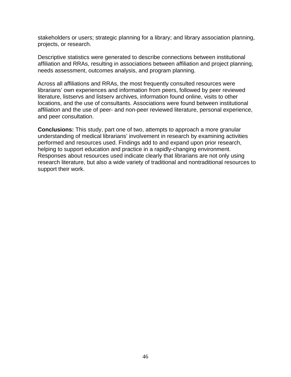stakeholders or users; strategic planning for a library; and library association planning, projects, or research.

Descriptive statistics were generated to describe connections between institutional affiliation and RRAs, resulting in associations between affiliation and project planning, needs assessment, outcomes analysis, and program planning.

Across all affiliations and RRAs, the most frequently consulted resources were librarians' own experiences and information from peers, followed by peer reviewed literature, listservs and listserv archives, information found online, visits to other locations, and the use of consultants. Associations were found between institutional affiliation and the use of peer- and non-peer reviewed literature, personal experience, and peer consultation.

**Conclusions:** This study, part one of two, attempts to approach a more granular understanding of medical librarians' involvement in research by examining activities performed and resources used. Findings add to and expand upon prior research, helping to support education and practice in a rapidly-changing environment. Responses about resources used indicate clearly that librarians are not only using research literature, but also a wide variety of traditional and nontraditional resources to support their work.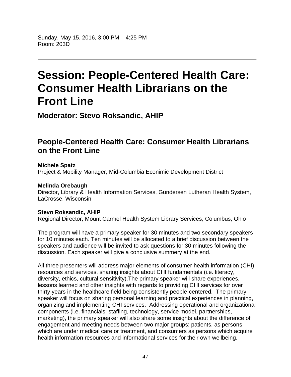Sunday, May 15, 2016, 3:00 PM – 4:25 PM Room: 203D

# **Session: People-Centered Health Care: Consumer Health Librarians on the Front Line**

**Moderator: Stevo Roksandic, AHIP**

# **People-Centered Health Care: Consumer Health Librarians on the Front Line**

#### **Michele Spatz**  Project & Mobility Manager, Mid-Columbia Econimic Development District

### **Melinda Orebaugh**

Director, Library & Health Information Services, Gundersen Lutheran Health System, LaCrosse, Wisconsin

### **Stevo Roksandic, AHIP**

Regional Director, Mount Carmel Health System Library Services, Columbus, Ohio

The program will have a primary speaker for 30 minutes and two secondary speakers for 10 minutes each. Ten minutes will be allocated to a brief discussion between the speakers and audience will be invited to ask questions for 30 minutes following the discussion. Each speaker will give a conclusive summery at the end.

All three presenters will address major elements of consumer health information (CHI) resources and services, sharing insights about CHI fundamentals (i.e. literacy, diversity, ethics, cultural sensitivity).The primary speaker will share experiences, lessons learned and other insights with regards to providing CHI services for over thirty years in the healthcare field being consistently people-centered. The primary speaker will focus on sharing personal learning and practical experiences in planning, organizing and implementing CHI services. Addressing operational and organizational components (i.e. financials, staffing, technology, service model, partnerships, marketing), the primary speaker will also share some insights about the difference of engagement and meeting needs between two major groups: patients, as persons which are under medical care or treatment, and consumers as persons which acquire health information resources and informational services for their own wellbeing,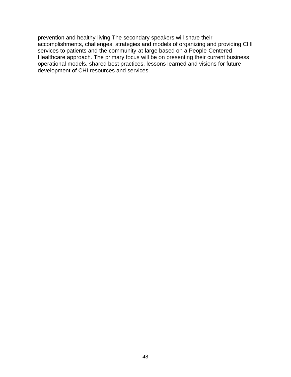prevention and healthy-living.The secondary speakers will share their accomplishments, challenges, strategies and models of organizing and providing CHI services to patients and the community-at-large based on a People-Centered Healthcare approach. The primary focus will be on presenting their current business operational models, shared best practices, lessons learned and visions for future development of CHI resources and services.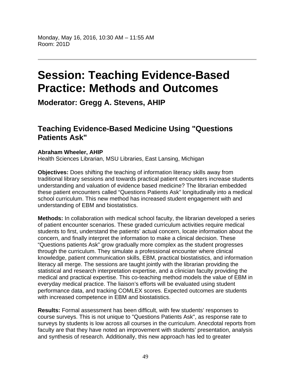# **Session: Teaching Evidence-Based Practice: Methods and Outcomes**

**Moderator: Gregg A. Stevens, AHIP**

## **Teaching Evidence-Based Medicine Using "Questions Patients Ask"**

### **Abraham Wheeler, AHIP**

Health Sciences Librarian, MSU Libraries, East Lansing, Michigan

**Objectives:** Does shifting the teaching of information literacy skills away from traditional library sessions and towards practical patient encounters increase students understanding and valuation of evidence based medicine? The librarian embedded these patient encounters called "Questions Patients Ask" longitudinally into a medical school curriculum. This new method has increased student engagement with and understanding of EBM and biostatistics.

**Methods:** In collaboration with medical school faculty, the librarian developed a series of patient encounter scenarios. These graded curriculum activities require medical students to first, understand the patients' actual concern, locate information about the concern, and finally interpret the information to make a clinical decision. These "Questions patients Ask" grow gradually more complex as the student progresses through the curriculum. They simulate a professional encounter where clinical knowledge, patient communication skills, EBM, practical biostatistics, and information literacy all merge. The sessions are taught jointly with the librarian providing the statistical and research interpretation expertise, and a clinician faculty providing the medical and practical expertise. This co-teaching method models the value of EBM in everyday medical practice. The liaison's efforts will be evaluated using student performance data, and tracking COMLEX scores. Expected outcomes are students with increased competence in EBM and biostatistics.

**Results:** Formal assessment has been difficult, with few students' responses to course surveys. This is not unique to "Questions Patients Ask", as response rate to surveys by students is low across all courses in the curriculum. Anecdotal reports from faculty are that they have noted an improvement with students' presentation, analysis and synthesis of research. Additionally, this new approach has led to greater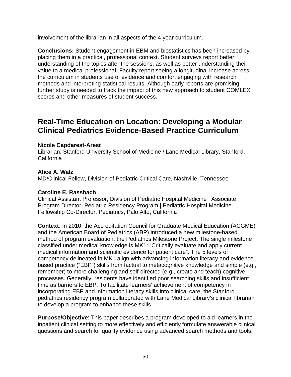involvement of the librarian in all aspects of the 4 year curriculum.

**Conclusions:** Student engagement in EBM and biostatistics has been increased by placing them in a practical, professional context. Student surveys report better understanding of the topics after the sessions, as well as better understanding their value to a medical professional. Faculty report seeing a longitudinal increase across the curriculum in students use of evidence and comfort engaging with research methods and interpreting statistical results. Although early reports are promising, further study is needed to track the impact of this new approach to student COMLEX scores and other measures of student success.

## **Real-Time Education on Location: Developing a Modular Clinical Pediatrics Evidence-Based Practice Curriculum**

### **Nicole Capdarest-Arest**

Librarian, Stanford University School of Medicine / Lane Medical Library, Stanford, California

### **Alice A. Walz**

MD/Clinical Fellow, Division of Pediatric Critical Care, Nashville, Tennessee

### **Caroline E. Rassbach**

Clinical Assistant Professor, Division of Pediatric Hospital Medicine | Associate Program Director, Pediatric Residency Program | Pediatric Hospital Medicine Fellowship Co-Director, Pediatrics, Palo Alto, California

**Context**: In 2010, the Accreditation Council for Graduate Medical Education (ACGME) and the American Board of Pediatrics (ABP) introduced a new milestone-based method of program evaluation, the Pediatrics Milestone Project. The single milestone classified under medical knowledge is MK1: "Critically evaluate and apply current medical information and scientific evidence for patient care". The 5 levels of competency delineated in MK1 align with advancing information literacy and evidencebased practice ("EBP") skills from factual to metacognitive knowledge and simple (e.g., remember) to more challenging and self-directed (e.g., create and teach) cognitive processes. Generally, residents have identified poor searching skills and insufficient time as barriers to EBP. To facilitate learners' achievement of competency in incorporating EBP and information literacy skills into clinical care, the Stanford pediatrics residency program collaborated with Lane Medical Library's clinical librarian to develop a program to enhance these skills.

**Purpose/Objective**: This paper describes a program developed to aid learners in the inpatient clinical setting to more effectively and efficiently formulate answerable clinical questions and search for quality evidence using advanced search methods and tools.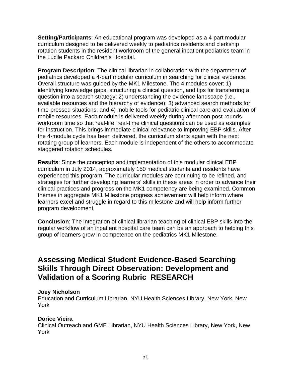**Setting/Participants**: An educational program was developed as a 4-part modular curriculum designed to be delivered weekly to pediatrics residents and clerkship rotation students in the resident workroom of the general inpatient pediatrics team in the Lucile Packard Children's Hospital.

**Program Description**: The clinical librarian in collaboration with the department of pediatrics developed a 4-part modular curriculum in searching for clinical evidence. Overall structure was guided by the MK1 Milestone. The 4 modules cover: 1) identifying knowledge gaps, structuring a clinical question, and tips for transferring a question into a search strategy; 2) understanding the evidence landscape (i.e., available resources and the hierarchy of evidence); 3) advanced search methods for time-pressed situations; and 4) mobile tools for pediatric clinical care and evaluation of mobile resources. Each module is delivered weekly during afternoon post-rounds workroom time so that real-life, real-time clinical questions can be used as examples for instruction. This brings immediate clinical relevance to improving EBP skills. After the 4-module cycle has been delivered, the curriculum starts again with the next rotating group of learners. Each module is independent of the others to accommodate staggered rotation schedules.

**Results**: Since the conception and implementation of this modular clinical EBP curriculum in July 2014, approximately 150 medical students and residents have experienced this program. The curricular modules are continuing to be refined, and strategies for further developing learners' skills in these areas in order to advance their clinical practices and progress on the MK1 competency are being examined. Common themes in aggregate MK1 Milestone progress achievement will help inform where learners excel and struggle in regard to this milestone and will help inform further program development.

**Conclusion**: The integration of clinical librarian teaching of clinical EBP skills into the regular workflow of an inpatient hospital care team can be an approach to helping this group of learners grow in competence on the pediatrics MK1 Milestone.

# **Assessing Medical Student Evidence-Based Searching Skills Through Direct Observation: Development and Validation of a Scoring Rubric RESEARCH**

### **Joey Nicholson**

Education and Curriculum Librarian, NYU Health Sciences Library, New York, New York

### **Dorice Vieira**

Clinical Outreach and GME Librarian, NYU Health Sciences Library, New York, New York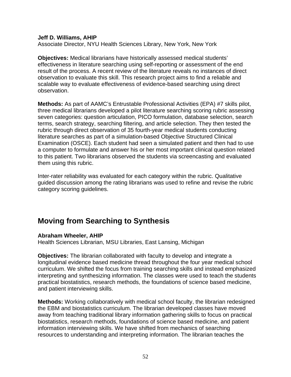#### **Jeff D. Williams, AHIP**

Associate Director, NYU Health Sciences Library, New York, New York

**Objectives:** Medical librarians have historically assessed medical students' effectiveness in literature searching using self-reporting or assessment of the end result of the process. A recent review of the literature reveals no instances of direct observation to evaluate this skill. This research project aims to find a reliable and scalable way to evaluate effectiveness of evidence-based searching using direct observation.

**Methods:** As part of AAMC's Entrustable Professional Activities (EPA) #7 skills pilot, three medical librarians developed a pilot literature searching scoring rubric assessing seven categories: question articulation, PICO formulation, database selection, search terms, search strategy, searching filtering, and article selection. They then tested the rubric through direct observation of 35 fourth-year medical students conducting literature searches as part of a simulation-based Objective Structured Clinical Examination (OSCE). Each student had seen a simulated patient and then had to use a computer to formulate and answer his or her most important clinical question related to this patient. Two librarians observed the students via screencasting and evaluated them using this rubric.

Inter-rater reliability was evaluated for each category within the rubric. Qualitative guided discussion among the rating librarians was used to refine and revise the rubric category scoring guidelines.

# **Moving from Searching to Synthesis**

### **Abraham Wheeler, AHIP**

Health Sciences Librarian, MSU Libraries, East Lansing, Michigan

**Objectives:** The librarian collaborated with faculty to develop and integrate a longitudinal evidence based medicine thread throughout the four year medical school curriculum. We shifted the focus from training searching skills and instead emphasized interpreting and synthesizing information. The classes were used to teach the students practical biostatistics, research methods, the foundations of science based medicine, and patient interviewing skills.

**Methods:** Working collaboratively with medical school faculty, the librarian redesigned the EBM and biostatistics curriculum. The librarian developed classes have moved away from teaching traditional library information gathering skills to focus on practical biostatistics, research methods, foundations of science based medicine, and patient information interviewing skills. We have shifted from mechanics of searching resources to understanding and interpreting information. The librarian teaches the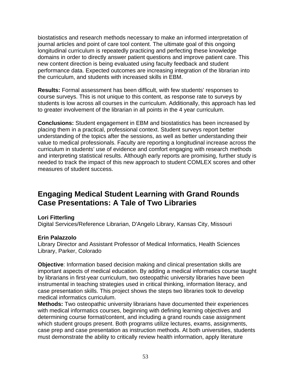biostatistics and research methods necessary to make an informed interpretation of journal articles and point of care tool content. The ultimate goal of this ongoing longitudinal curriculum is repeatedly practicing and perfecting these knowledge domains in order to directly answer patient questions and improve patient care. This new content direction is being evaluated using faculty feedback and student performance data. Expected outcomes are increasing integration of the librarian into the curriculum, and students with increased skills in EBM.

**Results:** Formal assessment has been difficult, with few students' responses to course surveys. This is not unique to this content, as response rate to surveys by students is low across all courses in the curriculum. Additionally, this approach has led to greater involvement of the librarian in all points in the 4 year curriculum.

**Conclusions:** Student engagement in EBM and biostatistics has been increased by placing them in a practical, professional context. Student surveys report better understanding of the topics after the sessions, as well as better understanding their value to medical professionals. Faculty are reporting a longitudinal increase across the curriculum in students' use of evidence and comfort engaging with research methods and interpreting statistical results. Although early reports are promising, further study is needed to track the impact of this new approach to student COMLEX scores and other measures of student success.

## **Engaging Medical Student Learning with Grand Rounds Case Presentations: A Tale of Two Libraries**

### **Lori Fitterling**

Digital Services/Reference Librarian, D'Angelo Library, Kansas City, Missouri

### **Erin Palazzolo**

Library Director and Assistant Professor of Medical Informatics, Health Sciences Library, Parker, Colorado

**Objective**: Information based decision making and clinical presentation skills are important aspects of medical education. By adding a medical informatics course taught by librarians in first-year curriculum, two osteopathic university libraries have been instrumental in teaching strategies used in critical thinking, information literacy, and case presentation skills. This project shows the steps two libraries took to develop medical informatics curriculum.

**Methods:** Two osteopathic university librarians have documented their experiences with medical informatics courses, beginning with defining learning objectives and determining course format/content, and including a grand rounds case assignment which student groups present. Both programs utilize lectures, exams, assignments, case prep and case presentation as instruction methods. At both universities, students must demonstrate the ability to critically review health information, apply literature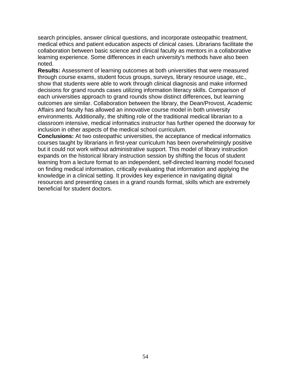search principles, answer clinical questions, and incorporate osteopathic treatment, medical ethics and patient education aspects of clinical cases. Librarians facilitate the collaboration between basic science and clinical faculty as mentors in a collaborative learning experience. Some differences in each university's methods have also been noted.

**Results:** Assessment of learning outcomes at both universities that were measured through course exams, student focus groups, surveys, library resource usage, etc., show that students were able to work through clinical diagnosis and make informed decisions for grand rounds cases utilizing information literacy skills. Comparison of each universities approach to grand rounds show distinct differences, but learning outcomes are similar. Collaboration between the library, the Dean/Provost, Academic Affairs and faculty has allowed an innovative course model in both university environments. Additionally, the shifting role of the traditional medical librarian to a classroom intensive, medical informatics instructor has further opened the doorway for inclusion in other aspects of the medical school curriculum.

**Conclusions:** At two osteopathic universities, the acceptance of medical informatics courses taught by librarians in first-year curriculum has been overwhelmingly positive but it could not work without administrative support. This model of library instruction expands on the historical library instruction session by shifting the focus of student learning from a lecture format to an independent, self-directed learning model focused on finding medical information, critically evaluating that information and applying the knowledge in a clinical setting. It provides key experience in navigating digital resources and presenting cases in a grand rounds format, skills which are extremely beneficial for student doctors.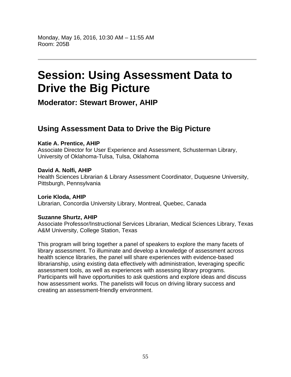# **Session: Using Assessment Data to Drive the Big Picture**

**Moderator: Stewart Brower, AHIP**

# **Using Assessment Data to Drive the Big Picture**

### **Katie A. Prentice, AHIP**

Associate Director for User Experience and Assessment, Schusterman Library, University of Oklahoma-Tulsa, Tulsa, Oklahoma

### **David A. Nolfi, AHIP**

Health Sciences Librarian & Library Assessment Coordinator, Duquesne University, Pittsburgh, Pennsylvania

**Lorie Kloda, AHIP**  Librarian, Concordia University Library, Montreal, Quebec, Canada

### **Suzanne Shurtz, AHIP**

Associate Professor/Instructional Services Librarian, Medical Sciences Library, Texas A&M University, College Station, Texas

This program will bring together a panel of speakers to explore the many facets of library assessment. To illuminate and develop a knowledge of assessment across health science libraries, the panel will share experiences with evidence-based librarianship, using existing data effectively with administration, leveraging specific assessment tools, as well as experiences with assessing library programs. Participants will have opportunities to ask questions and explore ideas and discuss how assessment works. The panelists will focus on driving library success and creating an assessment-friendly environment.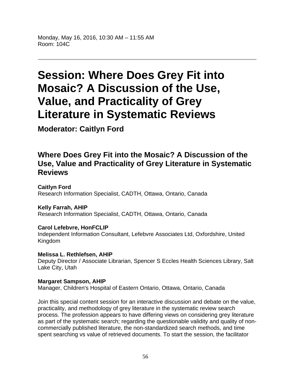Monday, May 16, 2016, 10:30 AM – 11:55 AM Room: 104C

# **Session: Where Does Grey Fit into Mosaic? A Discussion of the Use, Value, and Practicality of Grey Literature in Systematic Reviews**

**Moderator: Caitlyn Ford**

# **Where Does Grey Fit into the Mosaic? A Discussion of the Use, Value and Practicality of Grey Literature in Systematic Reviews**

**Caitlyn Ford**  Research Information Specialist, CADTH, Ottawa, Ontario, Canada

**Kelly Farrah, AHIP**  Research Information Specialist, CADTH, Ottawa, Ontario, Canada

### **Carol Lefebvre, HonFCLIP**

Independent Information Consultant, Lefebvre Associates Ltd, Oxfordshire, United Kingdom

### **Melissa L. Rethlefsen, AHIP**

Deputy Director / Associate Librarian, Spencer S Eccles Health Sciences Library, Salt Lake City, Utah

### **Margaret Sampson, AHIP**

Manager, Children's Hospital of Eastern Ontario, Ottawa, Ontario, Canada

Join this special content session for an interactive discussion and debate on the value, practicality, and methodology of grey literature in the systematic review search process. The profession appears to have differing views on considering grey literature as part of the systematic search; regarding the questionable validity and quality of noncommercially published literature, the non-standardized search methods, and time spent searching vs value of retrieved documents. To start the session, the facilitator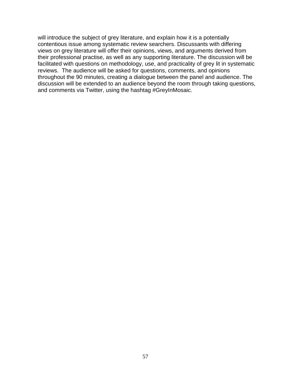will introduce the subject of grey literature, and explain how it is a potentially contentious issue among systematic review searchers. Discussants with differing views on grey literature will offer their opinions, views, and arguments derived from their professional practise, as well as any supporting literature. The discussion will be facilitated with questions on methodology, use, and practicality of grey lit in systematic reviews. The audience will be asked for questions, comments, and opinions throughout the 90 minutes, creating a dialogue between the panel and audience. The discussion will be extended to an audience beyond the room through taking questions, and comments via Twitter, using the hashtag #GreyInMosaic.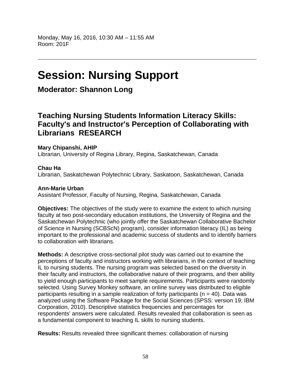# **Session: Nursing Support**

# **Moderator: Shannon Long**

# **Teaching Nursing Students Information Literacy Skills: Faculty's and Instructor's Perception of Collaborating with Librarians RESEARCH**

### **Mary Chipanshi, AHIP**

Librarian, University of Regina Library, Regina, Saskatchewan, Canada

### **Chau Ha**

Librarian, Saskatchewan Polytechnic Library, Saskatoon, Saskatchewan, Canada

### **Ann-Marie Urban**

Assistant Professor, Faculty of Nursing, Regina, Saskatchewan, Canada

**Objectives:** The objectives of the study were to examine the extent to which nursing faculty at two post-secondary education institutions, the University of Regina and the Saskatchewan Polytechnic (who jointly offer the Saskatchewan Collaborative Bachelor of Science in Nursing (SCBScN) program), consider information literacy (IL) as being important to the professional and academic success of students and to identify barriers to collaboration with librarians.

**Methods:** A descriptive cross-sectional pilot study was carried out to examine the perceptions of faculty and instructors working with librarians, in the context of teaching IL to nursing students. The nursing program was selected based on the diversity in their faculty and instructors, the collaborative nature of their programs, and their ability to yield enough participants to meet sample requirements. Participants were randomly selected. Using Survey Monkey software, an online survey was distributed to eligible participants resulting in a sample realization of forty participants ( $n = 40$ ). Data was analyzed using the Software Package for the Social Sciences (SPSS: version 19; IBM Corporation, 2010). Descriptive statistics frequencies and percentages for respondents' answers were calculated. Results revealed that collaboration is seen as a fundamental component to teaching IL skills to nursing students.

**Results:** Results revealed three significant themes: collaboration of nursing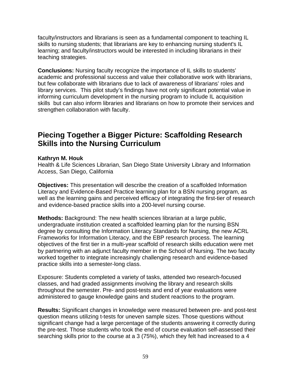faculty/instructors and librarians is seen as a fundamental component to teaching IL skills to nursing students; that librarians are key to enhancing nursing student's IL learning; and faculty/instructors would be interested in including librarians in their teaching strategies.

**Conclusions:** Nursing faculty recognize the importance of IL skills to students' academic and professional success and value their collaborative work with librarians, but few collaborate with librarians due to lack of awareness of librarians' roles and library services. This pilot study's findings have not only significant potential value in informing curriculum development in the nursing program to include IL acquisition skills but can also inform libraries and librarians on how to promote their services and strengthen collaboration with faculty.

# **Piecing Together a Bigger Picture: Scaffolding Research Skills into the Nursing Curriculum**

### **Kathryn M. Houk**

Health & Life Sciences Librarian, San Diego State University Library and Information Access, San Diego, California

**Objectives:** This presentation will describe the creation of a scaffolded Information Literacy and Evidence-Based Practice learning plan for a BSN nursing program, as well as the learning gains and perceived efficacy of integrating the first-tier of research and evidence-based practice skills into a 200-level nursing course.

**Methods:** Background: The new health sciences librarian at a large public, undergraduate institution created a scaffolded learning plan for the nursing BSN degree by consulting the Information Literacy Standards for Nursing, the new ACRL Frameworks for Information Literacy, and the EBP research process. The learning objectives of the first tier in a multi-year scaffold of research skills education were met by partnering with an adjunct faculty member in the School of Nursing. The two faculty worked together to integrate increasingly challenging research and evidence-based practice skills into a semester-long class.

Exposure: Students completed a variety of tasks, attended two research-focused classes, and had graded assignments involving the library and research skills throughout the semester. Pre- and post-tests and end of year evaluations were administered to gauge knowledge gains and student reactions to the program.

**Results:** Significant changes in knowledge were measured between pre- and post-test question means utilizing t-tests for uneven sample sizes. Those questions without significant change had a large percentage of the students answering it correctly during the pre-test. Those students who took the end of course evaluation self-assessed their searching skills prior to the course at a 3 (75%), which they felt had increased to a 4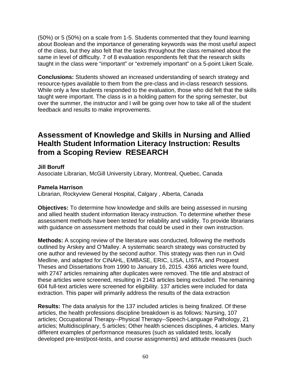(50%) or 5 (50%) on a scale from 1-5. Students commented that they found learning about Boolean and the importance of generating keywords was the most useful aspect of the class, but they also felt that the tasks throughout the class remained about the same in level of difficulty. 7 of 8 evaluation respondents felt that the research skills taught in the class were "important" or "extremely important" on a 5-point Likert Scale.

**Conclusions:** Students showed an increased understanding of search strategy and resource-types available to them from the pre-class and in-class research sessions. While only a few students responded to the evaluation, those who did felt that the skills taught were important. The class is in a holding pattern for the spring semester, but over the summer, the instructor and I will be going over how to take all of the student feedback and results to make improvements.

# **Assessment of Knowledge and Skills in Nursing and Allied Health Student Information Literacy Instruction: Results from a Scoping Review RESEARCH**

### **Jill Boruff**

Associate Librarian, McGill University Library, Montreal, Quebec, Canada

### **Pamela Harrison**

Librarian, Rockyview General Hospital, Calgary , Alberta, Canada

**Objectives:** To determine how knowledge and skills are being assessed in nursing and allied health student information literacy instruction. To determine whether these assessment methods have been tested for reliability and validity. To provide librarians with guidance on assessment methods that could be used in their own instruction.

**Methods:** A scoping review of the literature was conducted, following the methods outlined by Arskey and O'Malley. A systematic search strategy was constructed by one author and reviewed by the second author. This strategy was then run in Ovid Medline, and adapted for CINAHL, EMBASE, ERIC, LISA, LISTA, and Proquest Theses and Dissertations from 1990 to January 16, 2015. 4366 articles were found, with 2747 articles remaining after duplicates were removed. The title and abstract of these articles were screened, resulting in 2143 articles being excluded. The remaining 604 full-text articles were screened for eligibility. 137 articles were included for data extraction. This paper will primarily address the results of the data extraction

**Results:** The data analysis for the 137 included articles is being finalized. Of these articles, the health professions discipline breakdown is as follows: Nursing, 107 articles; Occupational Therapy--Physical Therapy--Speech-Language Pathology, 21 articles; Multidisciplinary, 5 articles; Other health sciences disciplines, 4 articles. Many different examples of performance measures (such as validated tests, locally developed pre-test/post-tests, and course assignments) and attitude measures (such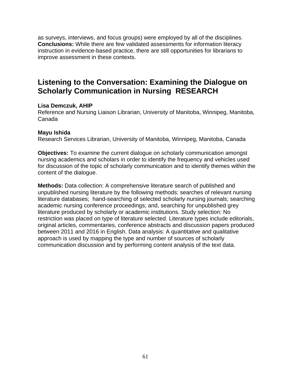as surveys, interviews, and focus groups) were employed by all of the disciplines. **Conclusions:** While there are few validated assessments for information literacy instruction in evidence-based practice, there are still opportunities for librarians to improve assessment in these contexts.

## **Listening to the Conversation: Examining the Dialogue on Scholarly Communication in Nursing RESEARCH**

### **Lisa Demczuk, AHIP**

Reference and Nursing Liaison Librarian, University of Manitoba, Winnipeg, Manitoba, Canada

### **Mayu Ishida**

Research Services Librarian, University of Manitoba, Winnipeg, Manitoba, Canada

**Objectives:** To examine the current dialogue on scholarly communication amongst nursing academics and scholars in order to identify the frequency and vehicles used for discussion of the topic of scholarly communication and to identify themes within the content of the dialogue.

**Methods:** Data collection: A comprehensive literature search of published and unpublished nursing literature by the following methods: searches of relevant nursing literature databases; hand-searching of selected scholarly nursing journals; searching academic nursing conference proceedings; and, searching for unpublished grey literature produced by scholarly or academic institutions. Study selection: No restriction was placed on type of literature selected. Literature types include editorials, original articles, commentaries, conference abstracts and discussion papers produced between 2011 and 2016 in English. Data analysis: A quantitative and qualitative approach is used by mapping the type and number of sources of scholarly communication discussion and by performing content analysis of the text data.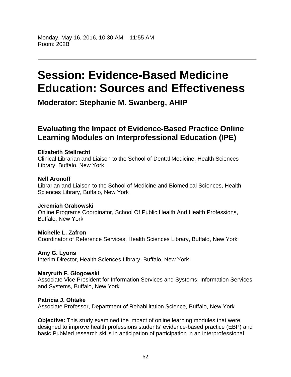# **Session: Evidence-Based Medicine Education: Sources and Effectiveness**

**Moderator: Stephanie M. Swanberg, AHIP**

# **Evaluating the Impact of Evidence-Based Practice Online Learning Modules on Interprofessional Education (IPE)**

### **Elizabeth Stellrecht**

Clinical Librarian and Liaison to the School of Dental Medicine, Health Sciences Library, Buffalo, New York

### **Nell Aronoff**

Librarian and Liaison to the School of Medicine and Biomedical Sciences, Health Sciences Library, Buffalo, New York

### **Jeremiah Grabowski**

Online Programs Coordinator, School Of Public Health And Health Professions, Buffalo, New York

### **Michelle L. Zafron**

Coordinator of Reference Services, Health Sciences Library, Buffalo, New York

### **Amy G. Lyons**

Interim Director, Health Sciences Library, Buffalo, New York

### **Maryruth F. Glogowski**

Associate Vice President for Information Services and Systems, Information Services and Systems, Buffalo, New York

### **Patricia J. Ohtake**

Associate Professor, Department of Rehabilitation Science, Buffalo, New York

**Objective:** This study examined the impact of online learning modules that were designed to improve health professions students' evidence-based practice (EBP) and basic PubMed research skills in anticipation of participation in an interprofessional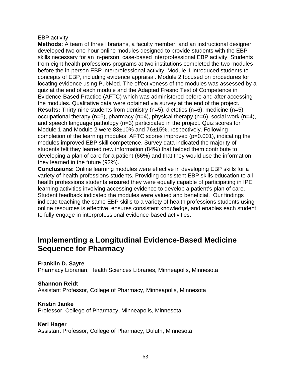### EBP activity.

**Methods:** A team of three librarians, a faculty member, and an instructional designer developed two one-hour online modules designed to provide students with the EBP skills necessary for an in-person, case-based interprofessional EBP activity. Students from eight health professions programs at two institutions completed the two modules before the in-person EBP interprofessional activity. Module 1 introduced students to concepts of EBP, including evidence appraisal. Module 2 focused on procedures for locating evidence using PubMed. The effectiveness of the modules was assessed by a quiz at the end of each module and the Adapted Fresno Test of Competence in Evidence-Based Practice (AFTC) which was administered before and after accessing the modules. Qualitative data were obtained via survey at the end of the project. **Results:** Thirty-nine students from dentistry (n=5), dietetics (n=6), medicine (n=5), occupational therapy (n=6), pharmacy (n=4), physical therapy (n=6), social work (n=4), and speech language pathology (n=3) participated in the project. Quiz scores for Module 1 and Module 2 were 83±10% and 76±15%, respectively. Following completion of the learning modules, AFTC scores improved (p=0.001), indicating the modules improved EBP skill competence. Survey data indicated the majority of students felt they learned new information (84%) that helped them contribute to developing a plan of care for a patient (66%) and that they would use the information they learned in the future (92%).

**Conclusions:** Online learning modules were effective in developing EBP skills for a variety of health professions students. Providing consistent EBP skills education to all health professions students ensured they were equally capable of participating in IPE learning activities involving accessing evidence to develop a patient's plan of care. Student feedback indicated the modules were valued and beneficial. Our findings indicate teaching the same EBP skills to a variety of health professions students using online resources is effective, ensures consistent knowledge, and enables each student to fully engage in interprofessional evidence-based activities.

# **Implementing a Longitudinal Evidence-Based Medicine Sequence for Pharmacy**

**Franklin D. Sayre** 

Pharmacy Librarian, Health Sciences Libraries, Minneapolis, Minnesota

### **Shannon Reidt**

Assistant Professor, College of Pharmacy, Minneapolis, Minnesota

### **Kristin Janke**

Professor, College of Pharmacy, Minneapolis, Minnesota

### **Keri Hager**

Assistant Professor, College of Pharmacy, Duluth, Minnesota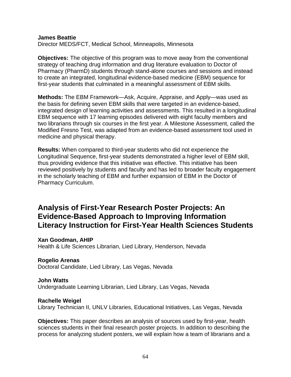#### **James Beattie**

Director MEDS/FCT, Medical School, Minneapolis, Minnesota

**Objectives:** The objective of this program was to move away from the conventional strategy of teaching drug information and drug literature evaluation to Doctor of Pharmacy (PharmD) students through stand-alone courses and sessions and instead to create an integrated, longitudinal evidence-based medicine (EBM) sequence for first-year students that culminated in a meaningful assessment of EBM skills.

**Methods:** The EBM Framework—Ask, Acquire, Appraise, and Apply—was used as the basis for defining seven EBM skills that were targeted in an evidence-based, integrated design of learning activities and assessments. This resulted in a longitudinal EBM sequence with 17 learning episodes delivered with eight faculty members and two librarians through six courses in the first year. A Milestone Assessment, called the Modified Fresno Test, was adapted from an evidence-based assessment tool used in medicine and physical therapy.

**Results:** When compared to third-year students who did not experience the Longitudinal Sequence, first-year students demonstrated a higher level of EBM skill, thus providing evidence that this initiative was effective. This initiative has been reviewed positively by students and faculty and has led to broader faculty engagement in the scholarly teaching of EBM and further expansion of EBM in the Doctor of Pharmacy Curriculum.

## **Analysis of First-Year Research Poster Projects: An Evidence-Based Approach to Improving Information Literacy Instruction for First-Year Health Sciences Students**

#### **Xan Goodman, AHIP**

Health & Life Sciences Librarian, Lied Library, Henderson, Nevada

#### **Rogelio Arenas**

Doctoral Candidate, Lied Library, Las Vegas, Nevada

#### **John Watts**

Undergraduate Learning Librarian, Lied Library, Las Vegas, Nevada

#### **Rachelle Weigel**

Library Technician II, UNLV Libraries, Educational Initiatives, Las Vegas, Nevada

**Objectives:** This paper describes an analysis of sources used by first-year, health sciences students in their final research poster projects. In addition to describing the process for analyzing student posters, we will explain how a team of librarians and a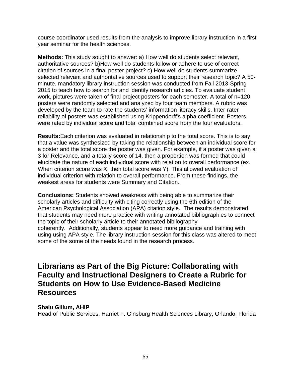course coordinator used results from the analysis to improve library instruction in a first year seminar for the health sciences.

**Methods:** This study sought to answer: a) How well do students select relevant, authoritative sources? b)How well do students follow or adhere to use of correct citation of sources in a final poster project? c) How well do students summarize selected relevant and authoritative sources used to support their research topic? A 50 minute, mandatory library instruction session was conducted from Fall 2013-Spring 2015 to teach how to search for and identify research articles. To evaluate student work, pictures were taken of final project posters for each semester. A total of n=120 posters were randomly selected and analyzed by four team members. A rubric was developed by the team to rate the students' information literacy skills. Inter-rater reliability of posters was established using Krippendorff's alpha coefficient. Posters were rated by individual score and total combined score from the four evaluators.

**Results:**Each criterion was evaluated in relationship to the total score. This is to say that a value was synthesized by taking the relationship between an individual score for a poster and the total score the poster was given. For example, if a poster was given a 3 for Relevance, and a totally score of 14, then a proportion was formed that could elucidate the nature of each individual score with relation to overall performance (ex. When criterion score was X, then total score was Y). This allowed evaluation of individual criterion with relation to overall performance. From these findings, the weakest areas for students were Summary and Citation.

**Conclusions:** Students showed weakness with being able to summarize their scholarly articles and difficulty with citing correctly using the 6th edition of the American Psychological Association (APA) citation style. The results demonstrated that students may need more practice with writing annotated bibliographies to connect the topic of their scholarly article to their annotated bibliography coherently. Additionally, students appear to need more guidance and training with using using APA style. The library instruction session for this class was altered to meet some of the some of the needs found in the research process.

## **Librarians as Part of the Big Picture: Collaborating with Faculty and Instructional Designers to Create a Rubric for Students on How to Use Evidence-Based Medicine Resources**

### **Shalu Gillum, AHIP**

Head of Public Services, Harriet F. Ginsburg Health Sciences Library, Orlando, Florida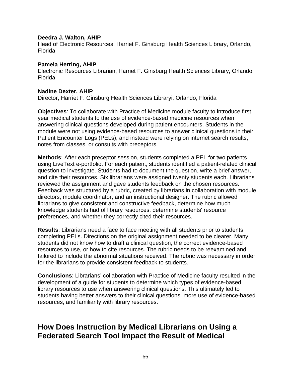#### **Deedra J. Walton, AHIP**

Head of Electronic Resources, Harriet F. Ginsburg Health Sciences Library, Orlando, Florida

#### **Pamela Herring, AHIP**

Electronic Resources Librarian, Harriet F. Ginsburg Health Sciences Library, Orlando, Florida

#### **Nadine Dexter, AHIP**

Director, Harriet F. Ginsburg Health Sciences Libraryi, Orlando, Florida

**Objectives**: To collaborate with Practice of Medicine module faculty to introduce first year medical students to the use of evidence-based medicine resources when answering clinical questions developed during patient encounters. Students in the module were not using evidence-based resources to answer clinical questions in their Patient Encounter Logs (PELs), and instead were relying on internet search results, notes from classes, or consults with preceptors.

**Methods**: After each preceptor session, students completed a PEL for two patients using LiveText e-portfolio. For each patient, students identified a patient-related clinical question to investigate. Students had to document the question, write a brief answer, and cite their resources. Six librarians were assigned twenty students each. Librarians reviewed the assignment and gave students feedback on the chosen resources. Feedback was structured by a rubric, created by librarians in collaboration with module directors, module coordinator, and an instructional designer. The rubric allowed librarians to give consistent and constructive feedback, determine how much knowledge students had of library resources, determine students' resource preferences, and whether they correctly cited their resources.

**Results**: Librarians need a face to face meeting with all students prior to students completing PELs. Directions on the original assignment needed to be clearer. Many students did not know how to draft a clinical question, the correct evidence-based resources to use, or how to cite resources. The rubric needs to be reexamined and tailored to include the abnormal situations received. The rubric was necessary in order for the librarians to provide consistent feedback to students.

**Conclusions**: Librarians' collaboration with Practice of Medicine faculty resulted in the development of a guide for students to determine which types of evidence-based library resources to use when answering clinical questions. This ultimately led to students having better answers to their clinical questions, more use of evidence-based resources, and familiarity with library resources.

# **How Does Instruction by Medical Librarians on Using a Federated Search Tool Impact the Result of Medical**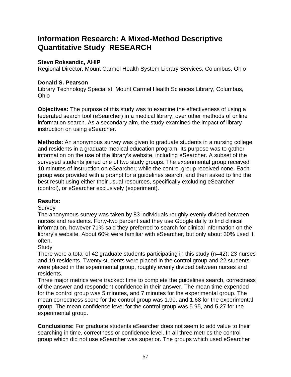# **Information Research: A Mixed-Method Descriptive Quantitative Study RESEARCH**

### **Stevo Roksandic, AHIP**

Regional Director, Mount Carmel Health System Library Services, Columbus, Ohio

### **Donald S. Pearson**

Library Technology Specialist, Mount Carmel Health Sciences Library, Columbus, Ohio

**Objectives:** The purpose of this study was to examine the effectiveness of using a federated search tool (eSearcher) in a medical library, over other methods of online information search. As a secondary aim, the study examined the impact of library instruction on using eSearcher.

**Methods:** An anonymous survey was given to graduate students in a nursing college and residents in a graduate medical education program. Its purpose was to gather information on the use of the library's website, including eSearcher. A subset of the surveyed students joined one of two study groups. The experimental group received 10 minutes of instruction on eSearcher; while the control group received none. Each group was provided with a prompt for a guidelines search, and then asked to find the best result using either their usual resources, specifically excluding eSearcher (control), or eSearcher exclusively (experiment).

### **Results:**

### **Survey**

The anonymous survey was taken by 83 individuals roughly evenly divided between nurses and residents. Forty-two percent said they use Google daily to find clinical information, however 71% said they preferred to search for clinical information on the library's website. About 60% were familiar with eSearcher, but only about 30% used it often.

### **Study**

There were a total of 42 graduate students participating in this study (n=42); 23 nurses and 19 residents. Twenty students were placed in the control group and 22 students were placed in the experimental group, roughly evenly divided between nurses and residents.

Three major metrics were tracked: time to complete the guidelines search, correctness of the answer and respondent confidence in their answer. The mean time expended for the control group was 5 minutes, and 7 minutes for the experimental group. The mean correctness score for the control group was 1.90, and 1.68 for the experimental group. The mean confidence level for the control group was 5.95, and 5.27 for the experimental group.

**Conclusions:** For graduate students eSearcher does not seem to add value to their searching in time, correctness or confidence level. In all three metrics the control group which did not use eSearcher was superior. The groups which used eSearcher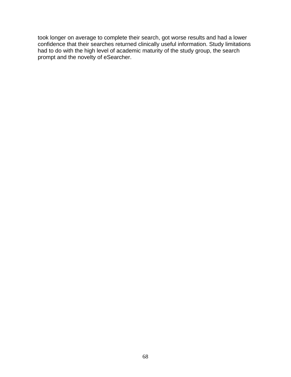took longer on average to complete their search, got worse results and had a lower confidence that their searches returned clinically useful information. Study limitations had to do with the high level of academic maturity of the study group, the search prompt and the novelty of eSearcher.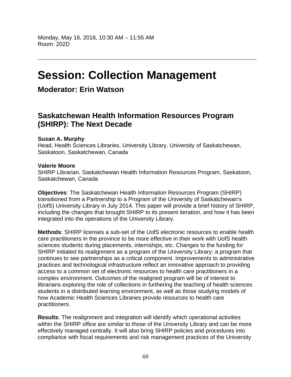# **Session: Collection Management**

## **Moderator: Erin Watson**

## **Saskatchewan Health Information Resources Program (SHIRP): The Next Decade**

### **Susan A. Murphy**

Head, Health Sciences Libraries, University Library, University of Saskatchewan, Saskatoon, Saskatchewan, Canada

### **Valerie Moore**

SHIRP Librarian, Saskatchewan Health Information Resources Program, Saskatoon, Saskatchewan, Canada

**Objectives**: The Saskatchewan Health Information Resources Program (SHIRP) transitioned from a Partnership to a Program of the University of Saskatchewan's (UofS) University Library in July 2014. This paper will provide a brief history of SHIRP, including the changes that brought SHIRP to its present iteration, and how it has been integrated into the operations of the University Library.

**Methods**: SHIRP licenses a sub-set of the UofS electronic resources to enable health care practitioners in the province to be more effective in their work with UofS health sciences students during placements, internships, etc. Changes to the funding for SHIRP initiated its realignment as a program of the University Library; a program that continues to see partnerships as a critical component. Improvements to administrative practices and technological infrastructure reflect an innovative approach to providing access to a common set of electronic resources to health care practitioners in a complex environment. Outcomes of the realigned program will be of interest to librarians exploring the role of collections in furthering the teaching of health sciences students in a distributed learning environment, as well as those studying models of how Academic Health Sciences Libraries provide resources to health care practitioners.

**Results**: The realignment and integration will identify which operational activities within the SHIRP office are similar to those of the University Library and can be more effectively managed centrally. It will also bring SHIRP policies and procedures into compliance with fiscal requirements and risk management practices of the University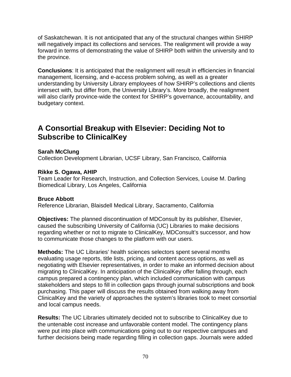of Saskatchewan. It is not anticipated that any of the structural changes within SHIRP will negatively impact its collections and services. The realignment will provide a way forward in terms of demonstrating the value of SHIRP both within the university and to the province.

**Conclusions**: It is anticipated that the realignment will result in efficiencies in financial management, licensing, and e-access problem solving, as well as a greater understanding by University Library employees of how SHIRP's collections and clients intersect with, but differ from, the University Library's. More broadly, the realignment will also clarify province-wide the context for SHIRP's governance, accountability, and budgetary context.

# **A Consortial Breakup with Elsevier: Deciding Not to Subscribe to ClinicalKey**

### **Sarah McClung**

Collection Development Librarian, UCSF Library, San Francisco, California

### **Rikke S. Ogawa, AHIP**

Team Leader for Research, Instruction, and Collection Services, Louise M. Darling Biomedical Library, Los Angeles, California

### **Bruce Abbott**

Reference Librarian, Blaisdell Medical Library, Sacramento, California

**Objectives:** The planned discontinuation of MDConsult by its publisher, Elsevier, caused the subscribing University of California (UC) Libraries to make decisions regarding whether or not to migrate to ClinicalKey, MDConsult's successor, and how to communicate those changes to the platform with our users.

**Methods:** The UC Libraries' health sciences selectors spent several months evaluating usage reports, title lists, pricing, and content access options, as well as negotiating with Elsevier representatives, in order to make an informed decision about migrating to ClinicalKey. In anticipation of the ClinicalKey offer falling through, each campus prepared a contingency plan, which included communication with campus stakeholders and steps to fill in collection gaps through journal subscriptions and book purchasing. This paper will discuss the results obtained from walking away from ClinicalKey and the variety of approaches the system's libraries took to meet consortial and local campus needs.

**Results:** The UC Libraries ultimately decided not to subscribe to ClinicalKey due to the untenable cost increase and unfavorable content model. The contingency plans were put into place with communications going out to our respective campuses and further decisions being made regarding filling in collection gaps. Journals were added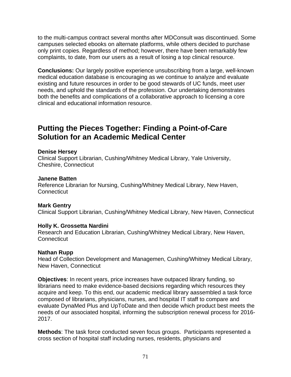to the multi-campus contract several months after MDConsult was discontinued. Some campuses selected ebooks on alternate platforms, while others decided to purchase only print copies. Regardless of method; however, there have been remarkably few complaints, to date, from our users as a result of losing a top clinical resource.

**Conclusions:** Our largely positive experience unsubscribing from a large, well-known medical education database is encouraging as we continue to analyze and evaluate existing and future resources in order to be good stewards of UC funds, meet user needs, and uphold the standards of the profession. Our undertaking demonstrates both the benefits and complications of a collaborative approach to licensing a core clinical and educational information resource.

## **Putting the Pieces Together: Finding a Point-of-Care Solution for an Academic Medical Center**

#### **Denise Hersey**

Clinical Support Librarian, Cushing/Whitney Medical Library, Yale University, Cheshire, Connecticut

#### **Janene Batten**

Reference Librarian for Nursing, Cushing/Whitney Medical Library, New Haven, **Connecticut** 

### **Mark Gentry**

Clinical Support Librarian, Cushing/Whitney Medical Library, New Haven, Connecticut

### **Holly K. Grossetta Nardini**

Research and Education Librarian, Cushing/Whitney Medical Library, New Haven, **Connecticut** 

### **Nathan Rupp**

Head of Collection Development and Managemen, Cushing/Whitney Medical Library, New Haven, Connecticut

**Objectives**: In recent years, price increases have outpaced library funding, so librarians need to make evidence-based decisions regarding which resources they acquire and keep. To this end, our academic medical library aassembled a task force composed of librarians, physicians, nurses, and hospital IT staff to compare and evaluate DynaMed Plus and UpToDate and then decide which product best meets the needs of our associated hospital, informing the subscription renewal process for 2016- 2017.

**Methods**: The task force conducted seven focus groups. Participants represented a cross section of hospital staff including nurses, residents, physicians and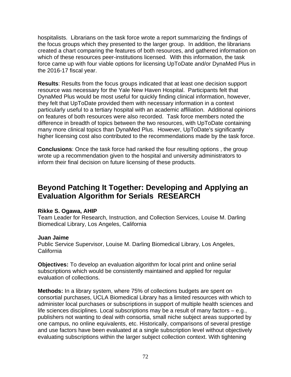hospitalists. Librarians on the task force wrote a report summarizing the findings of the focus groups which they presented to the larger group. In addition, the librarians created a chart comparing the features of both resources, and gathered information on which of these resources peer-institutions licensed. With this information, the task force came up with four viable options for licensing UpToDate and/or DynaMed Plus in the 2016-17 fiscal year.

**Results**: Results from the focus groups indicated that at least one decision support resource was necessary for the Yale New Haven Hospital. Participants felt that DynaMed Plus would be most useful for quickly finding clinical information, however, they felt that UpToDate provided them with necessary information in a context particularly useful to a tertiary hospital with an academic affiliation. Additional opinions on features of both resources were also recorded. Task force members noted the difference in breadth of topics between the two resources, with UpToDate containing many more clinical topics than DynaMed Plus. However, UpToDate's significantly higher licensing cost also contributed to the recommendations made by the task force.

**Conclusions**: Once the task force had ranked the four resulting options , the group wrote up a recommendation given to the hospital and university administrators to inform their final decision on future licensing of these products.

# **Beyond Patching It Together: Developing and Applying an Evaluation Algorithm for Serials RESEARCH**

### **Rikke S. Ogawa, AHIP**

Team Leader for Research, Instruction, and Collection Services, Louise M. Darling Biomedical Library, Los Angeles, California

### **Juan Jaime**

Public Service Supervisor, Louise M. Darling Biomedical Library, Los Angeles, California

**Objectives:** To develop an evaluation algorithm for local print and online serial subscriptions which would be consistently maintained and applied for regular evaluation of collections.

**Methods:** In a library system, where 75% of collections budgets are spent on consortial purchases, UCLA Biomedical Library has a limited resources with which to administer local purchases or subscriptions in support of multiple health sciences and life sciences disciplines. Local subscriptions may be a result of many factors – e.g., publishers not wanting to deal with consortia, small niche subject areas supported by one campus, no online equivalents, etc. Historically, comparisons of several prestige and use factors have been evaluated at a single subscription level without objectively evaluating subscriptions within the larger subject collection context. With tightening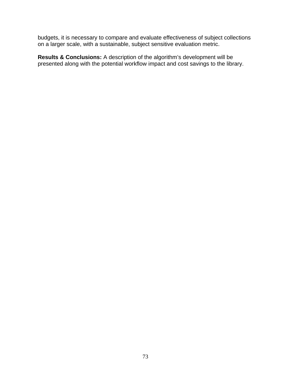budgets, it is necessary to compare and evaluate effectiveness of subject collections on a larger scale, with a sustainable, subject sensitive evaluation metric.

**Results & Conclusions:** A description of the algorithm's development will be presented along with the potential workflow impact and cost savings to the library.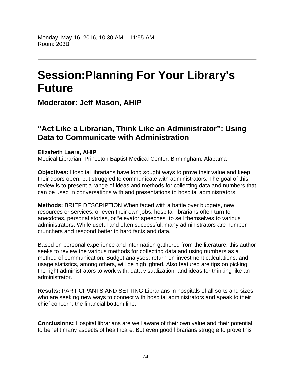Monday, May 16, 2016, 10:30 AM – 11:55 AM Room: 203B

# **Session:Planning For Your Library's Future**

**Moderator: Jeff Mason, AHIP**

### **"Act Like a Librarian, Think Like an Administrator": Using Data to Communicate with Administration**

#### **Elizabeth Laera, AHIP**

Medical Librarian, Princeton Baptist Medical Center, Birmingham, Alabama

**Objectives:** Hospital librarians have long sought ways to prove their value and keep their doors open, but struggled to communicate with administrators. The goal of this review is to present a range of ideas and methods for collecting data and numbers that can be used in conversations with and presentations to hospital administrators.

**Methods:** BRIEF DESCRIPTION When faced with a battle over budgets, new resources or services, or even their own jobs, hospital librarians often turn to anecdotes, personal stories, or "elevator speeches" to sell themselves to various administrators. While useful and often successful, many administrators are number crunchers and respond better to hard facts and data.

Based on personal experience and information gathered from the literature, this author seeks to review the various methods for collecting data and using numbers as a method of communication. Budget analyses, return-on-investment calculations, and usage statistics, among others, will be highlighted. Also featured are tips on picking the right administrators to work with, data visualization, and ideas for thinking like an administrator.

**Results:** PARTICIPANTS AND SETTING Librarians in hospitals of all sorts and sizes who are seeking new ways to connect with hospital administrators and speak to their chief concern: the financial bottom line.

**Conclusions:** Hospital librarians are well aware of their own value and their potential to benefit many aspects of healthcare. But even good librarians struggle to prove this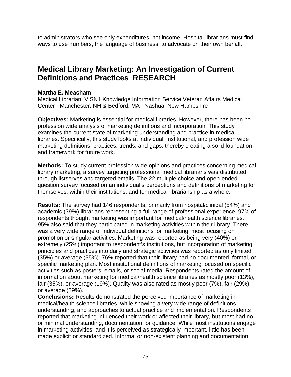to administrators who see only expenditures, not income. Hospital librarians must find ways to use numbers, the language of business, to advocate on their own behalf.

## **Medical Library Marketing: An Investigation of Current Definitions and Practices RESEARCH**

### **Martha E. Meacham**

Medical Librarian, VISN1 Knowledge Information Service Veteran Affairs Medical Center - Manchester, NH & Bedford, MA , Nashua, New Hampshire

**Objectives:** Marketing is essential for medical libraries. However, there has been no profession wide analysis of marketing definitions and incorporation. This study examines the current state of marketing understanding and practice in medical libraries. Specifically, this study looks at individual, institutional, and profession wide marketing definitions, practices, trends, and gaps, thereby creating a solid foundation and framework for future work.

**Methods:** To study current profession wide opinions and practices concerning medical library marketing, a survey targeting professional medical librarians was distributed through listserves and targeted emails. The 22 multiple choice and open-ended question survey focused on an individual's perceptions and definitions of marketing for themselves, within their institutions, and for medical librarianship as a whole.

**Results:** The survey had 146 respondents, primarily from hospital/clinical (54%) and academic (39%) librarians representing a full range of professional experience. 97% of respondents thought marketing was important for medical/health science libraries. 95% also said that they participated in marketing activities within their library. There was a very wide range of individual definitions for marketing, most focusing on promotion or singular activities. Marketing was reported as being very (40%) or extremely (25%) important to respondent's institutions, but incorporation of marketing principles and practices into daily and strategic activities was reported as only limited (35%) or average (35%). 76% reported that their library had no documented, formal, or specific marketing plan. Most institutional definitions of marketing focused on specific activities such as posters, emails, or social media. Respondents rated the amount of information about marketing for medical/health science libraries as mostly poor (13%), fair (35%), or average (19%). Quality was also rated as mostly poor (7%), fair (29%), or average (29%).

**Conclusions:** Results demonstrated the perceived importance of marketing in medical/health science libraries, while showing a very wide range of definitions, understanding, and approaches to actual practice and implementation. Respondents reported that marketing influenced their work or affected their library, but most had no or minimal understanding, documentation, or guidance. While most institutions engage in marketing activities, and it is perceived as strategically important, little has been made explicit or standardized. Informal or non-existent planning and documentation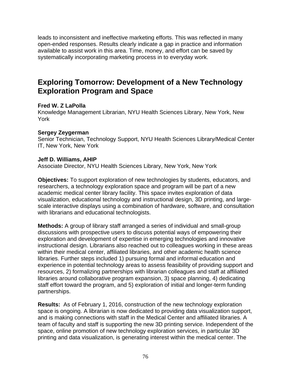leads to inconsistent and ineffective marketing efforts. This was reflected in many open-ended responses. Results clearly indicate a gap in practice and information available to assist work in this area. Time, money, and effort can be saved by systematically incorporating marketing process in to everyday work.

### **Exploring Tomorrow: Development of a New Technology Exploration Program and Space**

### **Fred W. Z LaPolla**

Knowledge Management Librarian, NYU Health Sciences Library, New York, New York

### **Sergey Zeygerman**

Senior Technician, Technology Support, NYU Health Sciences Library/Medical Center IT, New York, New York

### **Jeff D. Williams, AHIP**

Associate Director, NYU Health Sciences Library, New York, New York

**Objectives:** To support exploration of new technologies by students, educators, and researchers, a technology exploration space and program will be part of a new academic medical center library facility. This space invites exploration of data visualization, educational technology and instructional design, 3D printing, and largescale interactive displays using a combination of hardware, software, and consultation with librarians and educational technologists.

**Methods:** A group of library staff arranged a series of individual and small-group discussions with prospective users to discuss potential ways of empowering their exploration and development of expertise in emerging technologies and innovative instructional design. Librarians also reached out to colleagues working in these areas within their medical center, affiliated libraries, and other academic health science libraries. Further steps included 1) pursuing formal and informal education and experience in potential technology areas to assess feasibility of providing support and resources, 2) formalizing partnerships with librarian colleagues and staff at affiliated libraries around collaborative program expansion, 3) space planning, 4) dedicating staff effort toward the program, and 5) exploration of initial and longer-term funding partnerships.

**Results:** As of February 1, 2016, construction of the new technology exploration space is ongoing. A librarian is now dedicated to providing data visualization support, and is making connections with staff in the Medical Center and affiliated libraries. A team of faculty and staff is supporting the new 3D printing service. Independent of the space, online promotion of new technology exploration services, in particular 3D printing and data visualization, is generating interest within the medical center. The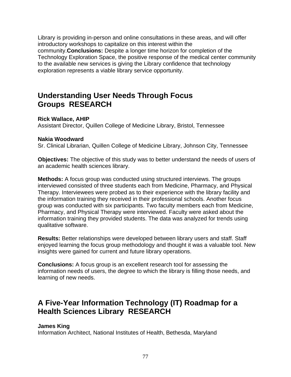Library is providing in-person and online consultations in these areas, and will offer introductory workshops to capitalize on this interest within the community.**Conclusions:** Despite a longer time horizon for completion of the Technology Exploration Space, the positive response of the medical center community to the available new services is giving the Library confidence that technology exploration represents a viable library service opportunity.

### **Understanding User Needs Through Focus Groups RESEARCH**

### **Rick Wallace, AHIP**

Assistant Director, Quillen College of Medicine Library, Bristol, Tennessee

### **Nakia Woodward**

Sr. Clinical Librarian, Quillen College of Medicine Library, Johnson City, Tennessee

**Objectives:** The objective of this study was to better understand the needs of users of an academic health sciences library.

**Methods:** A focus group was conducted using structured interviews. The groups interviewed consisted of three students each from Medicine, Pharmacy, and Physical Therapy. Interviewees were probed as to their experience with the library facility and the information training they received in their professional schools. Another focus group was conducted with six participants. Two faculty members each from Medicine, Pharmacy, and Physical Therapy were interviewed. Faculty were asked about the information training they provided students. The data was analyzed for trends using qualitative software.

**Results:** Better relationships were developed between library users and staff. Staff enjoyed learning the focus group methodology and thought it was a valuable tool. New insights were gained for current and future library operations.

**Conclusions:** A focus group is an excellent research tool for assessing the information needs of users, the degree to which the library is filling those needs, and learning of new needs.

## **A Five-Year Information Technology (IT) Roadmap for a Health Sciences Library RESEARCH**

### **James King**

Information Architect, National Institutes of Health, Bethesda, Maryland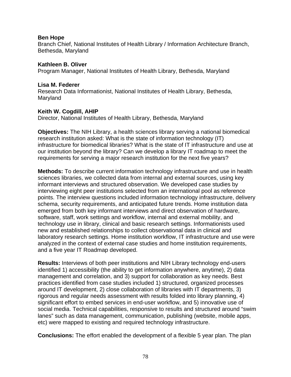### **Ben Hope**

Branch Chief, National Institutes of Health Library / Information Architecture Branch, Bethesda, Maryland

#### **Kathleen B. Oliver**  Program Manager, National Institutes of Health Library, Bethesda, Maryland

### **Lisa M. Federer**

Research Data Informationist, National Institutes of Health Library, Bethesda, Maryland

### **Keith W. Cogdill, AHIP**

Director, National Institutes of Health Library, Bethesda, Maryland

**Objectives:** The NIH Library, a health sciences library serving a national biomedical research institution asked: What is the state of information technology (IT) infrastructure for biomedical libraries? What is the state of IT infrastructure and use at our institution beyond the library? Can we develop a library IT roadmap to meet the requirements for serving a major research institution for the next five years?

**Methods:** To describe current information technology infrastructure and use in health sciences libraries, we collected data from internal and external sources, using key informant interviews and structured observation. We developed case studies by interviewing eight peer institutions selected from an international pool as reference points. The interview questions included information technology infrastructure, delivery schema, security requirements, and anticipated future trends. Home institution data emerged from both key informant interviews and direct observation of hardware, software, staff, work settings and workflow, internal and external mobility, and technology use in library, clinical and basic research settings. Informationists used new and established relationships to collect observational data in clinical and laboratory research settings. Home institution workflow, IT infrastructure and use were analyzed in the context of external case studies and home institution requirements, and a five year IT Roadmap developed.

**Results:** Interviews of both peer institutions and NIH Library technology end-users identified 1) accessibility (the ability to get information anywhere, anytime), 2) data management and correlation, and 3) support for collaboration as key needs. Best practices identified from case studies included 1) structured, organized processes around IT development, 2) close collaboration of libraries with IT departments, 3) rigorous and regular needs assessment with results folded into library planning, 4) significant effort to embed services in end-user workflow, and 5) innovative use of social media. Technical capabilities, responsive to results and structured around "swim lanes" such as data management, communication, publishing (website, mobile apps, etc) were mapped to existing and required technology infrastructure.

**Conclusions:** The effort enabled the development of a flexible 5 year plan. The plan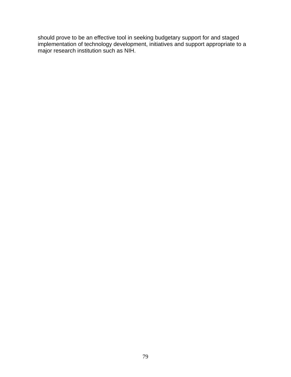should prove to be an effective tool in seeking budgetary support for and staged implementation of technology development, initiatives and support appropriate to a major research institution such as NIH.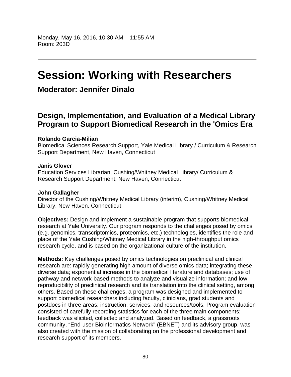# **Session: Working with Researchers**

### **Moderator: Jennifer Dinalo**

### **Design, Implementation, and Evaluation of a Medical Library Program to Support Biomedical Research in the 'Omics Era**

### **Rolando Garcia-Milian**

Biomedical Sciences Research Support, Yale Medical Library / Curriculum & Research Support Department, New Haven, Connecticut

### **Janis Glover**

Education Services Librarian, Cushing/Whitney Medical Library/ Curriculum & Research Support Department, New Haven, Connecticut

### **John Gallagher**

Director of the Cushing/Whitney Medical Library (interim), Cushing/Whitney Medical Library, New Haven, Connecticut

**Objectives:** Design and implement a sustainable program that supports biomedical research at Yale University. Our program responds to the challenges posed by omics (e.g. genomics, transcriptomics, proteomics, etc.) technologies, identifies the role and place of the Yale Cushing/Whitney Medical Library in the high-throughput omics research cycle, and is based on the organizational culture of the institution.

**Methods:** Key challenges posed by omics technologies on preclinical and clinical research are: rapidly generating high amount of diverse omics data; integrating these diverse data; exponential increase in the biomedical literature and databases; use of pathway and network-based methods to analyze and visualize information; and low reproducibility of preclinical research and its translation into the clinical setting, among others. Based on these challenges, a program was designed and implemented to support biomedical researchers including faculty, clinicians, grad students and postdocs in three areas: instruction, services, and resources/tools. Program evaluation consisted of carefully recording statistics for each of the three main components; feedback was elicited, collected and analyzed. Based on feedback, a grassroots community, "End-user Bioinformatics Network" (EBNET) and its advisory group, was also created with the mission of collaborating on the professional development and research support of its members.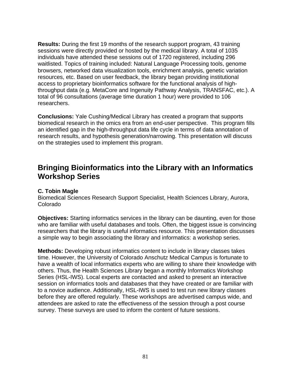**Results:** During the first 19 months of the research support program, 43 training sessions were directly provided or hosted by the medical library. A total of 1035 individuals have attended these sessions out of 1720 registered, including 296 waitlisted. Topics of training included: Natural Language Processing tools, genome browsers, networked data visualization tools, enrichment analysis, genetic variation resources, etc. Based on user feedback, the library began providing institutional access to proprietary bioinformatics software for the functional analysis of highthroughput data (e.g. MetaCore and Ingenuity Pathway Analysis, TRANSFAC, etc.). A total of 96 consultations (average time duration 1 hour) were provided to 106 researchers.

**Conclusions:** Yale Cushing/Medical Library has created a program that supports biomedical research in the omics era from an end-user perspective. This program fills an identified gap in the high-throughput data life cycle in terms of data annotation of research results, and hypothesis generation/narrowing. This presentation will discuss on the strategies used to implement this program.

### **Bringing Bioinformatics into the Library with an Informatics Workshop Series**

### **C. Tobin Magle**

Biomedical Sciences Research Support Specialist, Health Sciences Library, Aurora, Colorado

**Objectives:** Starting informatics services in the library can be daunting, even for those who are familiar with useful databases and tools. Often, the biggest issue is convincing researchers that the library is useful informatics resource. This presentation discusses a simple way to begin associating the library and informatics: a workshop series.

**Methods:** Developing robust informatics content to include in library classes takes time. However, the University of Colorado Anschutz Medical Campus is fortunate to have a wealth of local informatics experts who are willing to share their knowledge with others. Thus, the Health Sciences Library began a monthly Informatics Workshop Series (HSL-IWS). Local experts are contacted and asked to present an interactive session on informatics tools and databases that they have created or are familiar with to a novice audience. Additionally, HSL-IWS is used to test run new library classes before they are offered regularly. These workshops are advertised campus wide, and attendees are asked to rate the effectiveness of the session through a post course survey. These surveys are used to inform the content of future sessions.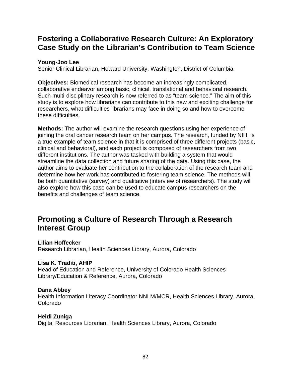## **Fostering a Collaborative Research Culture: An Exploratory Case Study on the Librarian's Contribution to Team Science**

### **Young-Joo Lee**

Senior Clinical Librarian, Howard University, Washington, District of Columbia

**Objectives:** Biomedical research has become an increasingly complicated, collaborative endeavor among basic, clinical, translational and behavioral research. Such multi-disciplinary research is now referred to as "team science." The aim of this study is to explore how librarians can contribute to this new and exciting challenge for researchers, what difficulties librarians may face in doing so and how to overcome these difficulties.

**Methods:** The author will examine the research questions using her experience of joining the oral cancer research team on her campus. The research, funded by NIH, is a true example of team science in that it is comprised of three different projects (basic, clinical and behavioral), and each project is composed of researchers from two different institutions. The author was tasked with building a system that would streamline the data collection and future sharing of the data. Using this case, the author aims to evaluate her contribution to the collaboration of the research team and determine how her work has contributed to fostering team science. The methods will be both quantitative (survey) and qualitative (interview of researchers). The study will also explore how this case can be used to educate campus researchers on the benefits and challenges of team science.

### **Promoting a Culture of Research Through a Research Interest Group**

### **Lilian Hoffecker**

Research Librarian, Health Sciences Library, Aurora, Colorado

### **Lisa K. Traditi, AHIP**

Head of Education and Reference, University of Colorado Health Sciences Library/Education & Reference, Aurora, Colorado

### **Dana Abbey**

Health Information Literacy Coordinator NNLM/MCR, Health Sciences Library, Aurora, Colorado

### **Heidi Zuniga**

Digital Resources Librarian, Health Sciences Library, Aurora, Colorado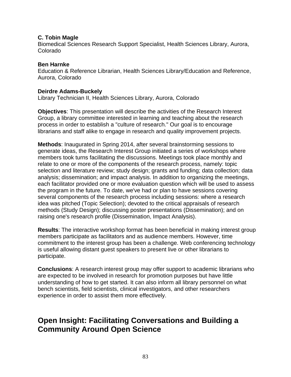### **C. Tobin Magle**

Biomedical Sciences Research Support Specialist, Health Sciences Library, Aurora, Colorado

### **Ben Harnke**

Education & Reference Librarian, Health Sciences Library/Education and Reference, Aurora, Colorado

### **Deirdre Adams-Buckely**

Library Technician II, Health Sciences Library, Aurora, Colorado

**Objectives**: This presentation will describe the activities of the Research Interest Group, a library committee interested in learning and teaching about the research process in order to establish a "culture of research." Our goal is to encourage librarians and staff alike to engage in research and quality improvement projects.

**Methods**: Inaugurated in Spring 2014, after several brainstorming sessions to generate ideas, the Research Interest Group initiated a series of workshops where members took turns facilitating the discussions. Meetings took place monthly and relate to one or more of the components of the research process, namely: topic selection and literature review; study design; grants and funding; data collection; data analysis; dissemination; and impact analysis. In addition to organizing the meetings, each facilitator provided one or more evaluation question which will be used to assess the program in the future. To date, we've had or plan to have sessions covering several components of the research process including sessions: where a research idea was pitched (Topic Selection); devoted to the critical appraisals of research methods (Study Design); discussing poster presentations (Dissemination); and on raising one's research profile (Dissemination, Impact Analysis).

**Results**: The interactive workshop format has been beneficial in making interest group members participate as facilitators and as audience members. However, time commitment to the interest group has been a challenge. Web conferencing technology is useful allowing distant guest speakers to present live or other librarians to participate.

**Conclusions**: A research interest group may offer support to academic librarians who are expected to be involved in research for promotion purposes but have little understanding of how to get started. It can also inform all library personnel on what bench scientists, field scientists, clinical investigators, and other researchers experience in order to assist them more effectively.

## **Open Insight: Facilitating Conversations and Building a Community Around Open Science**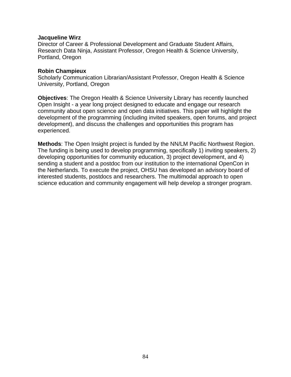#### **Jacqueline Wirz**

Director of Career & Professional Development and Graduate Student Affairs, Research Data Ninja, Assistant Professor, Oregon Health & Science University, Portland, Oregon

#### **Robin Champieux**

Scholarly Communication Librarian/Assistant Professor, Oregon Health & Science University, Portland, Oregon

**Objectives**: The Oregon Health & Science University Library has recently launched Open Insight - a year long project designed to educate and engage our research community about open science and open data initiatives. This paper will highlight the development of the programming (including invited speakers, open forums, and project development), and discuss the challenges and opportunities this program has experienced.

**Methods**: The Open Insight project is funded by the NN/LM Pacific Northwest Region. The funding is being used to develop programming, specifically 1) inviting speakers, 2) developing opportunities for community education, 3) project development, and 4) sending a student and a postdoc from our institution to the international OpenCon in the Netherlands. To execute the project, OHSU has developed an advisory board of interested students, postdocs and researchers. The multimodal approach to open science education and community engagement will help develop a stronger program.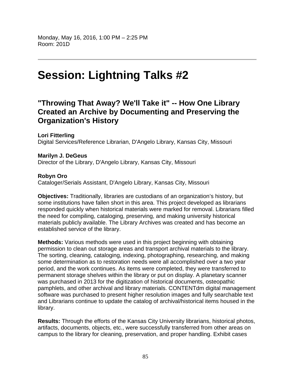# **Session: Lightning Talks #2**

### **"Throwing That Away? We'll Take it" -- How One Library Created an Archive by Documenting and Preserving the Organization's History**

**Lori Fitterling**  Digital Services/Reference Librarian, D'Angelo Library, Kansas City, Missouri

**Marilyn J. DeGeus**  Director of the Library, D'Angelo Library, Kansas City, Missouri

### **Robyn Oro**

Cataloger/Serials Assistant, D'Angelo Library, Kansas City, Missouri

**Objectives:** Traditionally, libraries are custodians of an organization's history, but some institutions have fallen short in this area. This project developed as librarians responded quickly when historical materials were marked for removal. Librarians filled the need for compiling, cataloging, preserving, and making university historical materials publicly available. The Library Archives was created and has become an established service of the library.

**Methods:** Various methods were used in this project beginning with obtaining permission to clean out storage areas and transport archival materials to the library. The sorting, cleaning, cataloging, indexing, photographing, researching, and making some determination as to restoration needs were all accomplished over a two year period, and the work continues. As items were completed, they were transferred to permanent storage shelves within the library or put on display. A planetary scanner was purchased in 2013 for the digitization of historical documents, osteopathic pamphlets, and other archival and library materials. CONTENTdm digital management software was purchased to present higher resolution images and fully searchable text and Librarians continue to update the catalog of archival/historical items housed in the library.

**Results:** Through the efforts of the Kansas City University librarians, historical photos, artifacts, documents, objects, etc., were successfully transferred from other areas on campus to the library for cleaning, preservation, and proper handling. Exhibit cases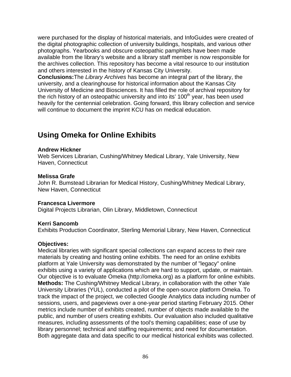were purchased for the display of historical materials, and InfoGuides were created of the digital photographic collection of university buildings, hospitals, and various other photographs. Yearbooks and obscure osteopathic pamphlets have been made available from the library's website and a library staff member is now responsible for the archives collection. This repository has become a vital resource to our institution and others interested in the history of Kansas City University.

**Conclusions:**The *Library Archives* has become an integral part of the library, the university, and a clearinghouse for historical information about the Kansas City University of Medicine and Biosciences. It has filled the role of archival repository for the rich history of an osteopathic university and into its'  $100<sup>th</sup>$  year, has been used heavily for the centennial celebration. Going forward, this library collection and service will continue to document the imprint KCU has on medical education.

## **Using Omeka for Online Exhibits**

### **Andrew Hickner**

Web Services Librarian, Cushing/Whitney Medical Library, Yale University, New Haven, Connecticut

#### **Melissa Grafe**

John R. Bumstead Librarian for Medical History, Cushing/Whitney Medical Library, New Haven, Connecticut

### **Francesca Livermore**

Digital Projects Librarian, Olin Library, Middletown, Connecticut

### **Kerri Sancomb**

Exhibits Production Coordinator, Sterling Memorial Library, New Haven, Connecticut

#### **Objectives:**

Medical libraries with significant special collections can expand access to their rare materials by creating and hosting online exhibits. The need for an online exhibits platform at Yale University was demonstrated by the number of "legacy" online exhibits using a variety of applications which are hard to support, update, or maintain. Our objective is to evaluate Omeka (http://omeka.org) as a platform for online exhibits. **Methods:** The Cushing/Whitney Medical Library, in collaboration with the other Yale University Libraries (YUL), conducted a pilot of the open-source platform Omeka. To track the impact of the project, we collected Google Analytics data including number of sessions, users, and pageviews over a one-year period starting February 2015. Other metrics include number of exhibits created, number of objects made available to the public, and number of users creating exhibits. Our evaluation also included qualitative measures, including assessments of the tool's theming capabilities; ease of use by library personnel; technical and staffing requirements; and need for documentation. Both aggregate data and data specific to our medical historical exhibits was collected.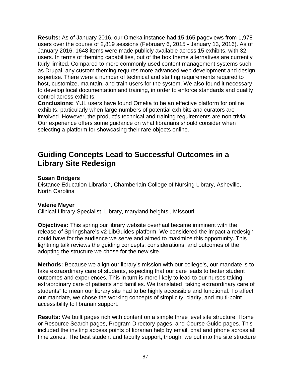**Results:** As of January 2016, our Omeka instance had 15,165 pageviews from 1,978 users over the course of 2,819 sessions (February 6, 2015 - January 13, 2016). As of January 2016, 1648 items were made publicly available across 15 exhibits, with 32 users. In terms of theming capabilities, out of the box theme alternatives are currently fairly limited. Compared to more commonly used content management systems such as Drupal, any custom theming requires more advanced web development and design expertise. There were a number of technical and staffing requirements required to host, customize, maintain, and train users for the system. We also found it necessary to develop local documentation and training, in order to enforce standards and quality control across exhibits.

**Conclusions:** YUL users have found Omeka to be an effective platform for online exhibits, particularly when large numbers of potential exhibits and curators are involved. However, the product's technical and training requirements are non-trivial. Our experience offers some guidance on what librarians should consider when selecting a platform for showcasing their rare objects online.

### **Guiding Concepts Lead to Successful Outcomes in a Library Site Redesign**

### **Susan Bridgers**

Distance Education Librarian, Chamberlain College of Nursing Library, Asheville, North Carolina

### **Valerie Meyer**

Clinical Library Specialist, Library, maryland heights,, Missouri

**Objectives:** This spring our library website overhaul became imminent with the release of Springshare's v2 LibGuides platform. We considered the impact a redesign could have for the audience we serve and aimed to maximize this opportunity. This lightning talk reviews the guiding concepts, considerations, and outcomes of the adopting the structure we chose for the new site.

**Methods:** Because we align our library's mission with our college's, our mandate is to take extraordinary care of students, expecting that our care leads to better student outcomes and experiences. This in turn is more likely to lead to our nurses taking extraordinary care of patients and families. We translated "taking extraordinary care of students" to mean our library site had to be highly accessible and functional. To affect our mandate, we chose the working concepts of simplicity, clarity, and multi-point accessibility to librarian support.

**Results:** We built pages rich with content on a simple three level site structure: Home or Resource Search pages, Program Directory pages, and Course Guide pages. This included the inviting access points of librarian help by email, chat and phone across all time zones. The best student and faculty support, though, we put into the site structure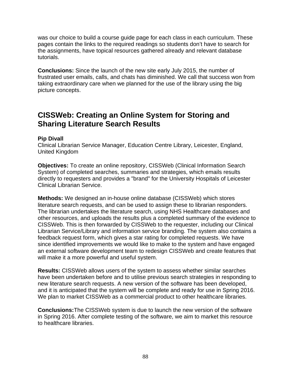was our choice to build a course guide page for each class in each curriculum. These pages contain the links to the required readings so students don't have to search for the assignments, have topical resources gathered already and relevant database tutorials.

**Conclusions:** Since the launch of the new site early July 2015, the number of frustrated user emails, calls, and chats has diminished. We call that success won from taking extraordinary care when we planned for the use of the library using the big picture concepts.

### **CISSWeb: Creating an Online System for Storing and Sharing Literature Search Results**

### **Pip Divall**

Clinical Librarian Service Manager, Education Centre Library, Leicester, England, United Kingdom

**Objectives:** To create an online repository, CISSWeb (Clinical Information Search System) of completed searches, summaries and strategies, which emails results directly to requesters and provides a "brand" for the University Hospitals of Leicester Clinical Librarian Service.

**Methods:** We designed an in-house online database (CISSWeb) which stores literature search requests, and can be used to assign these to librarian responders. The librarian undertakes the literature search, using NHS Healthcare databases and other resources, and uploads the results plus a completed summary of the evidence to CISSWeb. This is then forwarded by CISSWeb to the requester, including our Clinical Librarian Service/Library and information service branding. The system also contains a feedback request form, which gives a star rating for completed requests. We have since identified improvements we would like to make to the system and have engaged an external software development team to redesign CISSWeb and create features that will make it a more powerful and useful system.

**Results:** CISSWeb allows users of the system to assess whether similar searches have been undertaken before and to utilise previous search strategies in responding to new literature search requests. A new version of the software has been developed, and it is anticipated that the system will be complete and ready for use in Spring 2016. We plan to market CISSWeb as a commercial product to other healthcare libraries.

**Conclusions:**The CISSWeb system is due to launch the new version of the software in Spring 2016. After complete testing of the software, we aim to market this resource to healthcare libraries.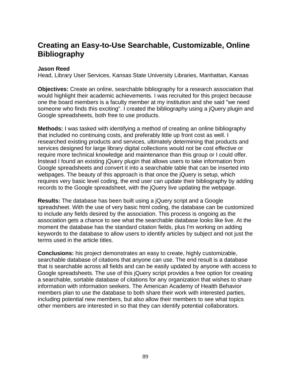## **Creating an Easy-to-Use Searchable, Customizable, Online Bibliography**

### **Jason Reed**

Head, Library User Services, Kansas State University Libraries, Manhattan, Kansas

**Objectives:** Create an online, searchable bibliography for a research association that would highlight their academic achievements. I was recruited for this project because one the board members is a faculty member at my institution and she said "we need someone who finds this exciting". I created the bibliography using a jQuery plugin and Google spreadsheets, both free to use products.

**Methods:** I was tasked with identifying a method of creating an online bibliography that included no continuing costs, and preferably little up front cost as well. I researched existing products and services, ultimately determining that products and services designed for large library digital collections would not be cost effective or require more technical knowledge and maintenance than this group or I could offer. Instead I found an existing jQuery plugin that allows users to take information from Google spreadsheets and convert it into a searchable table that can be inserted into webpages. The beauty of this approach is that once the jQuery is setup, which requires very basic level coding, the end user can update their bibliography by adding records to the Google spreadsheet, with the jQuery live updating the webpage.

**Results:** The database has been built using a jQuery script and a Google spreadsheet. With the use of very basic html coding, the database can be customized to include any fields desired by the association. This process is ongoing as the association gets a chance to see what the searchable database looks like live. At the moment the database has the standard citation fields, plus I'm working on adding keywords to the database to allow users to identify articles by subject and not just the terms used in the article titles.

**Conclusions:** his project demonstrates an easy to create, highly customizable, searchable database of citations that anyone can use. The end result is a database that is searchable across all fields and can be easily updated by anyone with access to Google spreadsheets. The use of this jQuery script provides a free option for creating a searchable, sortable database of citations for any organization that wishes to share information with information seekers. The American Academy of Health Behavior members plan to use the database to both share their work with interested parties, including potential new members, but also allow their members to see what topics other members are interested in so that they can identify potential collaborators.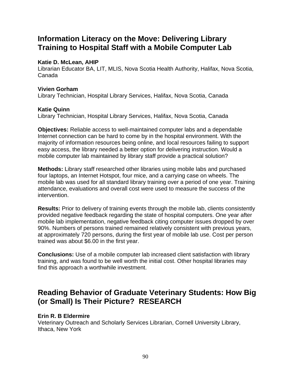### **Information Literacy on the Move: Delivering Library Training to Hospital Staff with a Mobile Computer Lab**

#### **Katie D. McLean, AHIP**

Librarian Educator BA, LIT, MLIS, Nova Scotia Health Authority, Halifax, Nova Scotia, Canada

### **Vivien Gorham**

Library Technician, Hospital Library Services, Halifax, Nova Scotia, Canada

### **Katie Quinn**

Library Technician, Hospital Library Services, Halifax, Nova Scotia, Canada

**Objectives:** Reliable access to well-maintained computer labs and a dependable Internet connection can be hard to come by in the hospital environment. With the majority of information resources being online, and local resources failing to support easy access, the library needed a better option for delivering instruction. Would a mobile computer lab maintained by library staff provide a practical solution?

**Methods:** Library staff researched other libraries using mobile labs and purchased four laptops, an Internet Hotspot, four mice, and a carrying case on wheels. The mobile lab was used for all standard library training over a period of one year. Training attendance, evaluations and overall cost were used to measure the success of the intervention.

**Results:** Prior to delivery of training events through the mobile lab, clients consistently provided negative feedback regarding the state of hospital computers. One year after mobile lab implementation, negative feedback citing computer issues dropped by over 90%. Numbers of persons trained remained relatively consistent with previous years, at approximately 720 persons, during the first year of mobile lab use. Cost per person trained was about \$6.00 in the first year.

**Conclusions:** Use of a mobile computer lab increased client satisfaction with library training, and was found to be well worth the initial cost. Other hospital libraries may find this approach a worthwhile investment.

## **Reading Behavior of Graduate Veterinary Students: How Big (or Small) Is Their Picture? RESEARCH**

### **Erin R. B Eldermire**

Veterinary Outreach and Scholarly Services Librarian, Cornell University Library, Ithaca, New York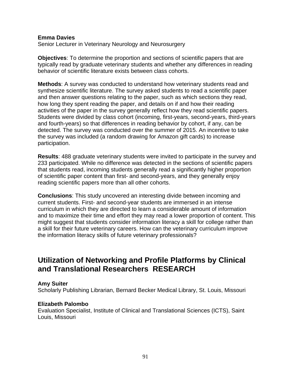#### **Emma Davies**

Senior Lecturer in Veterinary Neurology and Neurosurgery

**Objectives**: To determine the proportion and sections of scientific papers that are typically read by graduate veterinary students and whether any differences in reading behavior of scientific literature exists between class cohorts.

**Methods**: A survey was conducted to understand how veterinary students read and synthesize scientific literature. The survey asked students to read a scientific paper and then answer questions relating to the paper, such as which sections they read, how long they spent reading the paper, and details on if and how their reading activities of the paper in the survey generally reflect how they read scientific papers. Students were divided by class cohort (incoming, first-years, second-years, third-years and fourth-years) so that differences in reading behavior by cohort, if any, can be detected. The survey was conducted over the summer of 2015. An incentive to take the survey was included (a random drawing for Amazon gift cards) to increase participation.

**Results**: 488 graduate veterinary students were invited to participate in the survey and 233 participated. While no difference was detected in the sections of scientific papers that students read, incoming students generally read a significantly higher proportion of scientific paper content than first- and second-years, and they generally enjoy reading scientific papers more than all other cohorts.

**Conclusions**: This study uncovered an interesting divide between incoming and current students. First- and second-year students are immersed in an intense curriculum in which they are directed to learn a considerable amount of information and to maximize their time and effort they may read a lower proportion of content. This might suggest that students consider information literacy a skill for college rather than a skill for their future veterinary careers. How can the veterinary curriculum improve the information literacy skills of future veterinary professionals?

### **Utilization of Networking and Profile Platforms by Clinical and Translational Researchers RESEARCH**

#### **Amy Suiter**

Scholarly Publishing Librarian, Bernard Becker Medical Library, St. Louis, Missouri

### **Elizabeth Palombo**

Evaluation Specialist, Institute of Clinical and Translational Sciences (ICTS), Saint Louis, Missouri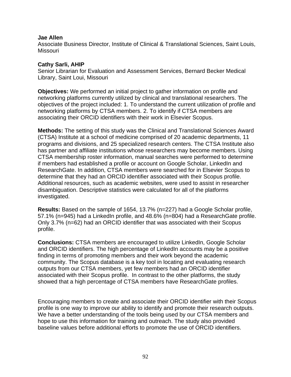#### **Jae Allen**

Associate Business Director, Institute of Clinical & Translational Sciences, Saint Louis, Missouri

#### **Cathy Sarli, AHIP**

Senior Librarian for Evaluation and Assessment Services, Bernard Becker Medical Library, Saint Loui, Missouri

**Objectives:** We performed an initial project to gather information on profile and networking platforms currently utilized by clinical and translational researchers. The objectives of the project included: 1. To understand the current utilization of profile and networking platforms by CTSA members. 2. To identify if CTSA members are associating their ORCID identifiers with their work in Elsevier Scopus.

**Methods:** The setting of this study was the Clinical and Translational Sciences Award (CTSA) Institute at a school of medicine comprised of 20 academic departments, 11 programs and divisions, and 25 specialized research centers. The CTSA Institute also has partner and affiliate institutions whose researchers may become members. Using CTSA membership roster information, manual searches were performed to determine if members had established a profile or account on Google Scholar, LinkedIn and ResearchGate. In addition, CTSA members were searched for in Elsevier Scopus to determine that they had an ORCID identifier associated with their Scopus profile. Additional resources, such as academic websites, were used to assist in researcher disambiguation. Descriptive statistics were calculated for all of the platforms investigated.

**Results:** Based on the sample of 1654, 13.7% (n=227) had a Google Scholar profile, 57.1% (n=945) had a LinkedIn profile, and 48.6% (n=804) had a ResearchGate profile. Only 3.7% (n=62) had an ORCID identifier that was associated with their Scopus profile.

**Conclusions:** CTSA members are encouraged to utilize LinkedIn, Google Scholar and ORCID identifiers. The high percentage of LinkedIn accounts may be a positive finding in terms of promoting members and their work beyond the academic community. The Scopus database is a key tool in locating and evaluating research outputs from our CTSA members, yet few members had an ORCID identifier associated with their Scopus profile. In contrast to the other platforms, the study showed that a high percentage of CTSA members have ResearchGate profiles.

Encouraging members to create and associate their ORCID identifier with their Scopus profile is one way to improve our ability to identify and promote their research outputs. We have a better understanding of the tools being used by our CTSA members and hope to use this information for training and outreach. The study also provided baseline values before additional efforts to promote the use of ORCID identifiers.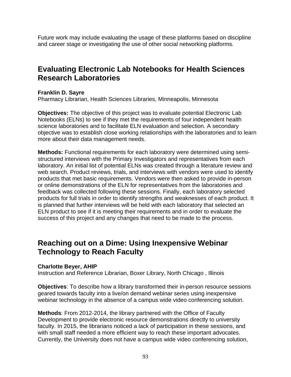Future work may include evaluating the usage of these platforms based on discipline and career stage or investigating the use of other social networking platforms.

## **Evaluating Electronic Lab Notebooks for Health Sciences Research Laboratories**

### **Franklin D. Sayre**

Pharmacy Librarian, Health Sciences Libraries, Minneapolis, Minnesota

**Objectives:** The objective of this project was to evaluate potential Electronic Lab Notebooks (ELNs) to see if they met the requirements of four independent health science laboratories and to facilitate ELN evaluation and selection. A secondary objective was to establish close working relationships with the laboratories and to learn more about their data management needs.

**Methods:** Functional requirements for each laboratory were determined using semistructured interviews with the Primary Investigators and representatives from each laboratory. An initial list of potential ELNs was created through a literature review and web search. Product reviews, trials, and interviews with vendors were used to identify products that met basic requirements. Vendors were then asked to provide in-person or online demonstrations of the ELN for representatives from the laboratories and feedback was collected following these sessions. Finally, each laboratory selected products for full trials in order to identify strengths and weaknesses of each product. It is planned that further interviews will be held with each laboratory that selected an ELN product to see if it is meeting their requirements and in order to evaluate the success of this project and any changes that need to be made to the process.

### **Reaching out on a Dime: Using Inexpensive Webinar Technology to Reach Faculty**

### **Charlotte Beyer, AHIP**

Instruction and Reference Librarian, Boxer Library, North Chicago , Illinois

**Objectives**: To describe how a library transformed their in-person resource sessions geared towards faculty into a live/on demand webinar series using inexpensive webinar technology in the absence of a campus wide video conferencing solution.

**Methods**: From 2012-2014, the library partnered with the Office of Faculty Development to provide electronic resource demonstrations directly to university faculty. In 2015, the librarians noticed a lack of participation in these sessions, and with small staff needed a more efficient way to reach these important advocates. Currently, the University does not have a campus wide video conferencing solution,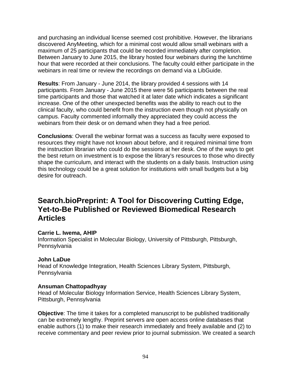and purchasing an individual license seemed cost prohibitive. However, the librarians discovered AnyMeeting, which for a minimal cost would allow small webinars with a maximum of 25 participants that could be recorded immediately after completion. Between January to June 2015, the library hosted four webinars during the lunchtime hour that were recorded at their conclusions. The faculty could either participate in the webinars in real time or review the recordings on demand via a LibGuide.

**Results**: From January - June 2014, the library provided 4 sessions with 14 participants. From January - June 2015 there were 56 participants between the real time participants and those that watched it at later date which indicates a significant increase. One of the other unexpected benefits was the ability to reach out to the clinical faculty, who could benefit from the instruction even though not physically on campus. Faculty commented informally they appreciated they could access the webinars from their desk or on demand when they had a free period.

**Conclusions**: Overall the webinar format was a success as faculty were exposed to resources they might have not known about before, and it required minimal time from the instruction librarian who could do the sessions at her desk. One of the ways to get the best return on investment is to expose the library's resources to those who directly shape the curriculum, and interact with the students on a daily basis. Instruction using this technology could be a great solution for institutions with small budgets but a big desire for outreach.

## **Search.bioPreprint: A Tool for Discovering Cutting Edge, Yet-to-Be Published or Reviewed Biomedical Research Articles**

### **Carrie L. Iwema, AHIP**

Information Specialist in Molecular Biology, University of Pittsburgh, Pittsburgh, Pennsylvania

### **John LaDue**

Head of Knowledge Integration, Health Sciences Library System, Pittsburgh, Pennsylvania

### **Ansuman Chattopadhyay**

Head of Molecular Biology Information Service, Health Sciences Library System, Pittsburgh, Pennsylvania

**Objective**: The time it takes for a completed manuscript to be published traditionally can be extremely lengthy. Preprint servers are open access online databases that enable authors (1) to make their research immediately and freely available and (2) to receive commentary and peer review prior to journal submission. We created a search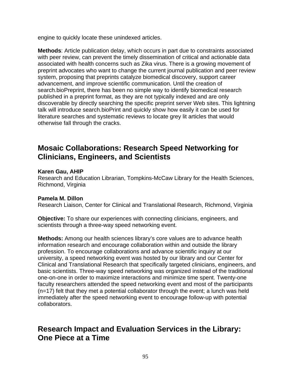engine to quickly locate these unindexed articles.

**Methods**: Article publication delay, which occurs in part due to constraints associated with peer review, can prevent the timely dissemination of critical and actionable data associated with health concerns such as Zika virus. There is a growing movement of preprint advocates who want to change the current journal publication and peer review system, proposing that preprints catalyze biomedical discovery, support career advancement, and improve scientific communication. Until the creation of search.bioPreprint, there has been no simple way to identify biomedical research published in a preprint format, as they are not typically indexed and are only discoverable by directly searching the specific preprint server Web sites. This lightning talk will introduce search.bioPrint and quickly show how easily it can be used for literature searches and systematic reviews to locate grey lit articles that would otherwise fall through the cracks.

### **Mosaic Collaborations: Research Speed Networking for Clinicians, Engineers, and Scientists**

### **Karen Gau, AHIP**

Research and Education Librarian, Tompkins-McCaw Library for the Health Sciences, Richmond, Virginia

### **Pamela M. Dillon**

Research Liaison, Center for Clinical and Translational Research, Richmond, Virginia

**Objective:** To share our experiences with connecting clinicians, engineers, and scientists through a three-way speed networking event.

**Methods:** Among our health sciences library's core values are to advance health information research and encourage collaboration within and outside the library profession. To encourage collaborations and advance scientific inquiry at our university, a speed networking event was hosted by our library and our Center for Clinical and Translational Research that specifically targeted clinicians, engineers, and basic scientists. Three-way speed networking was organized instead of the traditional one-on-one in order to maximize interactions and minimize time spent. Twenty-one faculty researchers attended the speed networking event and most of the participants (n=17) felt that they met a potential collaborator through the event; a lunch was held immediately after the speed networking event to encourage follow-up with potential collaborators.

### **Research Impact and Evaluation Services in the Library: One Piece at a Time**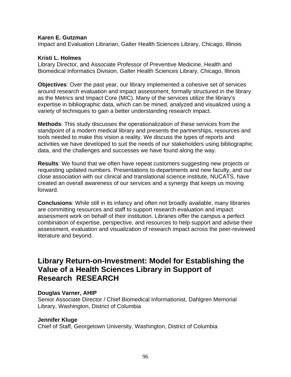#### **Karen E. Gutzman**

Impact and Evaluation Librarian, Galter Health Sciences Library, Chicago, Illinois

#### **Kristi L. Holmes**

Library Director, and Associate Professor of Preventive Medicine, Health and Biomedical Informatics Division, Galter Health Sciences Library, Chicago, Illinois

**Objectives**: Over the past year, our library implemented a cohesive set of services around research evaluation and impact assessment, formally structured in the library as the Metrics and Impact Core (MIC). Many of the services utilize the library's expertise in bibliographic data, which can be mined, analyzed and visualized using a variety of techniques to gain a better understanding research impact.

**Methods**: This study discusses the operationalization of these services from the standpoint of a modern medical library and presents the partnerships, resources and tools needed to make this vision a reality. We discuss the types of reports and activities we have developed to suit the needs of our stakeholders using bibliographic data, and the challenges and successes we have found along the way.

**Results**: We found that we often have repeat customers suggesting new projects or requesting updated numbers. Presentations to departments and new faculty, and our close association with our clinical and translational science institute, NUCATS, have created an overall awareness of our services and a synergy that keeps us moving forward.

**Conclusions**: While still in its infancy and often not broadly available, many libraries are committing resources and staff to support research evaluation and impact assessment work on behalf of their institution. Libraries offer the campus a perfect combination of expertise, perspective, and resources to help support and advise their assessment, evaluation and visualization of research impact across the peer-reviewed literature and beyond.

### **Library Return-on-Investment: Model for Establishing the Value of a Health Sciences Library in Support of Research RESEARCH**

### **Douglas Varner, AHIP**

Senior Associate Director / Chief Biomedical Informationist, Dahlgren Memorial Library, Washington, District of Columbia

### **Jennifer Kluge**

Chief of Staff, Georgetown University, Washington, District of Columbia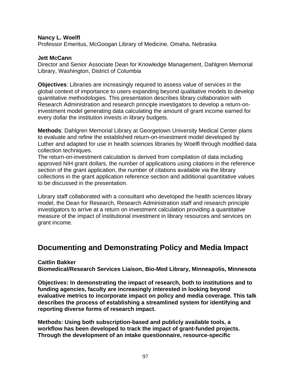#### **Nancy L. Woelfl**

Professor Emeritus, McGoogan Library of Medicine, Omaha, Nebraska

#### **Jett McCann**

Director and Senior Associate Dean for Knowledge Management, Dahlgren Memorial Library, Washington, District of Columbia

**Objectives**: Libraries are increasingly required to assess value of services in the global context of importance to users expanding beyond qualitative models to develop quantitative methodologies. This presentation describes library collaboration with Research Administration and research principle investigators to develop a return-oninvestment model generating data calculating the amount of grant income earned for every dollar the institution invests in library budgets.

**Methods**: Dahlgren Memorial Library at Georgetown University Medical Center plans to evaluate and refine the established return-on-investment model developed by Luther and adapted for use in health sciences libraries by Woelfl through modified data collection techniques.

The return-on-investment calculation is derived from compilation of data including approved NIH grant dollars, the number of applications using citations in the reference section of the grant application, the number of citations available via the library collections in the grant application reference section and additional quantitative values to be discussed in the presentation.

Library staff collaborated with a consultant who developed the health sciences library model, the Dean for Research, Research Administration staff and research principle investigators to arrive at a return on investment calculation providing a quantitative measure of the impact of institutional investment in library resources and services on grant income.

### **Documenting and Demonstrating Policy and Media Impact**

#### **Caitlin Bakker**

**Biomedical/Research Services Liaison, Bio-Med Library, Minneapolis, Minnesota** 

**Objectives: In demonstrating the impact of research, both to institutions and to funding agencies, faculty are increasingly interested in looking beyond evaluative metrics to incorporate impact on policy and media coverage. This talk describes the process of establishing a streamlined system for identifying and reporting diverse forms of research impact.** 

**Methods: Using both subscription-based and publicly available tools, a workflow has been developed to track the impact of grant-funded projects. Through the development of an intake questionnaire, resource-specific**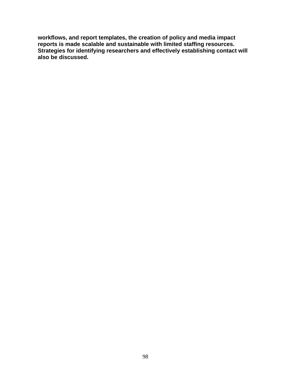**workflows, and report templates, the creation of policy and media impact reports is made scalable and sustainable with limited staffing resources. Strategies for identifying researchers and effectively establishing contact will also be discussed.**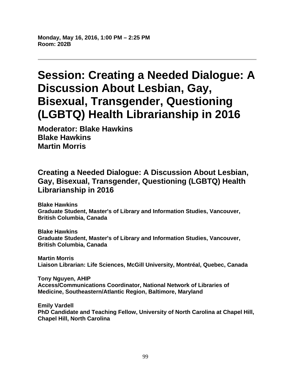**Monday, May 16, 2016, 1:00 PM – 2:25 PM Room: 202B** 

# **Session: Creating a Needed Dialogue: A Discussion About Lesbian, Gay, Bisexual, Transgender, Questioning (LGBTQ) Health Librarianship in 2016**

**Moderator: Blake Hawkins Blake Hawkins Martin Morris** 

## **Creating a Needed Dialogue: A Discussion About Lesbian, Gay, Bisexual, Transgender, Questioning (LGBTQ) Health Librarianship in 2016**

**Blake Hawkins Graduate Student, Master's of Library and Information Studies, Vancouver, British Columbia, Canada** 

**Blake Hawkins Graduate Student, Master's of Library and Information Studies, Vancouver, British Columbia, Canada** 

**Martin Morris Liaison Librarian: Life Sciences, McGill University, Montréal, Quebec, Canada** 

**Tony Nguyen, AHIP Access/Communications Coordinator, National Network of Libraries of Medicine, Southeastern/Atlantic Region, Baltimore, Maryland** 

**Emily Vardell PhD Candidate and Teaching Fellow, University of North Carolina at Chapel Hill, Chapel Hill, North Carolina**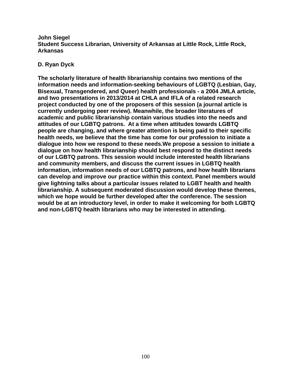#### **John Siegel Student Success Librarian, University of Arkansas at Little Rock, Little Rock, Arkansas**

### **D. Ryan Dyck**

**The scholarly literature of health librarianship contains two mentions of the information needs and information-seeking behaviours of LGBTQ (Lesbian, Gay, Bisexual, Transgendered, and Queer) health professionals - a 2004 JMLA article, and two presentations in 2013/2014 at CHLA and IFLA of a related research project conducted by one of the proposers of this session (a journal article is currently undergoing peer review). Meanwhile, the broader literatures of academic and public librarianship contain various studies into the needs and attitudes of our LGBTQ patrons. At a time when attitudes towards LGBTQ people are changing, and where greater attention is being paid to their specific health needs, we believe that the time has come for our profession to initiate a dialogue into how we respond to these needs.We propose a session to initiate a dialogue on how health librarianship should best respond to the distinct needs of our LGBTQ patrons. This session would include interested health librarians and community members, and discuss the current issues in LGBTQ health information, information needs of our LGBTQ patrons, and how health librarians can develop and improve our practice within this context. Panel members would give lightning talks about a particular issues related to LGBT health and health librarianship. A subsequent moderated discussion would develop these themes, which we hope would be further developed after the conference. The session would be at an introductory level, in order to make it welcoming for both LGBTQ and non-LGBTQ health librarians who may be interested in attending.**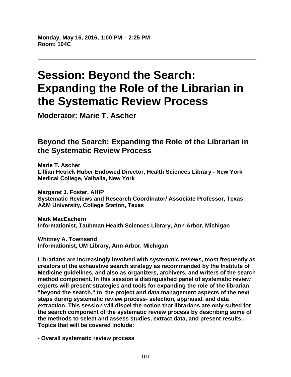**Monday, May 16, 2016, 1:00 PM – 2:25 PM Room: 104C** 

# **Session: Beyond the Search: Expanding the Role of the Librarian in the Systematic Review Process**

**Moderator: Marie T. Ascher** 

## **Beyond the Search: Expanding the Role of the Librarian in the Systematic Review Process**

**Marie T. Ascher Lillian Hetrick Huber Endowed Director, Health Sciences Library - New York Medical College, Valhalla, New York** 

**Margaret J. Foster, AHIP Systematic Reviews and Research Coordinator/ Associate Professor, Texas A&M University, College Station, Texas** 

**Mark MacEachern Informationist, Taubman Health Sciences Library, Ann Arbor, Michigan** 

**Whitney A. Townsend Informationist, UM Library, Ann Arbor, Michigan** 

**Librarians are increasingly involved with systematic reviews, most frequently as creators of the exhaustive search strategy as recommended by the Institute of Medicine guidelines, and also as organizers, archivers, and writers of the search method component. In this session a distinguished panel of systematic review experts will present strategies and tools for expanding the role of the librarian "beyond the search," to the project and data management aspects of the next steps during systematic review process- selection, appraisal, and data extraction. This session will dispel the notion that librarians are only suited for the search component of the systematic review process by describing some of the methods to select and assess studies, extract data, and present results.. Topics that will be covered include:** 

**- Overall systematic review process**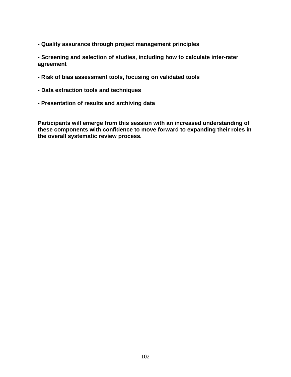**- Quality assurance through project management principles** 

**- Screening and selection of studies, including how to calculate inter-rater agreement** 

- **Risk of bias assessment tools, focusing on validated tools**
- **Data extraction tools and techniques**
- **Presentation of results and archiving data**

**Participants will emerge from this session with an increased understanding of these components with confidence to move forward to expanding their roles in the overall systematic review process.**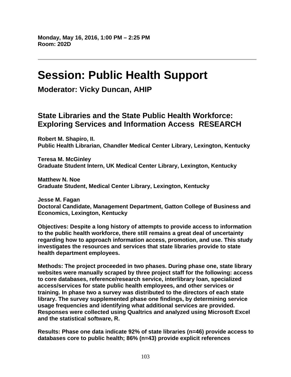# **Session: Public Health Support**

**Moderator: Vicky Duncan, AHIP** 

### **State Libraries and the State Public Health Workforce: Exploring Services and Information Access RESEARCH**

**Robert M. Shapiro, II. Public Health Librarian, Chandler Medical Center Library, Lexington, Kentucky** 

**Teresa M. McGinley Graduate Student Intern, UK Medical Center Library, Lexington, Kentucky** 

**Matthew N. Noe Graduate Student, Medical Center Library, Lexington, Kentucky** 

**Jesse M. Fagan Doctoral Candidate, Management Department, Gatton College of Business and Economics, Lexington, Kentucky** 

**Objectives: Despite a long history of attempts to provide access to information to the public health workforce, there still remains a great deal of uncertainty regarding how to approach information access, promotion, and use. This study investigates the resources and services that state libraries provide to state health department employees.** 

**Methods: The project proceeded in two phases. During phase one, state library websites were manually scraped by three project staff for the following: access to core databases, reference/research service, interlibrary loan, specialized access/services for state public health employees, and other services or training. In phase two a survey was distributed to the directors of each state library. The survey supplemented phase one findings, by determining service usage frequencies and identifying what additional services are provided. Responses were collected using Qualtrics and analyzed using Microsoft Excel and the statistical software, R.** 

**Results: Phase one data indicate 92% of state libraries (n=46) provide access to databases core to public health; 86% (n=43) provide explicit references**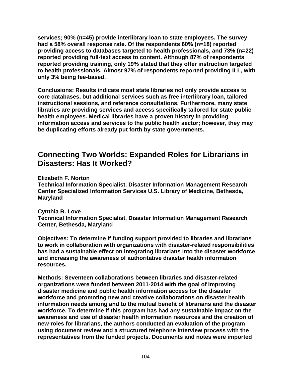**services; 90% (n=45) provide interlibrary loan to state employees. The survey had a 58% overall response rate. Of the respondents 60% (n=18) reported providing access to databases targeted to health professionals, and 73% (n=22) reported providing full-text access to content. Although 87% of respondents reported providing training, only 19% stated that they offer instruction targeted to health professionals. Almost 97% of respondents reported providing ILL, with only 3% being fee-based.** 

**Conclusions: Results indicate most state libraries not only provide access to core databases, but additional services such as free interlibrary loan, tailored instructional sessions, and reference consultations. Furthermore, many state libraries are providing services and access specifically tailored for state public health employees. Medical libraries have a proven history in providing information access and services to the public health sector; however, they may be duplicating efforts already put forth by state governments.** 

## **Connecting Two Worlds: Expanded Roles for Librarians in Disasters: Has It Worked?**

**Elizabeth F. Norton** 

**Technical Information Specialist, Disaster Information Management Research Center Specialized Information Services U.S. Library of Medicine, Bethesda, Maryland** 

**Cynthia B. Love Tecnnical Information Specialist, Disaster Information Management Research Center, Bethesda, Maryland** 

**Objectives: To determine if funding support provided to libraries and librarians to work in collaboration with organizations with disaster-related responsibilities has had a sustainable effect on integrating librarians into the disaster workforce and increasing the awareness of authoritative disaster health information resources.** 

**Methods: Seventeen collaborations between libraries and disaster-related organizations were funded between 2011-2014 with the goal of improving disaster medicine and public health information access for the disaster workforce and promoting new and creative collaborations on disaster health information needs among and to the mutual benefit of librarians and the disaster workforce. To determine if this program has had any sustainable impact on the awareness and use of disaster health information resources and the creation of new roles for librarians, the authors conducted an evaluation of the program using document review and a structured telephone interview process with the representatives from the funded projects. Documents and notes were imported**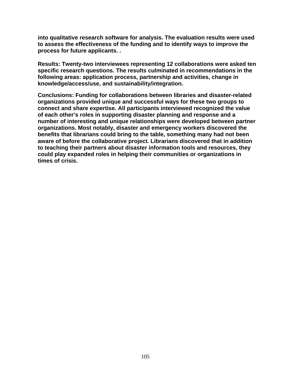**into qualitative research software for analysis. The evaluation results were used to assess the effectiveness of the funding and to identify ways to improve the process for future applicants. .** 

**Results: Twenty-two interviewees representing 12 collaborations were asked ten specific research questions. The results culminated in recommendations in the following areas: application process, partnership and activities, change in knowledge/access/use, and sustainability/integration.** 

**Conclusions: Funding for collaborations between libraries and disaster-related organizations provided unique and successful ways for these two groups to connect and share expertise. All participants interviewed recognized the value of each other's roles in supporting disaster planning and response and a number of interesting and unique relationships were developed between partner organizations. Most notably, disaster and emergency workers discovered the benefits that librarians could bring to the table, something many had not been aware of before the collaborative project. Librarians discovered that in addition to teaching their partners about disaster information tools and resources, they could play expanded roles in helping their communities or organizations in times of crisis.**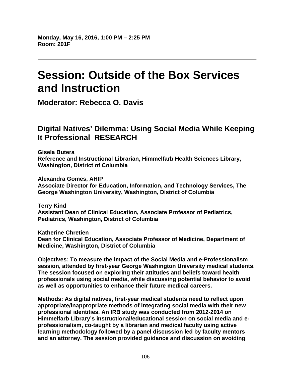**Monday, May 16, 2016, 1:00 PM – 2:25 PM Room: 201F** 

# **Session: Outside of the Box Services and Instruction**

**Moderator: Rebecca O. Davis** 

## **Digital Natives' Dilemma: Using Social Media While Keeping It Professional RESEARCH**

**Gisela Butera Reference and Instructional Librarian, Himmelfarb Health Sciences Library, Washington, District of Columbia** 

**Alexandra Gomes, AHIP Associate Director for Education, Information, and Technology Services, The George Washington University, Washington, District of Columbia** 

**Terry Kind Assistant Dean of Clinical Education, Associate Professor of Pediatrics, Pediatrics, Washington, District of Columbia** 

**Katherine Chretien Dean for Clinical Education, Associate Professor of Medicine, Department of Medicine, Washington, District of Columbia** 

**Objectives: To measure the impact of the Social Media and e-Professionalism session, attended by first-year George Washington University medical students. The session focused on exploring their attitudes and beliefs toward health professionals using social media, while discussing potential behavior to avoid as well as opportunities to enhance their future medical careers.** 

**Methods: As digital natives, first-year medical students need to reflect upon appropriate/inappropriate methods of integrating social media with their new professional identities. An IRB study was conducted from 2012-2014 on Himmelfarb Library's instructional/educational session on social media and eprofessionalism, co-taught by a librarian and medical faculty using active learning methodology followed by a panel discussion led by faculty mentors and an attorney. The session provided guidance and discussion on avoiding**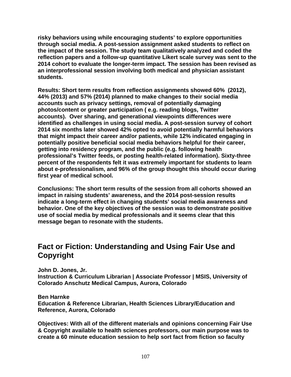**risky behaviors using while encouraging students' to explore opportunities through social media. A post-session assignment asked students to reflect on the impact of the session. The study team qualitatively analyzed and coded the reflection papers and a follow-up quantitative Likert scale survey was sent to the 2014 cohort to evaluate the longer-term impact. The session has been revised as an interprofessional session involving both medical and physician assistant students.** 

**Results: Short term results from reflection assignments showed 60% (2012), 44% (2013) and 57% (2014) planned to make changes to their social media accounts such as privacy settings, removal of potentially damaging photos/content or greater participation ( e.g. reading blogs, Twitter accounts). Over sharing, and generational viewpoints differences were identified as challenges in using social media. A post-session survey of cohort 2014 six months later showed 42% opted to avoid potentially harmful behaviors that might impact their career and/or patients, while 12% indicated engaging in potentially positive beneficial social media behaviors helpful for their career, getting into residency program, and the public (e.g. following health professional's Twitter feeds, or posting health-related information). Sixty-three percent of the respondents felt it was extremely important for students to learn about e-professionalism, and 96% of the group thought this should occur during first year of medical school.** 

**Conclusions: The short term results of the session from all cohorts showed an impact in raising students' awareness, and the 2014 post-session results indicate a long-term effect in changing students' social media awareness and behavior. One of the key objectives of the session was to demonstrate positive use of social media by medical professionals and it seems clear that this message began to resonate with the students.** 

### **Fact or Fiction: Understanding and Using Fair Use and Copyright**

**John D. Jones, Jr.** 

**Instruction & Curriculum Librarian | Associate Professor | MSIS, University of Colorado Anschutz Medical Campus, Aurora, Colorado** 

### **Ben Harnke**

**Education & Reference Librarian, Health Sciences Library/Education and Reference, Aurora, Colorado** 

**Objectives: With all of the different materials and opinions concerning Fair Use & Copyright available to health sciences professors, our main purpose was to create a 60 minute education session to help sort fact from fiction so faculty**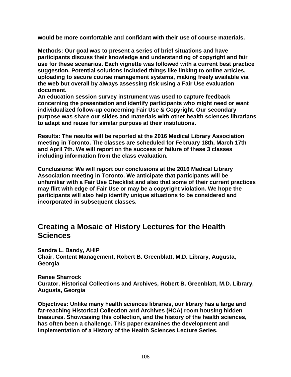**would be more comfortable and confidant with their use of course materials.** 

**Methods: Our goal was to present a series of brief situations and have participants discuss their knowledge and understanding of copyright and fair use for these scenarios. Each vignette was followed with a current best practice suggestion. Potential solutions included things like linking to online articles, uploading to secure course management systems, making freely available via the web but overall by always assessing risk using a Fair Use evaluation document.** 

**An education session survey instrument was used to capture feedback concerning the presentation and identify participants who might need or want individualized follow-up concerning Fair Use & Copyright. Our secondary purpose was share our slides and materials with other health sciences librarians to adapt and reuse for similar purpose at their institutions.** 

**Results: The results will be reported at the 2016 Medical Library Association meeting in Toronto. The classes are scheduled for February 18th, March 17th and April 7th. We will report on the success or failure of these 3 classes including information from the class evaluation.** 

**Conclusions: We will report our conclusions at the 2016 Medical Library Association meeting in Toronto. We anticipate that participants will be unfamiliar with a Fair Use Checklist and also that some of their current practices may flirt with edge of Fair Use or may be a copyright violation. We hope the participants will also help identify unique situations to be considered and incorporated in subsequent classes.** 

### **Creating a Mosaic of History Lectures for the Health Sciences**

**Sandra L. Bandy, AHIP Chair, Content Management, Robert B. Greenblatt, M.D. Library, Augusta, Georgia** 

**Renee Sharrock Curator, Historical Collections and Archives, Robert B. Greenblatt, M.D. Library, Augusta, Georgia** 

**Objectives: Unlike many health sciences libraries, our library has a large and far-reaching Historical Collection and Archives (HCA) room housing hidden treasures. Showcasing this collection, and the history of the health sciences, has often been a challenge. This paper examines the development and implementation of a History of the Health Sciences Lecture Series.**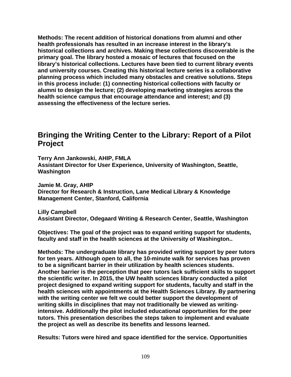**Methods: The recent addition of historical donations from alumni and other health professionals has resulted in an increase interest in the library's historical collections and archives. Making these collections discoverable is the primary goal. The library hosted a mosaic of lectures that focused on the library's historical collections. Lectures have been tied to current library events and university courses. Creating this historical lecture series is a collaborative planning process which included many obstacles and creative solutions. Steps in this process include: (1) connecting historical collections with faculty or alumni to design the lecture; (2) developing marketing strategies across the health science campus that encourage attendance and interest; and (3) assessing the effectiveness of the lecture series.** 

### **Bringing the Writing Center to the Library: Report of a Pilot Project**

**Terry Ann Jankowski, AHIP, FMLA Assistant Director for User Experience, University of Washington, Seattle, Washington** 

**Jamie M. Gray, AHIP Director for Research & Instruction, Lane Medical Library & Knowledge Management Center, Stanford, California** 

**Lilly Campbell Assistant Director, Odegaard Writing & Research Center, Seattle, Washington** 

**Objectives: The goal of the project was to expand writing support for students, faculty and staff in the health sciences at the University of Washington..** 

**Methods: The undergraduate library has provided writing support by peer tutors for ten years. Although open to all, the 10-minute walk for services has proven to be a significant barrier in their utilization by health sciences students. Another barrier is the perception that peer tutors lack sufficient skills to support the scientific writer. In 2015, the UW health sciences library conducted a pilot project designed to expand writing support for students, faculty and staff in the health sciences with appointments at the Health Sciences Library. By partnering with the writing center we felt we could better support the development of writing skills in disciplines that may not traditionally be viewed as writingintensive. Additionally the pilot included educational opportunities for the peer tutors. This presentation describes the steps taken to implement and evaluate the project as well as describe its benefits and lessons learned.** 

**Results: Tutors were hired and space identified for the service. Opportunities**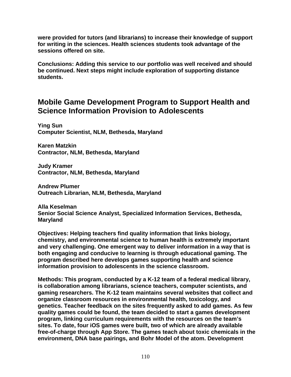**were provided for tutors (and librarians) to increase their knowledge of support for writing in the sciences. Health sciences students took advantage of the sessions offered on site.** 

**Conclusions: Adding this service to our portfolio was well received and should be continued. Next steps might include exploration of supporting distance students.** 

### **Mobile Game Development Program to Support Health and Science Information Provision to Adolescents**

**Ying Sun Computer Scientist, NLM, Bethesda, Maryland** 

**Karen Matzkin Contractor, NLM, Bethesda, Maryland** 

**Judy Kramer Contractor, NLM, Bethesda, Maryland** 

**Andrew Plumer Outreach Librarian, NLM, Bethesda, Maryland** 

**Alla Keselman Senior Social Science Analyst, Specialized Information Services, Bethesda, Maryland** 

**Objectives: Helping teachers find quality information that links biology, chemistry, and environmental science to human health is extremely important and very challenging. One emergent way to deliver information in a way that is both engaging and conducive to learning is through educational gaming. The program described here develops games supporting health and science information provision to adolescents in the science classroom.** 

**Methods: This program, conducted by a K-12 team of a federal medical library, is collaboration among librarians, science teachers, computer scientists, and gaming researchers. The K-12 team maintains several websites that collect and organize classroom resources in environmental health, toxicology, and genetics. Teacher feedback on the sites frequently asked to add games. As few quality games could be found, the team decided to start a games development program, linking curriculum requirements with the resources on the team's sites. To date, four iOS games were built, two of which are already available free-of-charge through App Store. The games teach about toxic chemicals in the environment, DNA base pairings, and Bohr Model of the atom. Development**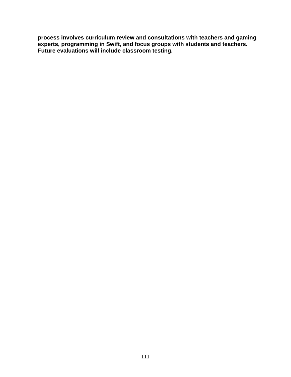**process involves curriculum review and consultations with teachers and gaming experts, programming in Swift, and focus groups with students and teachers. Future evaluations will include classroom testing.**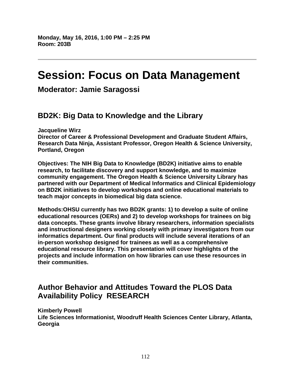# **Session: Focus on Data Management**

**Moderator: Jamie Saragossi** 

# **BD2K: Big Data to Knowledge and the Library**

**Jacqueline Wirz** 

**Director of Career & Professional Development and Graduate Student Affairs, Research Data Ninja, Assistant Professor, Oregon Health & Science University, Portland, Oregon** 

**Objectives: The NIH Big Data to Knowledge (BD2K) initiative aims to enable research, to facilitate discovery and support knowledge, and to maximize community engagement. The Oregon Health & Science University Library has partnered with our Department of Medical Informatics and Clinical Epidemiology on BD2K initiatives to develop workshops and online educational materials to teach major concepts in biomedical big data science.** 

**Methods:OHSU currently has two BD2K grants: 1) to develop a suite of online educational resources (OERs) and 2) to develop workshops for trainees on big data concepts. These grants involve library researchers, information specialists and instructional designers working closely with primary investigators from our informatics department. Our final products will include several iterations of an in-person workshop designed for trainees as well as a comprehensive educational resource library. This presentation will cover highlights of the projects and include information on how libraries can use these resources in their communities.** 

# **Author Behavior and Attitudes Toward the PLOS Data Availability Policy RESEARCH**

**Kimberly Powell Life Sciences Informationist, Woodruff Health Sciences Center Library, Atlanta, Georgia**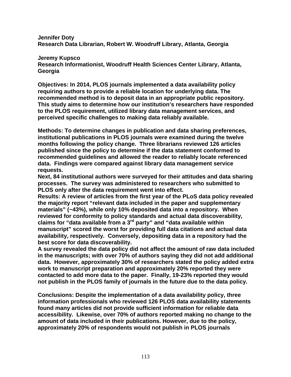**Jennifer Doty Research Data Librarian, Robert W. Woodruff Library, Atlanta, Georgia** 

**Jeremy Kupsco** 

**Research Informationist, Woodruff Health Sciences Center Library, Atlanta, Georgia** 

**Objectives: In 2014, PLOS journals implemented a data availability policy requiring authors to provide a reliable location for underlying data. The recommended method is to deposit data in an appropriate public repository. This study aims to determine how our institution's researchers have responded to the PLOS requirement, utilized library data management services, and perceived specific challenges to making data reliably available.** 

**Methods: To determine changes in publication and data sharing preferences, institutional publications in PLOS journals were examined during the twelve months following the policy change. Three librarians reviewed 126 articles published since the policy to determine if the data statement conformed to recommended guidelines and allowed the reader to reliably locate referenced data. Findings were compared against library data management service requests.** 

**Next, 84 institutional authors were surveyed for their attitudes and data sharing processes. The survey was administered to researchers who submitted to PLOS only after the data requirement went into effect.** 

**Results: A review of articles from the first year of the PLoS data policy revealed the majority report "relevant data included in the paper and supplementary materials" (~43%), while only 10% deposited data into a repository. When reviewed for conformity to policy standards and actual data discoverability, claims for "data available from a 3rd party" and "data available within manuscript" scored the worst for providing full data citations and actual data availability, respectively. Conversely, depositing data in a repository had the best score for data discoverability.** 

**A survey revealed the data policy did not affect the amount of raw data included in the manuscripts; with over 70% of authors saying they did not add additional data. However, approximately 30% of researchers stated the policy added extra work to manuscript preparation and approximately 20% reported they were contacted to add more data to the paper. Finally, 19-23% reported they would not publish in the PLOS family of journals in the future due to the data policy.** 

**Conclusions: Despite the implementation of a data availability policy, three information professionals who reviewed 126 PLOS data availability statements found many articles did not provide sufficient information for reliable data accessibility. Likewise, over 70% of authors reported making no change to the amount of data included in their publications. However, due to the policy, approximately 20% of respondents would not publish in PLOS journals**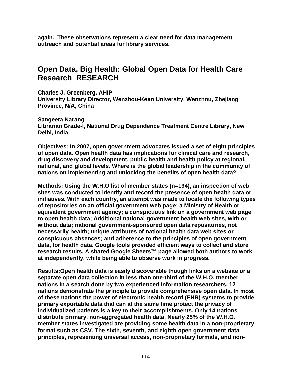**again. These observations represent a clear need for data management outreach and potential areas for library services.** 

### **Open Data, Big Health: Global Open Data for Health Care Research RESEARCH**

**Charles J. Greenberg, AHIP University Library Director, Wenzhou-Kean University, Wenzhou, Zhejiang Province, N/A, China** 

**Sangeeta Narang Librarian Grade-I, National Drug Dependence Treatment Centre Library, New Delhi, India** 

**Objectives: In 2007, open government advocates issued a set of eight principles of open data. Open health data has implications for clinical care and research, drug discovery and development, public health and health policy at regional, national, and global levels. Where is the global leadership in the community of nations on implementing and unlocking the benefits of open health data?** 

**Methods: Using the W.H.O list of member states (n=194), an inspection of web sites was conducted to identify and record the presence of open health data or initiatives. With each country, an attempt was made to locate the following types of repositories on an official government web page: a Ministry of Health or equivalent government agency; a conspicuous link on a government web page to open health data; Additional national government health web sites, with or without data; national government-sponsored open data repositories, not necessarily health; unique attributes of national health data web sites or conspicuous absences; and adherence to the principles of open government data, for health data. Google tools provided efficient ways to collect and store research results. A shared Google Sheets™ page allowed both authors to work at independently, while being able to observe work in progress.** 

**Results:Open health data is easily discoverable though links on a website or a separate open data collection in less than one-third of the W.H.O. member nations in a search done by two experienced information researchers. 12 nations demonstrate the principle to provide comprehensive open data. In most of these nations the power of electronic health record (EHR) systems to provide primary exportable data that can at the same time protect the privacy of individualized patients is a key to their accomplishments. Only 14 nations distribute primary, non-aggregated health data. Nearly 25% of the W.H.O. member states investigated are providing some health data in a non-proprietary format such as CSV. The sixth, seventh, and eighth open government data principles, representing universal access, non-proprietary formats, and non-**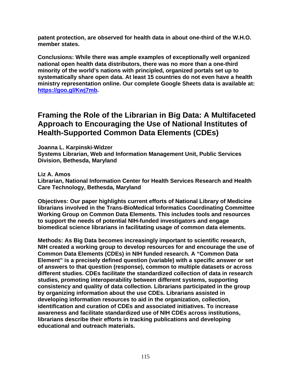**patent protection, are observed for health data in about one-third of the W.H.O. member states.** 

**Conclusions: While there was ample examples of exceptionally well organized national open health data distributors, there was no more than a one-third minority of the world's nations with principled, organized portals set up to systematically share open data. At least 15 countries do not even have a health ministry representation online. Our complete Google Sheets data is available at: https://goo.gl/Kwj7mb.** 

### **Framing the Role of the Librarian in Big Data: A Multifaceted Approach to Encouraging the Use of National Institutes of Health-Supported Common Data Elements (CDEs)**

**Joanna L. Karpinski-Widzer** 

**Systems Librarian, Web and Information Management Unit, Public Services Division, Bethesda, Maryland** 

**Liz A. Amos** 

**Librarian, National Information Center for Health Services Research and Health Care Technology, Bethesda, Maryland** 

**Objectives: Our paper highlights current efforts of National Library of Medicine librarians involved in the Trans-BioMedical Informatics Coordinating Committee Working Group on Common Data Elements. This includes tools and resources to support the needs of potential NIH-funded investigators and engage biomedical science librarians in facilitating usage of common data elements.** 

**Methods: As Big Data becomes increasingly important to scientific research, NIH created a working group to develop resources for and encourage the use of Common Data Elements (CDEs) in NIH funded research. A "Common Data Element" is a precisely defined question (variable) with a specific answer or set of answers to that question (response), common to multiple datasets or across different studies. CDEs facilitate the standardized collection of data in research studies, promoting interoperability between different systems, supporting consistency and quality of data collection. Librarians participated in the group by organizing information about the use CDEs. Librarians assisted in developing information resources to aid in the organization, collection, identification and curation of CDEs and associated initiatives. To increase awareness and facilitate standardized use of NIH CDEs across institutions, librarians describe their efforts in tracking publications and developing educational and outreach materials.**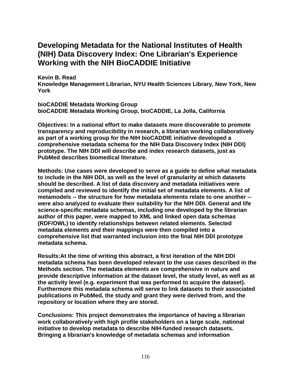### **Developing Metadata for the National Institutes of Health (NIH) Data Discovery Index: One Librarian's Experience Working with the NIH BioCADDIE Initiative**

**Kevin B. Read Knowledge Management Librarian, NYU Health Sciences Library, New York, New York** 

**bioCADDIE Metadata Working Group bioCADDIE Metadata Working Group, bioCADDIE, La Jolla, California** 

**Objectives: In a national effort to make datasets more discoverable to promote transparency and reproducibility in research, a librarian working collaboratively as part of a working group for the NIH bioCADDIE initiative developed a comprehensive metadata schema for the NIH Data Discovery Index (NIH DDI) prototype. The NIH DDI will describe and index research datasets, just as PubMed describes biomedical literature.** 

**Methods: Use cases were developed to serve as a guide to define what metadata to include in the NIH DDI, as well as the level of granularity at which datasets should be described. A list of data discovery and metadata initiatives were compiled and reviewed to identify the initial set of metadata elements. A list of metamodels -- the structure for how metadata elements relate to one another - were also analyzed to evaluate their suitability for the NIH DDI. General and life science-specific metadata schemas, including one developed by the librarian author of this paper, were mapped to XML and linked open data schemas (RDF/OWL) to identify relationships between related elements. Selected metadata elements and their mappings were then compiled into a comprehensive list that warranted inclusion into the final NIH DDI prototype metadata schema.** 

**Results:At the time of writing this abstract, a first iteration of the NIH DDI metadata schema has been developed relevant to the use cases described in the Methods section. The metadata elements are comprehensive in nature and provide descriptive information at the dataset level, the study level, as well as at the activity level (e.g. experiment that was performed to acquire the dataset). Furthermore this metadata schema will serve to link datasets to their associated publications in PubMed, the study and grant they were derived from, and the repository or location where they are stored.** 

**Conclusions: This project demonstrates the importance of having a librarian work collaboratively with high profile stakeholders on a large scale, national initiative to develop metadata to describe NIH-funded research datasets. Bringing a librarian's knowledge of metadata schemas and information**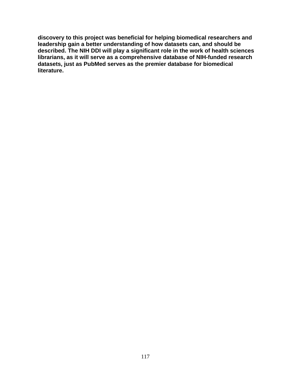**discovery to this project was beneficial for helping biomedical researchers and leadership gain a better understanding of how datasets can, and should be described. The NIH DDI will play a significant role in the work of health sciences librarians, as it will serve as a comprehensive database of NIH-funded research datasets, just as PubMed serves as the premier database for biomedical literature.**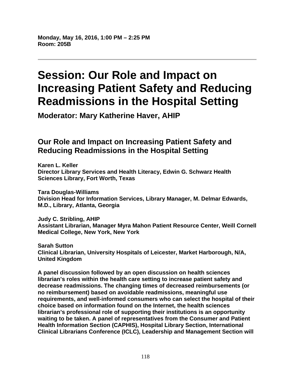**Monday, May 16, 2016, 1:00 PM – 2:25 PM Room: 205B** 

# **Session: Our Role and Impact on Increasing Patient Safety and Reducing Readmissions in the Hospital Setting**

**Moderator: Mary Katherine Haver, AHIP** 

# **Our Role and Impact on Increasing Patient Safety and Reducing Readmissions in the Hospital Setting**

**Karen L. Keller Director Library Services and Health Literacy, Edwin G. Schwarz Health Sciences Library, Fort Worth, Texas** 

**Tara Douglas-Williams Division Head for Information Services, Library Manager, M. Delmar Edwards, M.D., Library, Atlanta, Georgia** 

**Judy C. Stribling, AHIP Assistant Librarian, Manager Myra Mahon Patient Resource Center, Weill Cornell Medical College, New York, New York** 

**Sarah Sutton Clinical Librarian, University Hospitals of Leicester, Market Harborough, N/A, United Kingdom** 

**A panel discussion followed by an open discussion on health sciences librarian's roles within the health care setting to increase patient safety and decrease readmissions. The changing times of decreased reimbursements (or no reimbursement) based on avoidable readmissions, meaningful use requirements, and well-informed consumers who can select the hospital of their choice based on information found on the Internet, the health sciences librarian's professional role of supporting their institutions is an opportunity waiting to be taken. A panel of representatives from the Consumer and Patient Health Information Section (CAPHIS), Hospital Library Section, International Clinical Librarians Conference (ICLC), Leadership and Management Section will**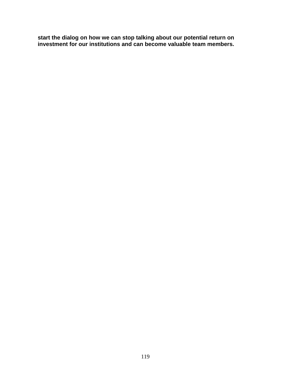**start the dialog on how we can stop talking about our potential return on investment for our institutions and can become valuable team members.**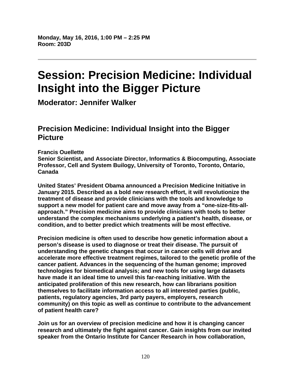# **Session: Precision Medicine: Individual Insight into the Bigger Picture**

**Moderator: Jennifer Walker** 

## **Precision Medicine: Individual Insight into the Bigger Picture**

#### **Francis Ouellette**

**Senior Scientist, and Associate Director, Informatics & Biocomputing, Associate Professor, Cell and System Builogy, University of Toronto, Toronto, Ontario, Canada** 

**United States' President Obama announced a Precision Medicine Initiative in January 2015. Described as a bold new research effort, it will revolutionize the treatment of disease and provide clinicians with the tools and knowledge to support a new model for patient care and move away from a "one-size-fits-allapproach." Precision medicine aims to provide clinicians with tools to better understand the complex mechanisms underlying a patient's health, disease, or condition, and to better predict which treatments will be most effective.** 

**Precision medicine is often used to describe how genetic information about a person's disease is used to diagnose or treat their disease. The pursuit of understanding the genetic changes that occur in cancer cells will drive and accelerate more effective treatment regimes, tailored to the genetic profile of the cancer patient. Advances in the sequencing of the human genome; improved technologies for biomedical analysis; and new tools for using large datasets have made it an ideal time to unveil this far-reaching initiative. With the anticipated proliferation of this new research, how can librarians position themselves to facilitate information access to all interested parties (public, patients, regulatory agencies, 3rd party payers, employers, research community) on this topic as well as continue to contribute to the advancement of patient health care?** 

**Join us for an overview of precision medicine and how it is changing cancer research and ultimately the fight against cancer. Gain insights from our invited speaker from the Ontario Institute for Cancer Research in how collaboration,**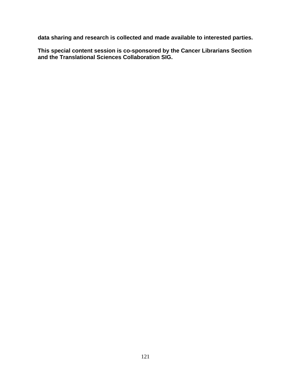**data sharing and research is collected and made available to interested parties.** 

**This special content session is co-sponsored by the Cancer Librarians Section and the Translational Sciences Collaboration SIG.**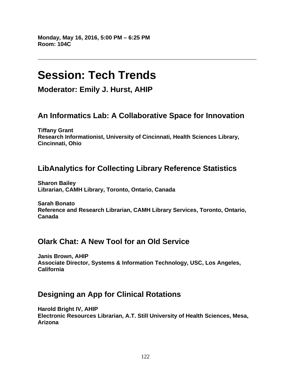**Monday, May 16, 2016, 5:00 PM – 6:25 PM Room: 104C** 

# **Session: Tech Trends**

**Moderator: Emily J. Hurst, AHIP** 

## **An Informatics Lab: A Collaborative Space for Innovation**

**Tiffany Grant Research Informationist, University of Cincinnati, Health Sciences Library, Cincinnati, Ohio** 

# **LibAnalytics for Collecting Library Reference Statistics**

**Sharon Bailey Librarian, CAMH Library, Toronto, Ontario, Canada** 

**Sarah Bonato Reference and Research Librarian, CAMH Library Services, Toronto, Ontario, Canada** 

## **Olark Chat: A New Tool for an Old Service**

**Janis Brown, AHIP Associate Director, Systems & Information Technology, USC, Los Angeles, California** 

## **Designing an App for Clinical Rotations**

**Harold Bright IV, AHIP Electronic Resources Librarian, A.T. Still University of Health Sciences, Mesa, Arizona**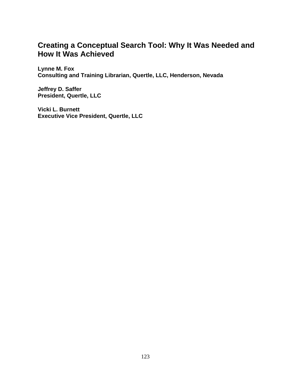## **Creating a Conceptual Search Tool: Why It Was Needed and How It Was Achieved**

**Lynne M. Fox Consulting and Training Librarian, Quertle, LLC, Henderson, Nevada** 

**Jeffrey D. Saffer President, Quertle, LLC** 

**Vicki L. Burnett Executive Vice President, Quertle, LLC**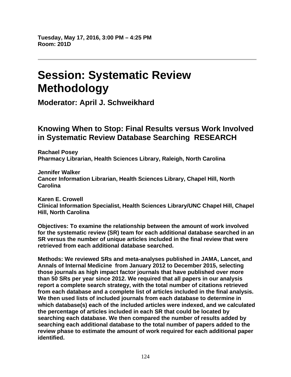# **Session: Systematic Review Methodology**

**Moderator: April J. Schweikhard** 

### **Knowing When to Stop: Final Results versus Work Involved in Systematic Review Database Searching RESEARCH**

**Rachael Posey Pharmacy Librarian, Health Sciences Library, Raleigh, North Carolina** 

**Jennifer Walker Cancer Information Librarian, Health Sciences Library, Chapel Hill, North Carolina** 

**Karen E. Crowell Clinical Information Specialist, Health Sciences Library/UNC Chapel Hill, Chapel Hill, North Carolina** 

**Objectives: To examine the relationship between the amount of work involved for the systematic review (SR) team for each additional database searched in an SR versus the number of unique articles included in the final review that were retrieved from each additional database searched.** 

**Methods: We reviewed SRs and meta-analyses published in JAMA, Lancet, and Annals of Internal Medicine from January 2012 to December 2015, selecting those journals as high impact factor journals that have published over more than 50 SRs per year since 2012. We required that all papers in our analysis report a complete search strategy, with the total number of citations retrieved from each database and a complete list of articles included in the final analysis. We then used lists of included journals from each database to determine in which database(s) each of the included articles were indexed, and we calculated the percentage of articles included in each SR that could be located by searching each database. We then compared the number of results added by searching each additional database to the total number of papers added to the review phase to estimate the amount of work required for each additional paper identified.**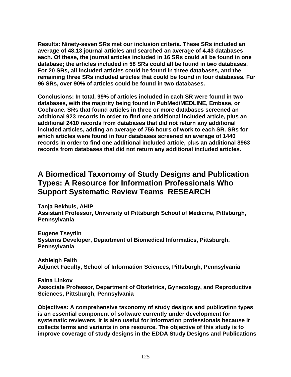**Results: Ninety-seven SRs met our inclusion criteria. These SRs included an average of 48.13 journal articles and searched an average of 4.43 databases each. Of these, the journal articles included in 16 SRs could all be found in one database; the articles included in 58 SRs could all be found in two databases. For 20 SRs, all included articles could be found in three databases, and the remaining three SRs included articles that could be found in four databases. For 96 SRs, over 90% of articles could be found in two databases.** 

**Conclusions: In total, 99% of articles included in each SR were found in two databases, with the majority being found in PubMed/MEDLINE, Embase, or Cochrane. SRs that found articles in three or more databases screened an additional 923 records in order to find one additional included article, plus an additional 2410 records from databases that did not return any additional included articles, adding an average of 756 hours of work to each SR. SRs for which articles were found in four databases screened an average of 1440 records in order to find one additional included article, plus an additional 8963 records from databases that did not return any additional included articles.** 

### **A Biomedical Taxonomy of Study Designs and Publication Types: A Resource for Information Professionals Who Support Systematic Review Teams RESEARCH**

**Tanja Bekhuis, AHIP Assistant Professor, University of Pittsburgh School of Medicine, Pittsburgh, Pennsylvania** 

**Eugene Tseytlin Systems Developer, Department of Biomedical Informatics, Pittsburgh, Pennsylvania** 

**Ashleigh Faith Adjunct Faculty, School of Information Sciences, Pittsburgh, Pennsylvania** 

**Faina Linkov Associate Professor, Department of Obstetrics, Gynecology, and Reproductive Sciences, Pittsburgh, Pennsylvania** 

**Objectives: A comprehensive taxonomy of study designs and publication types is an essential component of software currently under development for systematic reviewers. It is also useful for information professionals because it collects terms and variants in one resource. The objective of this study is to improve coverage of study designs in the EDDA Study Designs and Publications**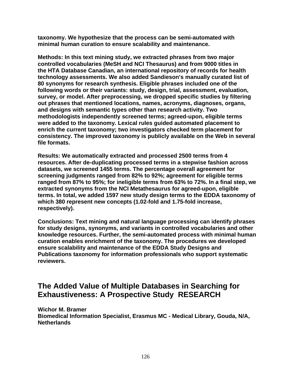**taxonomy. We hypothesize that the process can be semi-automated with minimal human curation to ensure scalability and maintenance.** 

**Methods: In this text mining study, we extracted phrases from two major controlled vocabularies (MeSH and NCI Thesaurus) and from 9000 titles in the HTA Database Canadian, an international repository of records for health technology assessments. We also added Sandieson's manually curated list of 80 synonyms for research synthesis. Eligible phrases included one of the following words or their variants: study, design, trial, assessment, evaluation, survey, or model. After preprocessing, we dropped specific studies by filtering out phrases that mentioned locations, names, acronyms, diagnoses, organs, and designs with semantic types other than research activity. Two methodologists independently screened terms; agreed-upon, eligible terms were added to the taxonomy. Lexical rules guided automated placement to enrich the current taxonomy; two investigators checked term placement for consistency. The improved taxonomy is publicly available on the Web in several file formats.** 

**Results: We automatically extracted and processed 2500 terms from 4 resources. After de-duplicating processed terms in a stepwise fashion across datasets, we screened 1455 terms. The percentage overall agreement for screening judgments ranged from 82% to 92%; agreement for eligible terms ranged from 87% to 95%; for ineligible terms from 63% to 72%. In a final step, we extracted synonyms from the NCI Metathesaurus for agreed-upon, eligible terms. In total, we added 1597 new study design terms to the EDDA taxonomy of which 380 represent new concepts (1.02-fold and 1.75-fold increase, respectively).** 

**Conclusions: Text mining and natural language processing can identify phrases for study designs, synonyms, and variants in controlled vocabularies and other knowledge resources. Further, the semi-automated process with minimal human curation enables enrichment of the taxonomy. The procedures we developed ensure scalability and maintenance of the EDDA Study Designs and Publications taxonomy for information professionals who support systematic reviewers.** 

## **The Added Value of Multiple Databases in Searching for Exhaustiveness: A Prospective Study RESEARCH**

**Wichor M. Bramer Biomedical Information Specialist, Erasmus MC - Medical Library, Gouda, N/A, Netherlands**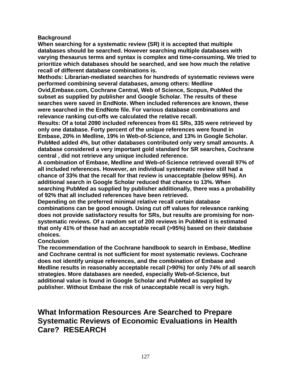#### **Background**

**When searching for a systematic review (SR) it is accepted that multiple databases should be searched. However searching multiple databases with varying thesaurus terms and syntax is complex and time-consuming. We tried to prioritize which databases should be searched, and see how much the relative recall of different database combinations is.** 

**Methods: Librarian-mediated searches for hundreds of systematic reviews were performed combining several databases, among others: Medline** 

**Ovid,Embase.com, Cochrane Central, Web of Science, Scopus, PubMed the subset as supplied by publisher and Google Scholar. The results of these searches were saved in EndNote. When included references are known, these were searched in the EndNote file. For various database combinations and relevance ranking cut-offs we calculated the relative recall.** 

**Results: Of a total 2090 included references from 61 SRs, 335 were retrieved by only one database. Forty percent of the unique references were found in Embase, 20% in Medline, 19% in Web-of-Science, and 13% in Google Scholar. PubMed added 4%, but other databases contributed only very small amounts. A database considered a very important gold standard for SR searches, Cochrane central , did not retrieve any unique included reference.** 

**A combination of Embase, Medline and Web-of-Science retrieved overall 97% of all included references. However, an individual systematic review still had a chance of 33% that the recall for that review is unacceptable (below 95%). An additional search in Google Scholar reduced that chance to 13%. When searching PubMed as supplied by publisher additionally, there was a probability of 92% that all included references have been retrieved.** 

**Depending on the preferred minimal relative recall certain database combinations can be good enough. Using cut off values for relevance ranking does not provide satisfactory results for SRs, but results are promising for nonsystematic reviews. Of a random set of 200 reviews in PubMed it is estimated that only 41% of these had an acceptable recall (>95%) based on their database choices.** 

#### **Conclusion**

**The recommendation of the Cochrane handbook to search in Embase, Medline and Cochrane central is not sufficient for most systematic reviews. Cochrane does not identify unique references, and the combination of Embase and Medline results in reasonably acceptable recall (>90%) for only 74% of all search strategies. More databases are needed, especially Web-of-Science, but additional value is found in Google Scholar and PubMed as supplied by publisher. Without Embase the risk of unacceptable recall is very high.** 

### **What Information Resources Are Searched to Prepare Systematic Reviews of Economic Evaluations in Health Care? RESEARCH**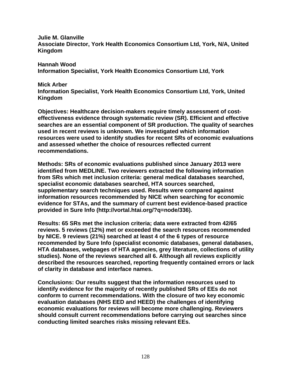**Julie M. Glanville Associate Director, York Health Economics Consortium Ltd, York, N/A, United Kingdom** 

**Hannah Wood Information Specialist, York Health Economics Consortium Ltd, York** 

#### **Mick Arber**

**Information Specialist, York Health Economics Consortium Ltd, York, United Kingdom** 

**Objectives: Healthcare decision-makers require timely assessment of costeffectiveness evidence through systematic review (SR). Efficient and effective searches are an essential component of SR production. The quality of searches used in recent reviews is unknown. We investigated which information resources were used to identify studies for recent SRs of economic evaluations and assessed whether the choice of resources reflected current recommendations.** 

**Methods: SRs of economic evaluations published since January 2013 were identified from MEDLINE. Two reviewers extracted the following information from SRs which met inclusion criteria: general medical databases searched, specialist economic databases searched, HTA sources searched, supplementary search techniques used. Results were compared against information resources recommended by NICE when searching for economic evidence for STAs, and the summary of current best evidence-based practice provided in Sure Info (http://vortal.htai.org/?q=node/336).** 

**Results: 65 SRs met the inclusion criteria; data were extracted from 42/65 reviews. 5 reviews (12%) met or exceeded the search resources recommended by NICE. 9 reviews (21%) searched at least 4 of the 6 types of resource recommended by Sure Info (specialist economic databases, general databases, HTA databases, webpages of HTA agencies, grey literature, collections of utility studies). None of the reviews searched all 6. Although all reviews explicitly described the resources searched, reporting frequently contained errors or lack of clarity in database and interface names.** 

**Conclusions: Our results suggest that the information resources used to identify evidence for the majority of recently published SRs of EEs do not conform to current recommendations. With the closure of two key economic evaluation databases (NHS EED and HEED) the challenges of identifying economic evaluations for reviews will become more challenging. Reviewers should consult current recommendations before carrying out searches since conducting limited searches risks missing relevant EEs.**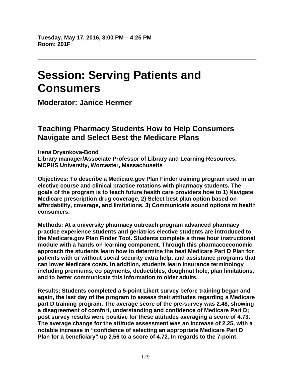# **Session: Serving Patients and Consumers**

**Moderator: Janice Hermer** 

### **Teaching Pharmacy Students How to Help Consumers Navigate and Select Best the Medicare Plans**

**Irena Dryankova-Bond Library manager/Associate Professor of Library and Learning Resources, MCPHS University, Worcester, Massachusetts** 

**Objectives: To describe a Medicare.gov Plan Finder training program used in an elective course and clinical practice rotations with pharmacy students. The goals of the program is to teach future health care providers how to 1) Navigate Medicare prescription drug coverage, 2) Select best plan option based on affordability, coverage, and limitations, 3) Communicate sound options to health consumers.** 

**Methods: At a university pharmacy outreach program advanced pharmacy practice experience students and geriatrics elective students are introduced to the Medicare.gov Plan Finder Tool. Students complete a three hour instructional module with a hands on learning component. Through this pharmacoeconomic approach the students learn how to determine the best Medicare Part D Plan for patients with or without social security extra help, and assistance programs that can lower Medicare costs. In addition, students learn insurance terminology including premiums, co payments, deductibles, doughnut hole, plan limitations, and to better communicate this information to older adults.** 

**Results: Students completed a 5-point Likert survey before training began and again, the last day of the program to assess their attitudes regarding a Medicare part D training program. The average score of the pre-survey was 2.48, showing a disagreement of comfort, understanding and confidence of Medicare Part D; post survey results were positive for these attitudes averaging a score of 4.73. The average change for the attitude assessment was an increase of 2.25, with a notable increase in "confidence of selecting an appropriate Medicare Part D Plan for a beneficiary" up 2.56 to a score of 4.72. In regards to the 7-point**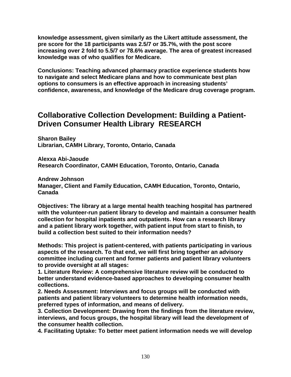**knowledge assessment, given similarly as the Likert attitude assessment, the pre score for the 18 participants was 2.5/7 or 35.7%, with the post score increasing over 2 fold to 5.5/7 or 78.6% average. The area of greatest increased knowledge was of who qualifies for Medicare.** 

**Conclusions: Teaching advanced pharmacy practice experience students how to navigate and select Medicare plans and how to communicate best plan options to consumers is an effective approach in increasing students' confidence, awareness, and knowledge of the Medicare drug coverage program.** 

### **Collaborative Collection Development: Building a Patient-Driven Consumer Health Library RESEARCH**

**Sharon Bailey Librarian, CAMH Library, Toronto, Ontario, Canada** 

**Alexxa Abi-Jaoude Research Coordinator, CAMH Education, Toronto, Ontario, Canada** 

**Andrew Johnson Manager, Client and Family Education, CAMH Education, Toronto, Ontario, Canada** 

**Objectives: The library at a large mental health teaching hospital has partnered with the volunteer-run patient library to develop and maintain a consumer health collection for hospital inpatients and outpatients. How can a research library and a patient library work together, with patient input from start to finish, to build a collection best suited to their information needs?** 

**Methods: This project is patient-centered, with patients participating in various aspects of the research. To that end, we will first bring together an advisory committee including current and former patients and patient library volunteers to provide oversight at all stages:** 

**1. Literature Review: A comprehensive literature review will be conducted to better understand evidence-based approaches to developing consumer health collections.** 

**2. Needs Assessment: Interviews and focus groups will be conducted with patients and patient library volunteers to determine health information needs, preferred types of information, and means of delivery.** 

**3. Collection Development: Drawing from the findings from the literature review, interviews, and focus groups, the hospital library will lead the development of the consumer health collection.** 

**4. Facilitating Uptake: To better meet patient information needs we will develop**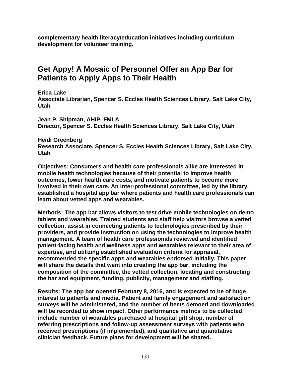**complementary health literacy/education initiatives including curriculum development for volunteer training.** 

# **Get Appy! A Mosaic of Personnel Offer an App Bar for Patients to Apply Apps to Their Health**

**Erica Lake** 

**Associate Librarian, Spencer S. Eccles Health Sciences Library, Salt Lake City, Utah** 

**Jean P. Shipman, AHIP, FMLA Director, Spencer S. Eccles Health Sciences Library, Salt Lake City, Utah** 

**Heidi Greenberg Research Associate, Spencer S. Eccles Health Sciences Library, Salt Lake City, Utah** 

**Objectives: Consumers and health care professionals alike are interested in mobile health technologies because of their potential to improve health outcomes, lower health care costs, and motivate patients to become more involved in their own care. An inter-professional committee, led by the library, established a hospital app bar where patients and health care professionals can learn about vetted apps and wearables.** 

**Methods: The app bar allows visitors to test drive mobile technologies on demo tablets and wearables. Trained students and staff help visitors browse a vetted collection, assist in connecting patients to technologies prescribed by their providers, and provide instruction on using the technologies to improve health management. A team of health care professionals reviewed and identified patient-facing health and wellness apps and wearables relevant to their area of expertise, and utilizing established evaluation criteria for appraisal, recommended the specific apps and wearables endorsed initially. This paper will share the details that went into creating the app bar, including the composition of the committee, the vetted collection, locating and constructing the bar and equipment, funding, publicity, management and staffing.** 

**Results: The app bar opened February 8, 2016, and is expected to be of huge interest to patients and media. Patient and family engagement and satisfaction surveys will be administered, and the number of items demoed and downloaded will be recorded to show impact. Other performance metrics to be collected include number of wearables purchased at hospital gift shop, number of referring prescriptions and follow-up assessment surveys with patients who received prescriptions (if implemented), and qualitative and quantitative clinician feedback. Future plans for development will be shared.**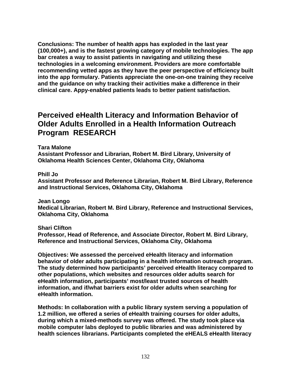**Conclusions: The number of health apps has exploded in the last year (100,000+), and is the fastest growing category of mobile technologies. The app bar creates a way to assist patients in navigating and utilizing these technologies in a welcoming environment. Providers are more comfortable recommending vetted apps as they have the peer perspective of efficiency built into the app formulary. Patients appreciate the one-on-one training they receive and the guidance on why tracking their activities make a difference in their clinical care. Appy-enabled patients leads to better patient satisfaction.** 

### **Perceived eHealth Literacy and Information Behavior of Older Adults Enrolled in a Health Information Outreach Program RESEARCH**

**Tara Malone** 

**Assistant Professor and Librarian, Robert M. Bird Library, University of Oklahoma Health Sciences Center, Oklahoma City, Oklahoma** 

**Phill Jo** 

**Assistant Professor and Reference Librarian, Robert M. Bird Library, Reference and Instructional Services, Oklahoma City, Oklahoma** 

**Jean Longo Medical Librarian, Robert M. Bird Library, Reference and Instructional Services, Oklahoma City, Oklahoma** 

**Shari Clifton** 

**Professor, Head of Reference, and Associate Director, Robert M. Bird Library, Reference and Instructional Services, Oklahoma City, Oklahoma** 

**Objectives: We assessed the perceived eHealth literacy and information behavior of older adults participating in a health information outreach program. The study determined how participants' perceived eHealth literacy compared to other populations, which websites and resources older adults search for eHealth information, participants' most/least trusted sources of health information, and if/what barriers exist for older adults when searching for eHealth information.** 

**Methods: In collaboration with a public library system serving a population of 1.2 million, we offered a series of eHealth training courses for older adults, during which a mixed-methods survey was offered. The study took place via mobile computer labs deployed to public libraries and was administered by health sciences librarians. Participants completed the eHEALS eHealth literacy**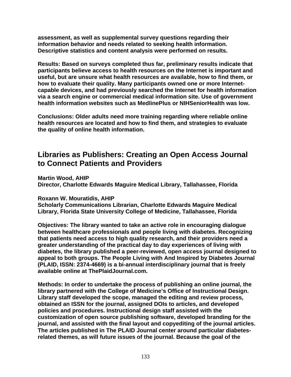**assessment, as well as supplemental survey questions regarding their information behavior and needs related to seeking health information. Descriptive statistics and content analysis were performed on results.** 

**Results: Based on surveys completed thus far, preliminary results indicate that participants believe access to health resources on the Internet is important and useful, but are unsure what health resources are available, how to find them, or how to evaluate their quality. Many participants owned one or more Internetcapable devices, and had previously searched the Internet for health information via a search engine or commercial medical information site. Use of government health information websites such as MedlinePlus or NIHSeniorHealth was low.** 

**Conclusions: Older adults need more training regarding where reliable online health resources are located and how to find them, and strategies to evaluate the quality of online health information.** 

## **Libraries as Publishers: Creating an Open Access Journal to Connect Patients and Providers**

**Martin Wood, AHIP** 

**Director, Charlotte Edwards Maguire Medical Library, Tallahassee, Florida** 

#### **Roxann W. Mouratidis, AHIP**

**Scholarly Communications Librarian, Charlotte Edwards Maguire Medical Library, Florida State University College of Medicine, Tallahassee, Florida** 

**Objectives: The library wanted to take an active role in encouraging dialogue between healthcare professionals and people living with diabetes. Recognizing that patients need access to high quality research, and their providers need a greater understanding of the practical day to day experiences of living with diabetes, the library published a peer-reviewed, open access journal designed to appeal to both groups. The People Living with And Inspired by Diabetes Journal (PLAID, ISSN: 2374-4669) is a bi-annual interdisciplinary journal that is freely available online at ThePlaidJournal.com.** 

**Methods: In order to undertake the process of publishing an online journal, the library partnered with the College of Medicine's Office of Instructional Design. Library staff developed the scope, managed the editing and review process, obtained an ISSN for the journal, assigned DOIs to articles, and developed policies and procedures. Instructional design staff assisted with the customization of open source publishing software, developed branding for the journal, and assisted with the final layout and copyediting of the journal articles. The articles published in The PLAID Journal center around particular diabetesrelated themes, as will future issues of the journal. Because the goal of the**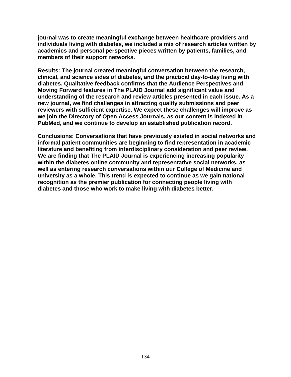**journal was to create meaningful exchange between healthcare providers and individuals living with diabetes, we included a mix of research articles written by academics and personal perspective pieces written by patients, families, and members of their support networks.** 

**Results: The journal created meaningful conversation between the research, clinical, and science sides of diabetes, and the practical day-to-day living with diabetes. Qualitative feedback confirms that the Audience Perspectives and Moving Forward features in The PLAID Journal add significant value and understanding of the research and review articles presented in each issue. As a new journal, we find challenges in attracting quality submissions and peer reviewers with sufficient expertise. We expect these challenges will improve as we join the Directory of Open Access Journals, as our content is indexed in PubMed, and we continue to develop an established publication record.** 

**Conclusions: Conversations that have previously existed in social networks and informal patient communities are beginning to find representation in academic literature and benefiting from interdisciplinary consideration and peer review. We are finding that The PLAID Journal is experiencing increasing popularity within the diabetes online community and representative social networks, as well as entering research conversations within our College of Medicine and university as a whole. This trend is expected to continue as we gain national recognition as the premier publication for connecting people living with diabetes and those who work to make living with diabetes better.**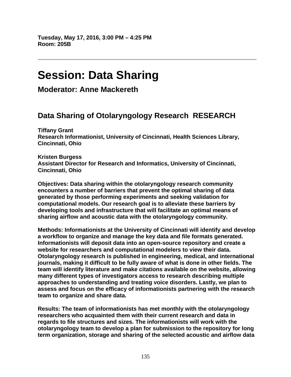# **Session: Data Sharing**

**Moderator: Anne Mackereth** 

# **Data Sharing of Otolaryngology Research RESEARCH**

**Tiffany Grant Research Informationist, University of Cincinnati, Health Sciences Library, Cincinnati, Ohio** 

**Kristen Burgess Assistant Director for Research and Informatics, University of Cincinnati, Cincinnati, Ohio** 

**Objectives: Data sharing within the otolaryngology research community encounters a number of barriers that prevent the optimal sharing of data generated by those performing experiments and seeking validation for computational models. Our research goal is to alleviate these barriers by developing tools and infrastructure that will facilitate an optimal means of sharing airflow and acoustic data with the otolaryngology community.** 

**Methods: Informationists at the University of Cincinnati will identify and develop a workflow to organize and manage the key data and file formats generated. Informationists will deposit data into an open-source repository and create a website for researchers and computational modelers to view their data. Otolaryngology research is published in engineering, medical, and international journals, making it difficult to be fully aware of what is done in other fields. The team will identify literature and make citations available on the website, allowing many different types of investigators access to research describing multiple approaches to understanding and treating voice disorders. Lastly, we plan to assess and focus on the efficacy of informationists partnering with the research team to organize and share data.** 

**Results: The team of informationists has met monthly with the otolaryngology researchers who acquainted them with their current research and data in regards to file structures and sizes. The informationists will work with the otolaryngology team to develop a plan for submission to the repository for long term organization, storage and sharing of the selected acoustic and airflow data**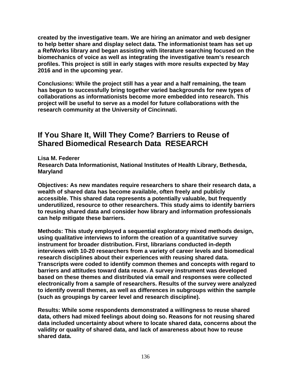**created by the investigative team. We are hiring an animator and web designer to help better share and display select data. The informationist team has set up a RefWorks library and began assisting with literature searching focused on the biomechanics of voice as well as integrating the investigative team's research profiles. This project is still in early stages with more results expected by May 2016 and in the upcoming year.** 

**Conclusions: While the project still has a year and a half remaining, the team has begun to successfully bring together varied backgrounds for new types of collaborations as informationists become more embedded into research. This project will be useful to serve as a model for future collaborations with the research community at the University of Cincinnati.** 

# **If You Share It, Will They Come? Barriers to Reuse of Shared Biomedical Research Data RESEARCH**

**Lisa M. Federer Research Data Informationist, National Institutes of Health Library, Bethesda, Maryland** 

**Objectives: As new mandates require researchers to share their research data, a wealth of shared data has become available, often freely and publicly accessible. This shared data represents a potentially valuable, but frequently underutilized, resource to other researchers. This study aims to identify barriers to reusing shared data and consider how library and information professionals can help mitigate these barriers.** 

**Methods: This study employed a sequential exploratory mixed methods design, using qualitative interviews to inform the creation of a quantitative survey instrument for broader distribution. First, librarians conducted in-depth interviews with 10-20 researchers from a variety of career levels and biomedical research disciplines about their experiences with reusing shared data. Transcripts were coded to identify common themes and concepts with regard to barriers and attitudes toward data reuse. A survey instrument was developed based on these themes and distributed via email and responses were collected electronically from a sample of researchers. Results of the survey were analyzed to identify overall themes, as well as differences in subgroups within the sample (such as groupings by career level and research discipline).** 

**Results: While some respondents demonstrated a willingness to reuse shared data, others had mixed feelings about doing so. Reasons for not reusing shared data included uncertainty about where to locate shared data, concerns about the validity or quality of shared data, and lack of awareness about how to reuse shared data.**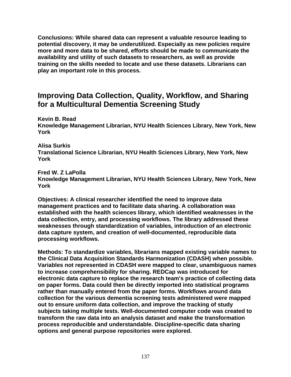**Conclusions: While shared data can represent a valuable resource leading to potential discovery, it may be underutilized. Especially as new policies require more and more data to be shared, efforts should be made to communicate the availability and utility of such datasets to researchers, as well as provide training on the skills needed to locate and use these datasets. Librarians can play an important role in this process.** 

### **Improving Data Collection, Quality, Workflow, and Sharing for a Multicultural Dementia Screening Study**

**Kevin B. Read Knowledge Management Librarian, NYU Health Sciences Library, New York, New York** 

**Alisa Surkis** 

**Translational Science Librarian, NYU Health Sciences Library, New York, New York** 

**Fred W. Z LaPolla** 

**Knowledge Management Librarian, NYU Health Sciences Library, New York, New York** 

**Objectives: A clinical researcher identified the need to improve data management practices and to facilitate data sharing. A collaboration was established with the health sciences library, which identified weaknesses in the data collection, entry, and processing workflows. The library addressed these weaknesses through standardization of variables, introduction of an electronic data capture system, and creation of well-documented, reproducible data processing workflows.** 

**Methods: To standardize variables, librarians mapped existing variable names to the Clinical Data Acquisition Standards Harmonization (CDASH) when possible. Variables not represented in CDASH were mapped to clear, unambiguous names to increase comprehensibility for sharing. REDCap was introduced for electronic data capture to replace the research team's practice of collecting data on paper forms. Data could then be directly imported into statistical programs rather than manually entered from the paper forms. Workflows around data collection for the various dementia screening tests administered were mapped out to ensure uniform data collection, and improve the tracking of study subjects taking multiple tests. Well-documented computer code was created to transform the raw data into an analysis dataset and make the transformation process reproducible and understandable. Discipline-specific data sharing options and general purpose repositories were explored.**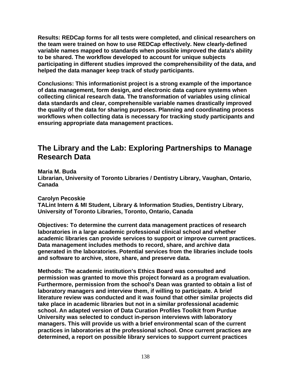**Results: REDCap forms for all tests were completed, and clinical researchers on the team were trained on how to use REDCap effectively. New clearly-defined variable names mapped to standards when possible improved the data's ability to be shared. The workflow developed to account for unique subjects participating in different studies improved the comprehensibility of the data, and helped the data manager keep track of study participants.** 

**Conclusions: This informationist project is a strong example of the importance of data management, form design, and electronic data capture systems when collecting clinical research data. The transformation of variables using clinical data standards and clear, comprehensible variable names drastically improved the quality of the data for sharing purposes. Planning and coordinating process workflows when collecting data is necessary for tracking study participants and ensuring appropriate data management practices.** 

### **The Library and the Lab: Exploring Partnerships to Manage Research Data**

**Maria M. Buda Librarian, University of Toronto Libraries / Dentistry Library, Vaughan, Ontario, Canada** 

**Carolyn Pecoskie** 

**TALint Intern & MI Student, Library & Information Studies, Dentistry Library, University of Toronto Libraries, Toronto, Ontario, Canada** 

**Objectives: To determine the current data management practices of research laboratories in a large academic professional clinical school and whether academic libraries can provide services to support or improve current practices. Data management includes methods to record, share, and archive data generated in the laboratories. Potential services from the libraries include tools and software to archive, store, share, and preserve data.** 

**Methods: The academic institution's Ethics Board was consulted and permission was granted to move this project forward as a program evaluation. Furthermore, permission from the school's Dean was granted to obtain a list of laboratory managers and interview them, if willing to participate. A brief literature review was conducted and it was found that other similar projects did take place in academic libraries but not in a similar professional academic school. An adapted version of Data Curation Profiles Toolkit from Purdue University was selected to conduct in-person interviews with laboratory managers. This will provide us with a brief environmental scan of the current practices in laboratories at the professional school. Once current practices are determined, a report on possible library services to support current practices**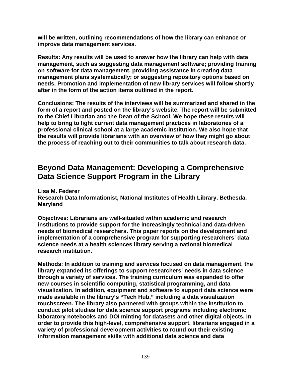**will be written, outlining recommendations of how the library can enhance or improve data management services.** 

**Results: Any results will be used to answer how the library can help with data management, such as suggesting data management software; providing training on software for data management, providing assistance in creating data management plans systematically; or suggesting repository options based on needs. Promotion and implementation of new library services will follow shortly after in the form of the action items outlined in the report.** 

**Conclusions: The results of the interviews will be summarized and shared in the form of a report and posted on the library's website. The report will be submitted to the Chief Librarian and the Dean of the School. We hope these results will help to bring to light current data management practices in laboratories of a professional clinical school at a large academic institution. We also hope that the results will provide librarians with an overview of how they might go about the process of reaching out to their communities to talk about research data.** 

## **Beyond Data Management: Developing a Comprehensive Data Science Support Program in the Library**

**Lisa M. Federer** 

**Research Data Informationist, National Institutes of Health Library, Bethesda, Maryland** 

**Objectives: Librarians are well-situated within academic and research institutions to provide support for the increasingly technical and data-driven needs of biomedical researchers. This paper reports on the development and implementation of a comprehensive program for supporting researchers' data science needs at a health sciences library serving a national biomedical research institution.** 

**Methods: In addition to training and services focused on data management, the library expanded its offerings to support researchers' needs in data science through a variety of services. The training curriculum was expanded to offer new courses in scientific computing, statistical programming, and data visualization. In addition, equipment and software to support data science were made available in the library's "Tech Hub," including a data visualization touchscreen. The library also partnered with groups within the institution to conduct pilot studies for data science support programs including electronic laboratory notebooks and DOI minting for datasets and other digital objects. In order to provide this high-level, comprehensive support, librarians engaged in a variety of professional development activities to round out their existing information management skills with additional data science and data**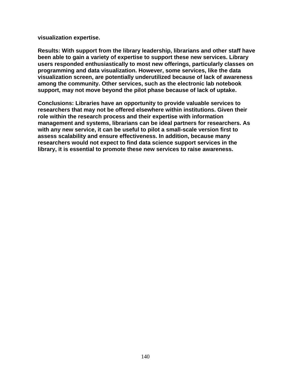**visualization expertise.** 

**Results: With support from the library leadership, librarians and other staff have been able to gain a variety of expertise to support these new services. Library users responded enthusiastically to most new offerings, particularly classes on programming and data visualization. However, some services, like the data visualization screen, are potentially underutilized because of lack of awareness among the community. Other services, such as the electronic lab notebook support, may not move beyond the pilot phase because of lack of uptake.** 

**Conclusions: Libraries have an opportunity to provide valuable services to researchers that may not be offered elsewhere within institutions. Given their role within the research process and their expertise with information management and systems, librarians can be ideal partners for researchers. As with any new service, it can be useful to pilot a small-scale version first to assess scalability and ensure effectiveness. In addition, because many researchers would not expect to find data science support services in the library, it is essential to promote these new services to raise awareness.**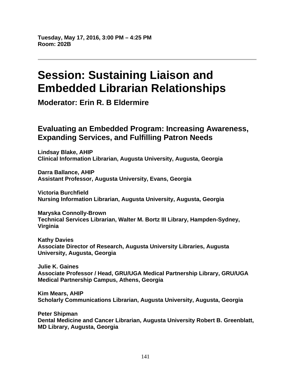# **Session: Sustaining Liaison and Embedded Librarian Relationships**

**Moderator: Erin R. B Eldermire** 

### **Evaluating an Embedded Program: Increasing Awareness, Expanding Services, and Fulfilling Patron Needs**

**Lindsay Blake, AHIP Clinical Information Librarian, Augusta University, Augusta, Georgia** 

**Darra Ballance, AHIP Assistant Professor, Augusta University, Evans, Georgia** 

**Victoria Burchfield Nursing Information Librarian, Augusta University, Augusta, Georgia** 

**Maryska Connolly-Brown Technical Services Librarian, Walter M. Bortz III Library, Hampden-Sydney, Virginia** 

**Kathy Davies Associate Director of Research, Augusta University Libraries, Augusta University, Augusta, Georgia** 

**Julie K. Gaines Associate Professor / Head, GRU/UGA Medical Partnership Library, GRU/UGA Medical Partnership Campus, Athens, Georgia** 

**Kim Mears, AHIP Scholarly Communications Librarian, Augusta University, Augusta, Georgia** 

**Peter Shipman Dental Medicine and Cancer Librarian, Augusta University Robert B. Greenblatt, MD Library, Augusta, Georgia**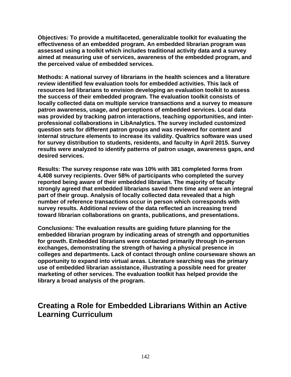**Objectives: To provide a multifaceted, generalizable toolkit for evaluating the effectiveness of an embedded program. An embedded librarian program was assessed using a toolkit which includes traditional activity data and a survey aimed at measuring use of services, awareness of the embedded program, and the perceived value of embedded services.** 

**Methods: A national survey of librarians in the health sciences and a literature review identified few evaluation tools for embedded activities. This lack of resources led librarians to envision developing an evaluation toolkit to assess the success of their embedded program. The evaluation toolkit consists of locally collected data on multiple service transactions and a survey to measure patron awareness, usage, and perceptions of embedded services. Local data was provided by tracking patron interactions, teaching opportunities, and interprofessional collaborations in LibAnalytics. The survey included customized question sets for different patron groups and was reviewed for content and internal structure elements to increase its validity. Qualtrics software was used for survey distribution to students, residents, and faculty in April 2015. Survey results were analyzed to identify patterns of patron usage, awareness gaps, and desired services.** 

**Results: The survey response rate was 10% with 381 completed forms from 4,408 survey recipients. Over 58% of participants who completed the survey reported being aware of their embedded librarian. The majority of faculty strongly agreed that embedded librarians saved them time and were an integral part of their group. Analysis of locally collected data revealed that a high number of reference transactions occur in person which corresponds with survey results. Additional review of the data reflected an increasing trend toward librarian collaborations on grants, publications, and presentations.** 

**Conclusions: The evaluation results are guiding future planning for the embedded librarian program by indicating areas of strength and opportunities for growth. Embedded librarians were contacted primarily through in-person exchanges, demonstrating the strength of having a physical presence in colleges and departments. Lack of contact through online courseware shows an opportunity to expand into virtual areas. Literature searching was the primary use of embedded librarian assistance, illustrating a possible need for greater marketing of other services. The evaluation toolkit has helped provide the library a broad analysis of the program.** 

## **Creating a Role for Embedded Librarians Within an Active Learning Curriculum**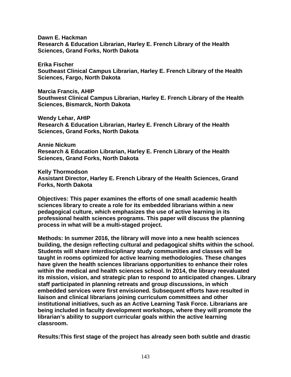**Dawn E. Hackman Research & Education Librarian, Harley E. French Library of the Health Sciences, Grand Forks, North Dakota** 

**Erika Fischer Southeast Clinical Campus Librarian, Harley E. French Library of the Health Sciences, Fargo, North Dakota** 

**Marcia Francis, AHIP Southwest Clinical Campus Librarian, Harley E. French Library of the Health Sciences, Bismarck, North Dakota** 

**Wendy Lehar, AHIP Research & Education Librarian, Harley E. French Library of the Health Sciences, Grand Forks, North Dakota** 

**Annie Nickum Research & Education Librarian, Harley E. French Library of the Health Sciences, Grand Forks, North Dakota** 

**Kelly Thormodson Assistant Director, Harley E. French Library of the Health Sciences, Grand Forks, North Dakota** 

**Objectives: This paper examines the efforts of one small academic health sciences library to create a role for its embedded librarians within a new pedagogical culture, which emphasizes the use of active learning in its professional health sciences programs. This paper will discuss the planning process in what will be a multi-staged project.** 

**Methods: In summer 2016, the library will move into a new health sciences building, the design reflecting cultural and pedagogical shifts within the school. Students will share interdisciplinary study communities and classes will be taught in rooms optimized for active learning methodologies. These changes have given the health sciences librarians opportunities to enhance their roles within the medical and health sciences school. In 2014, the library reevaluated its mission, vision, and strategic plan to respond to anticipated changes. Library staff participated in planning retreats and group discussions, in which embedded services were first envisioned. Subsequent efforts have resulted in liaison and clinical librarians joining curriculum committees and other institutional initiatives, such as an Active Learning Task Force. Librarians are being included in faculty development workshops, where they will promote the librarian's ability to support curricular goals within the active learning classroom.** 

**Results:This first stage of the project has already seen both subtle and drastic**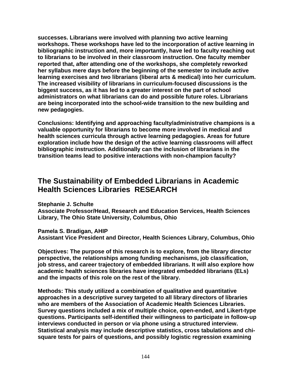**successes. Librarians were involved with planning two active learning workshops. These workshops have led to the incorporation of active learning in bibliographic instruction and, more importantly, have led to faculty reaching out to librarians to be involved in their classroom instruction. One faculty member reported that, after attending one of the workshops, she completely reworked her syllabus mere days before the beginning of the semester to include active learning exercises and two librarians (liberal arts & medical) into her curriculum. The increased visibility of librarians in curriculum-focused discussions is the biggest success, as it has led to a greater interest on the part of school administrators on what librarians can do and possible future roles. Librarians are being incorporated into the school-wide transition to the new building and new pedagogies.** 

**Conclusions: Identifying and approaching faculty/administrative champions is a valuable opportunity for librarians to become more involved in medical and health sciences curricula through active learning pedagogies. Areas for future exploration include how the design of the active learning classrooms will affect bibliographic instruction. Additionally can the inclusion of librarians in the transition teams lead to positive interactions with non-champion faculty?** 

### **The Sustainability of Embedded Librarians in Academic Health Sciences Libraries RESEARCH**

**Stephanie J. Schulte** 

**Associate Professor/Head, Research and Education Services, Health Sciences Library, The Ohio State University, Columbus, Ohio** 

**Pamela S. Bradigan, AHIP** 

**Assistant Vice President and Director, Health Sciences Library, Columbus, Ohio** 

**Objectives: The purpose of this research is to explore, from the library director perspective, the relationships among funding mechanisms, job classification, job stress, and career trajectory of embedded librarians. It will also explore how academic health sciences libraries have integrated embedded librarians (ELs) and the impacts of this role on the rest of the library.** 

**Methods: This study utilized a combination of qualitative and quantitative approaches in a descriptive survey targeted to all library directors of libraries who are members of the Association of Academic Health Sciences Libraries. Survey questions included a mix of multiple choice, open-ended, and Likert-type questions. Participants self-identified their willingness to participate in follow-up interviews conducted in person or via phone using a structured interview. Statistical analysis may include descriptive statistics, cross tabulations and chisquare tests for pairs of questions, and possibly logistic regression examining**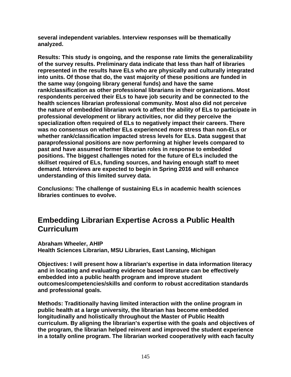**several independent variables. Interview responses will be thematically analyzed.** 

**Results: This study is ongoing, and the response rate limits the generalizability of the survey results. Preliminary data indicate that less than half of libraries represented in the results have ELs who are physically and culturally integrated into units. Of those that do, the vast majority of these positions are funded in the same way (ongoing library general funds) and have the same rank/classification as other professional librarians in their organizations. Most respondents perceived their ELs to have job security and be connected to the health sciences librarian professional community. Most also did not perceive the nature of embedded librarian work to affect the ability of ELs to participate in professional development or library activities, nor did they perceive the specialization often required of ELs to negatively impact their careers. There was no consensus on whether ELs experienced more stress than non-ELs or whether rank/classification impacted stress levels for ELs. Data suggest that paraprofessional positions are now performing at higher levels compared to past and have assumed former librarian roles in response to embedded positions. The biggest challenges noted for the future of ELs included the skillset required of ELs, funding sources, and having enough staff to meet demand. Interviews are expected to begin in Spring 2016 and will enhance understanding of this limited survey data.** 

**Conclusions: The challenge of sustaining ELs in academic health sciences libraries continues to evolve.** 

# **Embedding Librarian Expertise Across a Public Health Curriculum**

**Abraham Wheeler, AHIP Health Sciences Librarian, MSU Libraries, East Lansing, Michigan** 

**Objectives: I will present how a librarian's expertise in data information literacy and in locating and evaluating evidence based literature can be effectively embedded into a public health program and improve student outcomes/competencies/skills and conform to robust accreditation standards and professional goals.** 

**Methods: Traditionally having limited interaction with the online program in public health at a large university, the librarian has become embedded longitudinally and holistically throughout the Master of Public Health curriculum. By aligning the librarian's expertise with the goals and objectives of the program, the librarian helped reinvent and improved the student experience in a totally online program. The librarian worked cooperatively with each faculty**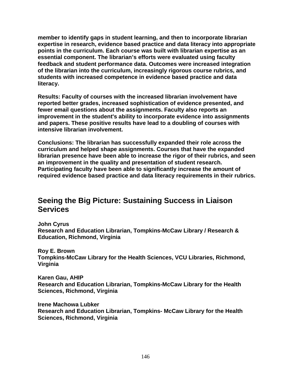**member to identify gaps in student learning, and then to incorporate librarian expertise in research, evidence based practice and data literacy into appropriate points in the curriculum. Each course was built with librarian expertise as an essential component. The librarian's efforts were evaluated using faculty feedback and student performance data. Outcomes were increased integration of the librarian into the curriculum, increasingly rigorous course rubrics, and students with increased competence in evidence based practice and data literacy.** 

**Results: Faculty of courses with the increased librarian involvement have reported better grades, increased sophistication of evidence presented, and fewer email questions about the assignments. Faculty also reports an improvement in the student's ability to incorporate evidence into assignments and papers. These positive results have lead to a doubling of courses with intensive librarian involvement.** 

**Conclusions: The librarian has successfully expanded their role across the curriculum and helped shape assignments. Courses that have the expanded librarian presence have been able to increase the rigor of their rubrics, and seen an improvement in the quality and presentation of student research. Participating faculty have been able to significantly increase the amount of required evidence based practice and data literacy requirements in their rubrics.** 

# **Seeing the Big Picture: Sustaining Success in Liaison Services**

**John Cyrus** 

**Research and Education Librarian, Tompkins-McCaw Library / Research & Education, Richmond, Virginia** 

**Roy E. Brown Tompkins-McCaw Library for the Health Sciences, VCU Libraries, Richmond, Virginia** 

**Karen Gau, AHIP Research and Education Librarian, Tompkins-McCaw Library for the Health Sciences, Richmond, Virginia** 

**Irene Machowa Lubker Research and Education Librarian, Tompkins- McCaw Library for the Health Sciences, Richmond, Virginia**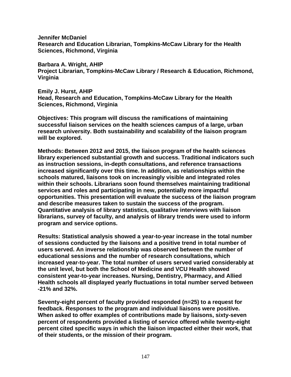**Jennifer McDaniel Research and Education Librarian, Tompkins-McCaw Library for the Health Sciences, Richmond, Virginia** 

**Barbara A. Wright, AHIP Project Librarian, Tompkins-McCaw Library / Research & Education, Richmond, Virginia** 

**Emily J. Hurst, AHIP Head, Research and Education, Tompkins-McCaw Library for the Health Sciences, Richmond, Virginia** 

**Objectives: This program will discuss the ramifications of maintaining successful liaison services on the health sciences campus of a large, urban research university. Both sustainability and scalability of the liaison program will be explored.** 

**Methods: Between 2012 and 2015, the liaison program of the health sciences library experienced substantial growth and success. Traditional indicators such as instruction sessions, in-depth consultations, and reference transactions increased significantly over this time. In addition, as relationships within the schools matured, liaisons took on increasingly visible and integrated roles within their schools. Librarians soon found themselves maintaining traditional services and roles and participating in new, potentially more impactful opportunities. This presentation will evaluate the success of the liaison program and describe measures taken to sustain the success of the program. Quantitative analysis of library statistics, qualitative interviews with liaison librarians, survey of faculty, and analysis of library trends were used to inform program and service options.** 

**Results: Statistical analysis showed a year-to-year increase in the total number of sessions conducted by the liaisons and a positive trend in total number of users served. An inverse relationship was observed between the number of educational sessions and the number of research consultations, which increased year-to-year. The total number of users served varied considerably at the unit level, but both the School of Medicine and VCU Health showed consistent year-to-year increases. Nursing, Dentistry, Pharmacy, and Allied Health schools all displayed yearly fluctuations in total number served between -21% and 32%.** 

**Seventy-eight percent of faculty provided responded (n=25) to a request for feedback. Responses to the program and individual liaisons were positive. When asked to offer examples of contributions made by liaisons, sixty-seven percent of respondents provided a listing of service offered while twenty-eight percent cited specific ways in which the liaison impacted either their work, that of their students, or the mission of their program.**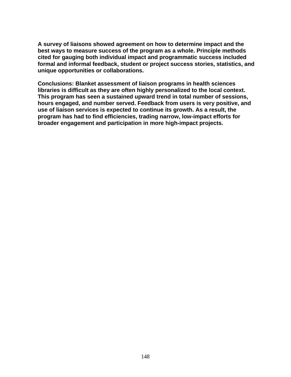**A survey of liaisons showed agreement on how to determine impact and the best ways to measure success of the program as a whole. Principle methods cited for gauging both individual impact and programmatic success included formal and informal feedback, student or project success stories, statistics, and unique opportunities or collaborations.** 

**Conclusions: Blanket assessment of liaison programs in health sciences libraries is difficult as they are often highly personalized to the local context. This program has seen a sustained upward trend in total number of sessions, hours engaged, and number served. Feedback from users is very positive, and use of liaison services is expected to continue its growth. As a result, the program has had to find efficiencies, trading narrow, low-impact efforts for broader engagement and participation in more high-impact projects.**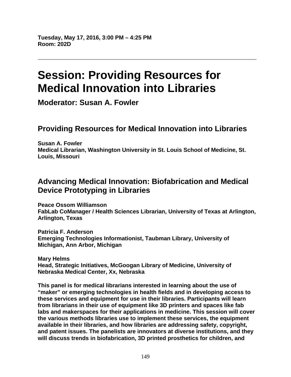# **Session: Providing Resources for Medical Innovation into Libraries**

**Moderator: Susan A. Fowler** 

# **Providing Resources for Medical Innovation into Libraries**

**Susan A. Fowler Medical Librarian, Washington University in St. Louis School of Medicine, St. Louis, Missouri** 

# **Advancing Medical Innovation: Biofabrication and Medical Device Prototyping in Libraries**

**Peace Ossom Williamson FabLab CoManager / Health Sciences Librarian, University of Texas at Arlington, Arlington, Texas** 

**Patricia F. Anderson Emerging Technologies Informationist, Taubman Library, University of Michigan, Ann Arbor, Michigan** 

**Mary Helms Head, Strategic Initiatives, McGoogan Library of Medicine, University of Nebraska Medical Center, Xx, Nebraska** 

**This panel is for medical librarians interested in learning about the use of "maker" or emerging technologies in health fields and in developing access to these services and equipment for use in their libraries. Participants will learn from librarians in their use of equipment like 3D printers and spaces like fab labs and makerspaces for their applications in medicine. This session will cover the various methods libraries use to implement these services, the equipment available in their libraries, and how libraries are addressing safety, copyright, and patent issues. The panelists are innovators at diverse institutions, and they will discuss trends in biofabrication, 3D printed prosthetics for children, and**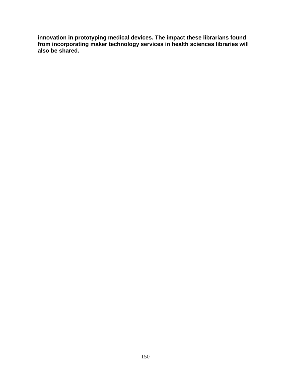**innovation in prototyping medical devices. The impact these librarians found from incorporating maker technology services in health sciences libraries will also be shared.**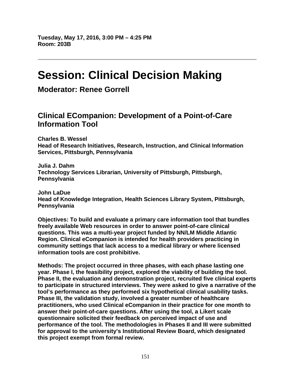# **Session: Clinical Decision Making**

**Moderator: Renee Gorrell** 

# **Clinical ECompanion: Development of a Point-of-Care Information Tool**

**Charles B. Wessel Head of Research Initiatives, Research, Instruction, and Clinical Information Services, Pittsburgh, Pennsylvania** 

**Julia J. Dahm Technology Services Librarian, University of Pittsburgh, Pittsburgh, Pennsylvania** 

**John LaDue Head of Knowledge Integration, Health Sciences Library System, Pittsburgh, Pennsylvania** 

**Objectives: To build and evaluate a primary care information tool that bundles freely available Web resources in order to answer point-of-care clinical questions. This was a multi-year project funded by NN/LM Middle Atlantic Region. Clinical eCompanion is intended for health providers practicing in community settings that lack access to a medical library or where licensed information tools are cost prohibitive.** 

**Methods: The project occurred in three phases, with each phase lasting one year. Phase I, the feasibility project, explored the viability of building the tool. Phase II, the evaluation and demonstration project, recruited five clinical experts to participate in structured interviews. They were asked to give a narrative of the tool's performance as they performed six hypothetical clinical usability tasks. Phase III, the validation study, involved a greater number of healthcare practitioners, who used Clinical eCompanion in their practice for one month to answer their point-of-care questions. After using the tool, a Likert scale questionnaire solicited their feedback on perceived impact of use and performance of the tool. The methodologies in Phases II and III were submitted for approval to the university's Institutional Review Board, which designated this project exempt from formal review.**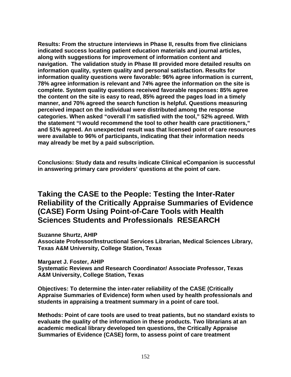**Results: From the structure interviews in Phase II, results from five clinicians indicated success locating patient education materials and journal articles, along with suggestions for improvement of information content and navigation. The validation study in Phase III provided more detailed results on information quality, system quality and personal satisfaction. Results for information quality questions were favorable: 96% agree information is current, 78% agree information is relevant and 74% agree the information on the site is complete. System quality questions received favorable responses: 85% agree the content on the site is easy to read, 85% agreed the pages load in a timely manner, and 70% agreed the search function is helpful. Questions measuring perceived impact on the individual were distributed among the response categories. When asked "overall I'm satisfied with the tool," 52% agreed. With the statement "I would recommend the tool to other health care practitioners," and 51% agreed. An unexpected result was that licensed point of care resources were available to 96% of participants, indicating that their information needs may already be met by a paid subscription.** 

**Conclusions: Study data and results indicate Clinical eCompanion is successful in answering primary care providers' questions at the point of care.** 

**Taking the CASE to the People: Testing the Inter-Rater Reliability of the Critically Appraise Summaries of Evidence (CASE) Form Using Point-of-Care Tools with Health Sciences Students and Professionals RESEARCH** 

**Suzanne Shurtz, AHIP** 

**Associate Professor/Instructional Services Librarian, Medical Sciences Library, Texas A&M University, College Station, Texas** 

**Margaret J. Foster, AHIP** 

**Systematic Reviews and Research Coordinator/ Associate Professor, Texas A&M University, College Station, Texas** 

**Objectives: To determine the inter-rater reliability of the CASE (Critically Appraise Summaries of Evidence) form when used by health professionals and students in appraising a treatment summary in a point of care tool.** 

**Methods: Point of care tools are used to treat patients, but no standard exists to evaluate the quality of the information in these products. Two librarians at an academic medical library developed ten questions, the Critically Appraise Summaries of Evidence (CASE) form, to assess point of care treatment**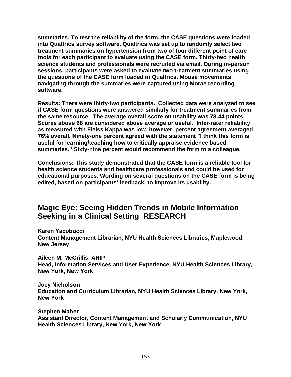**summaries. To test the reliability of the form, the CASE questions were loaded into Qualtrics survey software. Qualtrics was set up to randomly select two treatment summaries on hypertension from two of four different point of care tools for each participant to evaluate using the CASE form. Thirty-two health science students and professionals were recruited via email. During in-person sessions, participants were asked to evaluate two treatment summaries using the questions of the CASE form loaded in Qualtrics. Mouse movements navigating through the summaries were captured using Morae recording software.** 

**Results: There were thirty-two participants. Collected data were analyzed to see if CASE form questions were answered similarly for treatment summaries from the same resource. The average overall score on usability was 73.44 points. Scores above 68 are considered above average or useful. Inter-rater reliability as measured with Fleiss Kappa was low, however, percent agreement averaged 76% overall. Ninety-one percent agreed with the statement "I think this form is useful for learning/teaching how to critically appraise evidence based summaries." Sixty-nine percent would recommend the form to a colleague.** 

**Conclusions: This study demonstrated that the CASE form is a reliable tool for health science students and healthcare professionals and could be used for educational purposes. Wording on several questions on the CASE form is being edited, based on participants' feedback, to improve its usability.** 

# **Magic Eye: Seeing Hidden Trends in Mobile Information Seeking in a Clinical Setting RESEARCH**

**Karen Yacobucci Content Management Librarian, NYU Health Sciences Libraries, Maplewood, New Jersey** 

**Aileen M. McCrillis, AHIP Head, Information Services and User Experience, NYU Health Sciences Library, New York, New York** 

**Joey Nicholson Education and Curriculum Librarian, NYU Health Sciences Library, New York, New York** 

**Stephen Maher Assistant Director, Content Management and Scholarly Communication, NYU Health Sciences Library, New York, New York**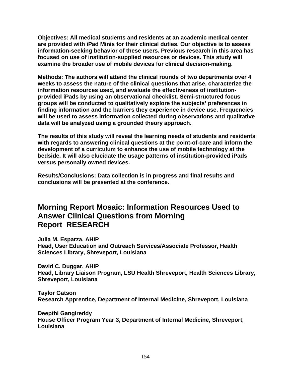**Objectives: All medical students and residents at an academic medical center are provided with iPad Minis for their clinical duties. Our objective is to assess information-seeking behavior of these users. Previous research in this area has focused on use of institution-supplied resources or devices. This study will examine the broader use of mobile devices for clinical decision-making.** 

**Methods: The authors will attend the clinical rounds of two departments over 4 weeks to assess the nature of the clinical questions that arise, characterize the information resources used, and evaluate the effectiveness of institutionprovided iPads by using an observational checklist. Semi-structured focus groups will be conducted to qualitatively explore the subjects' preferences in finding information and the barriers they experience in device use. Frequencies will be used to assess information collected during observations and qualitative data will be analyzed using a grounded theory approach.** 

**The results of this study will reveal the learning needs of students and residents with regards to answering clinical questions at the point-of-care and inform the development of a curriculum to enhance the use of mobile technology at the bedside. It will also elucidate the usage patterns of institution-provided iPads versus personally owned devices.** 

**Results/Conclusions: Data collection is in progress and final results and conclusions will be presented at the conference.** 

## **Morning Report Mosaic: Information Resources Used to Answer Clinical Questions from Morning Report RESEARCH**

**Julia M. Esparza, AHIP Head, User Education and Outreach Services/Associate Professor, Health Sciences Library, Shreveport, Louisiana** 

**David C. Duggar, AHIP Head, Library Liaison Program, LSU Health Shreveport, Health Sciences Library, Shreveport, Louisiana** 

**Taylor Gatson Research Apprentice, Department of Internal Medicine, Shreveport, Louisiana** 

**Deepthi Gangireddy House Officer Program Year 3, Department of Internal Medicine, Shreveport, Louisiana**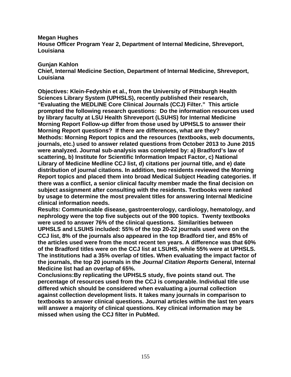**Megan Hughes** 

**House Officer Program Year 2, Department of Internal Medicine, Shreveport, Louisiana** 

#### **Gunjan Kahlon**

**Chief, Internal Medicine Section, Department of Internal Medicine, Shreveport, Louisiana** 

**Objectives: Klein-Fedyshin et al., from the University of Pittsburgh Health Sciences Library System (UPHSLS), recently published their research, "Evaluating the MEDLINE Core Clinical Journals (CCJ) Filter." This article prompted the following research questions: Do the information resources used by library faculty at LSU Health Shreveport (LSUHS) for Internal Medicine Morning Report Follow-up differ from those used by UPHSLS to answer their Morning Report questions? If there are differences, what are they? Methods: Morning Report topics and the resources (textbooks, web documents, journals, etc.) used to answer related questions from October 2013 to June 2015 were analyzed. Journal sub-analysis was completed by: a) Bradford's law of scattering, b) Institute for Scientific Information Impact Factor, c) National Library of Medicine Medline CCJ list, d) citations per journal title, and e) date distribution of journal citations. In addition, two residents reviewed the Morning Report topics and placed them into broad Medical Subject Heading categories. If there was a conflict, a senior clinical faculty member made the final decision on subject assignment after consulting with the residents. Textbooks were ranked by usage to determine the most prevalent titles for answering Internal Medicine clinical information needs.** 

**Results: Communicable disease, gastroenterology, cardiology, hematology, and nephrology were the top five subjects out of the 900 topics. Twenty textbooks were used to answer 76% of the clinical questions. Similarities between UPHSLS and LSUHS included: 55% of the top 20-22 journals used were on the CCJ list, 8% of the journals also appeared in the top Bradford tier, and 85% of the articles used were from the most recent ten years. A difference was that 60% of the Bradford titles were on the CCJ list at LSUHS, while 55% were at UPHSLS. The institutions had a 35% overlap of titles. When evaluating the impact factor of the journals, the top 20 journals in the** *Journal Citation Reports* **General, Internal Medicine list had an overlap of 65%.** 

**Conclusions:By replicating the UPHSLS study, five points stand out. The percentage of resources used from the CCJ is comparable. Individual title use differed which should be considered when evaluating a journal collection against collection development lists. It takes many journals in comparison to textbooks to answer clinical questions. Journal articles within the last ten years will answer a majority of clinical questions. Key clinical information may be missed when using the CCJ filter in PubMed.**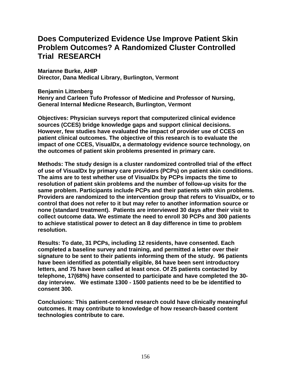# **Does Computerized Evidence Use Improve Patient Skin Problem Outcomes? A Randomized Cluster Controlled Trial RESEARCH**

**Marianne Burke, AHIP Director, Dana Medical Library, Burlington, Vermont** 

**Benjamin Littenberg** 

**Henry and Carleen Tufo Professor of Medicine and Professor of Nursing, General Internal Medicne Research, Burlington, Vermont** 

**Objectives: Physician surveys report that computerized clinical evidence sources (CCES) bridge knowledge gaps and support clinical decisions. However, few studies have evaluated the impact of provider use of CCES on patient clinical outcomes. The objective of this research is to evaluate the impact of one CCES, VisualDx, a dermatology evidence source technology, on the outcomes of patient skin problems presented in primary care.** 

**Methods: The study design is a cluster randomized controlled trial of the effect of use of VisualDx by primary care providers (PCPs) on patient skin conditions. The aims are to test whether use of VisualDx by PCPs impacts the time to resolution of patient skin problems and the number of follow-up visits for the same problem. Participants include PCPs and their patients with skin problems. Providers are randomized to the intervention group that refers to VisualDx, or to control that does not refer to it but may refer to another information source or none (standard treatment). Patients are interviewed 30 days after their visit to collect outcome data. We estimate the need to enroll 30 PCPs and 300 patients to achieve statistical power to detect an 8 day difference in time to problem resolution.** 

**Results: To date, 31 PCPs, including 12 residents, have consented. Each completed a baseline survey and training, and permitted a letter over their signature to be sent to their patients informing them of the study. 96 patients have been identified as potentially eligible, 84 have been sent introductory letters, and 75 have been called at least once. Of 25 patients contacted by telephone, 17(68%) have consented to participate and have completed the 30 day interview. We estimate 1300 - 1500 patients need to be be identified to consent 300.** 

**Conclusions: This patient-centered research could have clinically meaningful outcomes. It may contribute to knowledge of how research-based content technologies contribute to care.**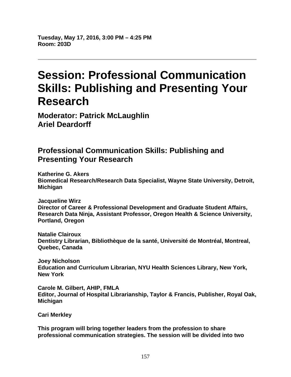**Tuesday, May 17, 2016, 3:00 PM – 4:25 PM Room: 203D** 

# **Session: Professional Communication Skills: Publishing and Presenting Your Research**

**Moderator: Patrick McLaughlin Ariel Deardorff** 

# **Professional Communication Skills: Publishing and Presenting Your Research**

**Katherine G. Akers Biomedical Research/Research Data Specialist, Wayne State University, Detroit, Michigan** 

**Jacqueline Wirz Director of Career & Professional Development and Graduate Student Affairs, Research Data Ninja, Assistant Professor, Oregon Health & Science University, Portland, Oregon** 

**Natalie Clairoux Dentistry Librarian, Bibliothèque de la santé, Université de Montréal, Montreal, Quebec, Canada** 

**Joey Nicholson Education and Curriculum Librarian, NYU Health Sciences Library, New York, New York** 

**Carole M. Gilbert, AHIP, FMLA Editor, Journal of Hospital Librarianship, Taylor & Francis, Publisher, Royal Oak, Michigan** 

**Cari Merkley** 

**This program will bring together leaders from the profession to share professional communication strategies. The session will be divided into two**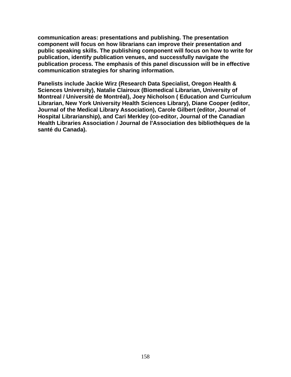**communication areas: presentations and publishing. The presentation component will focus on how librarians can improve their presentation and public speaking skills. The publishing component will focus on how to write for publication, identify publication venues, and successfully navigate the publication process. The emphasis of this panel discussion will be in effective communication strategies for sharing information.** 

**Panelists include Jackie Wirz (Research Data Specialist, Oregon Health & Sciences University), Natalie Clairoux (Biomedical Librarian, University of Montreal / Université de Montréal), Joey Nicholson ( Education and Curriculum Librarian, New York University Health Sciences Library), Diane Cooper (editor, Journal of the Medical Library Association), Carole Gilbert (editor, Journal of Hospital Librarianship), and Cari Merkley (co-editor, Journal of the Canadian Health Libraries Association / Journal de l'Association des bibliothèques de la santé du Canada).**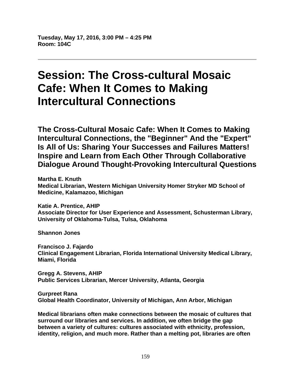**Tuesday, May 17, 2016, 3:00 PM – 4:25 PM Room: 104C** 

# **Session: The Cross-cultural Mosaic Cafe: When It Comes to Making Intercultural Connections**

**The Cross-Cultural Mosaic Cafe: When It Comes to Making Intercultural Connections, the "Beginner" And the "Expert" Is All of Us: Sharing Your Successes and Failures Matters! Inspire and Learn from Each Other Through Collaborative Dialogue Around Thought-Provoking Intercultural Questions** 

**Martha E. Knuth Medical Librarian, Western Michigan University Homer Stryker MD School of Medicine, Kalamazoo, Michigan** 

**Katie A. Prentice, AHIP Associate Director for User Experience and Assessment, Schusterman Library, University of Oklahoma-Tulsa, Tulsa, Oklahoma** 

**Shannon Jones** 

**Francisco J. Fajardo Clinical Engagement Librarian, Florida International University Medical Library, Miami, Florida** 

**Gregg A. Stevens, AHIP Public Services Librarian, Mercer University, Atlanta, Georgia** 

**Gurpreet Rana Global Health Coordinator, University of Michigan, Ann Arbor, Michigan** 

**Medical librarians often make connections between the mosaic of cultures that surround our libraries and services. In addition, we often bridge the gap between a variety of cultures: cultures associated with ethnicity, profession, identity, religion, and much more. Rather than a melting pot, libraries are often**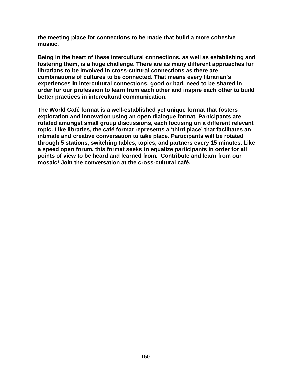**the meeting place for connections to be made that build a more cohesive mosaic.** 

**Being in the heart of these intercultural connections, as well as establishing and fostering them, is a huge challenge. There are as many different approaches for librarians to be involved in cross-cultural connections as there are combinations of cultures to be connected. That means every librarian's experiences in intercultural connections, good or bad, need to be shared in order for our profession to learn from each other and inspire each other to build better practices in intercultural communication.** 

**The World Café format is a well-established yet unique format that fosters exploration and innovation using an open dialogue format. Participants are rotated amongst small group discussions, each focusing on a different relevant topic. Like libraries, the café format represents a 'third place' that facilitates an intimate and creative conversation to take place. Participants will be rotated through 5 stations, switching tables, topics, and partners every 15 minutes. Like a speed open forum, this format seeks to equalize participants in order for all points of view to be heard and learned from. Contribute and learn from our mosaic! Join the conversation at the cross-cultural café.**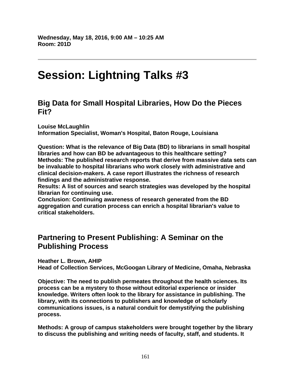# **Session: Lightning Talks #3**

### **Big Data for Small Hospital Libraries, How Do the Pieces Fit?**

**Louise McLaughlin Information Specialist, Woman's Hospital, Baton Rouge, Louisiana** 

**Question: What is the relevance of Big Data (BD) to librarians in small hospital libraries and how can BD be advantageous to this healthcare setting? Methods: The published research reports that derive from massive data sets can be invaluable to hospital librarians who work closely with administrative and clinical decision-makers. A case report illustrates the richness of research findings and the administrative response.** 

**Results: A list of sources and search strategies was developed by the hospital librarian for continuing use.** 

**Conclusion: Continuing awareness of research generated from the BD aggregation and curation process can enrich a hospital librarian's value to critical stakeholders.** 

# **Partnering to Present Publishing: A Seminar on the Publishing Process**

**Heather L. Brown, AHIP** 

**Head of Collection Services, McGoogan Library of Medicine, Omaha, Nebraska** 

**Objective: The need to publish permeates throughout the health sciences. Its process can be a mystery to those without editorial experience or insider knowledge. Writers often look to the library for assistance in publishing. The library, with its connections to publishers and knowledge of scholarly communications issues, is a natural conduit for demystifying the publishing process.** 

**Methods: A group of campus stakeholders were brought together by the library to discuss the publishing and writing needs of faculty, staff, and students. It**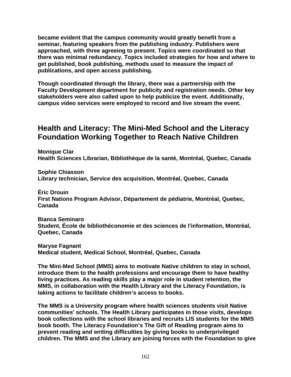**became evident that the campus community would greatly benefit from a seminar, featuring speakers from the publishing industry. Publishers were approached, with three agreeing to present. Topics were coordinated so that there was minimal redundancy. Topics included strategies for how and where to get published, book publishing, methods used to measure the impact of publications, and open access publishing.** 

**Though coordinated through the library, there was a partnership with the Faculty Development department for publicity and registration needs. Other key stakeholders were also called upon to help publicize the event. Additionally, campus video services were employed to record and live stream the event.** 

### **Health and Literacy: The Mini-Med School and the Literacy Foundation Working Together to Reach Native Children**

**Monique Clar Health Sciences Librarian, Bibliothèque de la santé, Montréal, Quebec, Canada** 

**Sophie Chiasson Library technician, Service des acquisition, Montréal, Quebec, Canada** 

**Éric Drouin First Nations Program Advisor, Département de pédiatrie, Montréal, Quebec, Canada** 

**Bianca Seminaro Student, École de bibliothéconomie et des sciences de l'information, Montréal, Quebec, Canada** 

**Maryse Fagnant Medical student, Medical School, Montréal, Quebec, Canada** 

**The Mini-Med School (MMS) aims to motivate Native children to stay in school, introduce them to the health professions and encourage them to have healthy living practices. As reading skills play a major role in student retention, the MMS, in collaboration with the Health Library and the Literacy Foundation, is taking actions to facilitate children's access to books.** 

**The MMS is a University program where health sciences students visit Native communities' schools. The Health Library participates in those visits, develops book collections with the school libraries and recruits LIS students for the MMS book booth. The Literacy Foundation's The Gift of Reading program aims to prevent reading and writing difficulties by giving books to underprivileged children. The MMS and the Library are joining forces with the Foundation to give**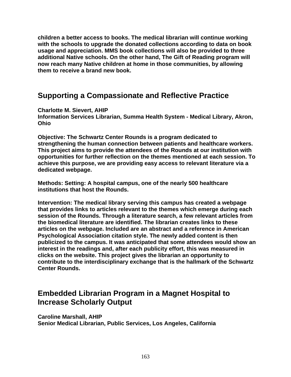**children a better access to books. The medical librarian will continue working with the schools to upgrade the donated collections according to data on book usage and appreciation. MMS book collections will also be provided to three additional Native schools. On the other hand, The Gift of Reading program will now reach many Native children at home in those communities, by allowing them to receive a brand new book.** 

### **Supporting a Compassionate and Reflective Practice**

**Charlotte M. Sievert, AHIP** 

**Information Services Librarian, Summa Health System - Medical Library, Akron, Ohio** 

**Objective: The Schwartz Center Rounds is a program dedicated to strengthening the human connection between patients and healthcare workers. This project aims to provide the attendees of the Rounds at our institution with opportunities for further reflection on the themes mentioned at each session. To achieve this purpose, we are providing easy access to relevant literature via a dedicated webpage.** 

**Methods: Setting: A hospital campus, one of the nearly 500 healthcare institutions that host the Rounds.** 

**Intervention: The medical library serving this campus has created a webpage that provides links to articles relevant to the themes which emerge during each session of the Rounds. Through a literature search, a few relevant articles from the biomedical literature are identified. The librarian creates links to these articles on the webpage. Included are an abstract and a reference in American Psychological Association citation style. The newly added content is then publicized to the campus. It was anticipated that some attendees would show an interest in the readings and, after each publicity effort, this was measured in clicks on the website. This project gives the librarian an opportunity to contribute to the interdisciplinary exchange that is the hallmark of the Schwartz Center Rounds.** 

# **Embedded Librarian Program in a Magnet Hospital to Increase Scholarly Output**

**Caroline Marshall, AHIP Senior Medical Librarian, Public Services, Los Angeles, California**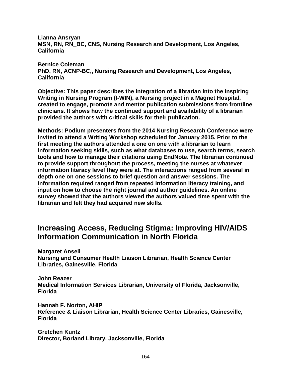**Lianna Ansryan MSN, RN, RN\_BC, CNS, Nursing Research and Development, Los Angeles, California** 

**Bernice Coleman PhD, RN, ACNP-BC,, Nursing Research and Development, Los Angeles, California** 

**Objective: This paper describes the integration of a librarian into the Inspiring Writing in Nursing Program (I-WIN), a Nursing project in a Magnet Hospital, created to engage, promote and mentor publication submissions from frontline clinicians. It shows how the continued support and availability of a librarian provided the authors with critical skills for their publication.** 

**Methods: Podium presenters from the 2014 Nursing Research Conference were invited to attend a Writing Workshop scheduled for January 2015. Prior to the first meeting the authors attended a one on one with a librarian to learn information seeking skills, such as what databases to use, search terms, search tools and how to manage their citations using EndNote. The librarian continued to provide support throughout the process, meeting the nurses at whatever information literacy level they were at. The interactions ranged from several in depth one on one sessions to brief question and answer sessions. The information required ranged from repeated information literacy training, and input on how to choose the right journal and author guidelines. An online survey showed that the authors viewed the authors valued time spent with the librarian and felt they had acquired new skills.** 

### **Increasing Access, Reducing Stigma: Improving HIV/AIDS Information Communication in North Florida**

**Margaret Ansell Nursing and Consumer Health Liaison Librarian, Health Science Center Libraries, Gainesville, Florida** 

**John Reazer Medical Information Services Librarian, University of Florida, Jacksonville, Florida** 

**Hannah F. Norton, AHIP Reference & Liaison Librarian, Health Science Center Libraries, Gainesville, Florida** 

**Gretchen Kuntz Director, Borland Library, Jacksonville, Florida**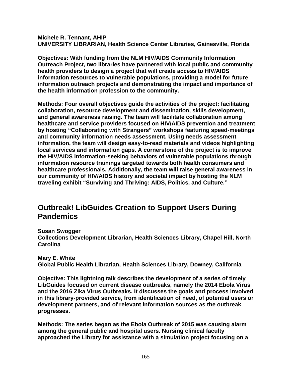**Michele R. Tennant, AHIP UNIVERSITY LIBRARIAN, Health Science Center Libraries, Gainesville, Florida** 

**Objectives: With funding from the NLM HIV/AIDS Community Information Outreach Project, two libraries have partnered with local public and community health providers to design a project that will create access to HIV/AIDS information resources to vulnerable populations, providing a model for future information outreach projects and demonstrating the impact and importance of the health information profession to the community.** 

**Methods: Four overall objectives guide the activities of the project: facilitating collaboration, resource development and dissemination, skills development, and general awareness raising. The team will facilitate collaboration among healthcare and service providers focused on HIV/AIDS prevention and treatment by hosting "Collaborating with Strangers" workshops featuring speed-meetings and community information needs assessment. Using needs assessment information, the team will design easy-to-read materials and videos highlighting local services and information gaps. A cornerstone of the project is to improve the HIV/AIDS information-seeking behaviors of vulnerable populations through information resource trainings targeted towards both health consumers and healthcare professionals. Additionally, the team will raise general awareness in our community of HIV/AIDS history and societal impact by hosting the NLM traveling exhibit "Surviving and Thriving: AIDS, Politics, and Culture."** 

# **Outbreak! LibGuides Creation to Support Users During Pandemics**

**Susan Swogger Collections Development Librarian, Health Sciences Library, Chapel Hill, North Carolina** 

**Mary E. White Global Public Health Librarian, Health Sciences Library, Downey, California** 

**Objective: This lightning talk describes the development of a series of timely LibGuides focused on current disease outbreaks, namely the 2014 Ebola Virus and the 2016 Zika Virus Outbreaks. It discusses the goals and process involved in this library-provided service, from identification of need, of potential users or development partners, and of relevant information sources as the outbreak progresses.** 

**Methods: The series began as the Ebola Outbreak of 2015 was causing alarm among the general public and hospital users. Nursing clinical faculty approached the Library for assistance with a simulation project focusing on a**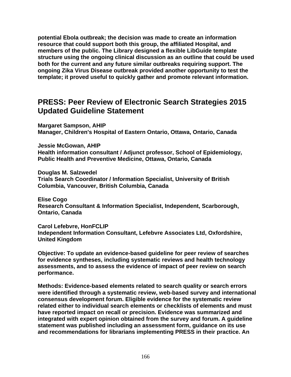**potential Ebola outbreak; the decision was made to create an information resource that could support both this group, the affiliated Hospital, and members of the public. The Library designed a flexible LibGuide template structure using the ongoing clinical discussion as an outline that could be used both for the current and any future similar outbreaks requiring support. The ongoing Zika Virus Disease outbreak provided another opportunity to test the template; it proved useful to quickly gather and promote relevant information.** 

### **PRESS: Peer Review of Electronic Search Strategies 2015 Updated Guideline Statement**

**Margaret Sampson, AHIP Manager, Children's Hospital of Eastern Ontario, Ottawa, Ontario, Canada** 

**Jessie McGowan, AHIP** 

**Health information consultant / Adjunct professor, School of Epidemiology, Public Health and Preventive Medicine, Ottawa, Ontario, Canada** 

**Douglas M. Salzwedel Trials Search Coordinator / Information Specialist, University of British Columbia, Vancouver, British Columbia, Canada** 

**Elise Cogo Research Consultant & Information Specialist, Independent, Scarborough, Ontario, Canada** 

**Carol Lefebvre, HonFCLIP Independent Information Consultant, Lefebvre Associates Ltd, Oxfordshire, United Kingdom** 

**Objective: To update an evidence-based guideline for peer review of searches for evidence syntheses, including systematic reviews and health technology assessments, and to assess the evidence of impact of peer review on search performance.** 

**Methods: Evidence-based elements related to search quality or search errors were identified through a systematic review, web-based survey and international consensus development forum. Eligible evidence for the systematic review related either to individual search elements or checklists of elements and must have reported impact on recall or precision. Evidence was summarized and integrated with expert opinion obtained from the survey and forum. A guideline statement was published including an assessment form, guidance on its use and recommendations for librarians implementing PRESS in their practice. An**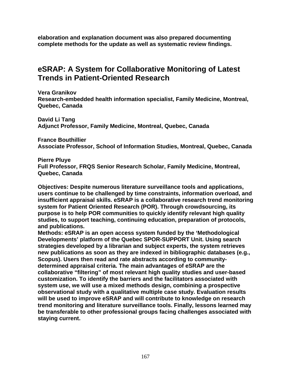**elaboration and explanation document was also prepared documenting complete methods for the update as well as systematic review findings.** 

# **eSRAP: A System for Collaborative Monitoring of Latest Trends in Patient-Oriented Research**

**Vera Granikov Research-embedded health information specialist, Family Medicine, Montreal, Quebec, Canada** 

**David Li Tang Adjunct Professor, Family Medicine, Montreal, Quebec, Canada** 

**France Bouthillier Associate Professor, School of Information Studies, Montreal, Quebec, Canada** 

**Pierre Pluye** 

**Full Professor, FRQS Senior Research Scholar, Family Medicine, Montreal, Quebec, Canada** 

**Objectives: Despite numerous literature surveillance tools and applications, users continue to be challenged by time constraints, information overload, and insufficient appraisal skills. eSRAP is a collaborative research trend monitoring system for Patient Oriented Research (POR). Through crowdsourcing, its purpose is to help POR communities to quickly identify relevant high quality studies, to support teaching, continuing education, preparation of protocols, and publications.** 

**Methods: eSRAP is an open access system funded by the 'Methodological Developments' platform of the Quebec SPOR-SUPPORT Unit. Using search strategies developed by a librarian and subject experts, the system retrieves new publications as soon as they are indexed in bibliographic databases (e.g., Scopus). Users then read and rate abstracts according to communitydetermined appraisal criteria. The main advantages of eSRAP are the collaborative "filtering" of most relevant high quality studies and user-based customization. To identify the barriers and the facilitators associated with system use, we will use a mixed methods design, combining a prospective observational study with a qualitative multiple case study. Evaluation results will be used to improve eSRAP and will contribute to knowledge on research trend monitoring and literature surveillance tools. Finally, lessons learned may be transferable to other professional groups facing challenges associated with staying current.**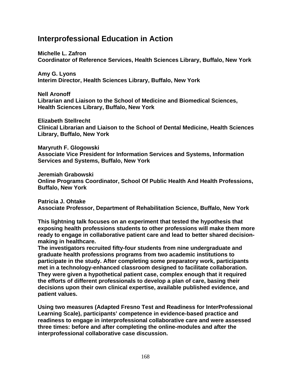### **Interprofessional Education in Action**

**Michelle L. Zafron Coordinator of Reference Services, Health Sciences Library, Buffalo, New York** 

**Amy G. Lyons Interim Director, Health Sciences Library, Buffalo, New York** 

**Nell Aronoff Librarian and Liaison to the School of Medicine and Biomedical Sciences, Health Sciences Library, Buffalo, New York** 

**Elizabeth Stellrecht Clinical Librarian and Liaison to the School of Dental Medicine, Health Sciences Library, Buffalo, New York** 

**Maryruth F. Glogowski Associate Vice President for Information Services and Systems, Information Services and Systems, Buffalo, New York** 

**Jeremiah Grabowski Online Programs Coordinator, School Of Public Health And Health Professions, Buffalo, New York** 

**Patricia J. Ohtake Associate Professor, Department of Rehabilitation Science, Buffalo, New York** 

**This lightning talk focuses on an experiment that tested the hypothesis that exposing health professions students to other professions will make them more ready to engage in collaborative patient care and lead to better shared decisionmaking in healthcare.** 

**The investigators recruited fifty-four students from nine undergraduate and graduate health professions programs from two academic institutions to participate in the study. After completing some preparatory work, participants met in a technology-enhanced classroom designed to facilitate collaboration. They were given a hypothetical patient case, complex enough that it required the efforts of different professionals to develop a plan of care, basing their decisions upon their own clinical expertise, available published evidence, and patient values.** 

**Using two measures (Adapted Fresno Test and Readiness for InterProfessional Learning Scale), participants' competence in evidence-based practice and readiness to engage in interprofessional collaborative care and were assessed three times: before and after completing the online-modules and after the interprofessional collaborative case discussion.**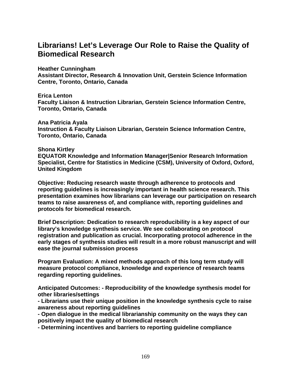# **Librarians! Let's Leverage Our Role to Raise the Quality of Biomedical Research**

**Heather Cunningham** 

**Assistant Director, Research & Innovation Unit, Gerstein Science Information Centre, Toronto, Ontario, Canada** 

**Erica Lenton Faculty Liaison & Instruction Librarian, Gerstein Science Information Centre, Toronto, Ontario, Canada** 

**Ana Patricia Ayala Instruction & Faculty Liaison Librarian, Gerstein Science Information Centre, Toronto, Ontario, Canada** 

#### **Shona Kirtley**

**EQUATOR Knowledge and Information Manager|Senior Research Information Specialist, Centre for Statistics in Medicine (CSM), University of Oxford, Oxford, United Kingdom** 

**Objective: Reducing research waste through adherence to protocols and reporting guidelines is increasingly important in health science research. This presentation examines how librarians can leverage our participation on research teams to raise awareness of, and compliance with, reporting guidelines and protocols for biomedical research.** 

**Brief Description: Dedication to research reproducibility is a key aspect of our library's knowledge synthesis service. We see collaborating on protocol registration and publication as crucial. Incorporating protocol adherence in the early stages of synthesis studies will result in a more robust manuscript and will ease the journal submission process** 

**Program Evaluation: A mixed methods approach of this long term study will measure protocol compliance, knowledge and experience of research teams regarding reporting guidelines.** 

**Anticipated Outcomes: - Reproducibility of the knowledge synthesis model for other libraries/settings** 

**- Librarians use their unique position in the knowledge synthesis cycle to raise awareness about reporting guidelines** 

**- Open dialogue in the medical librarianship community on the ways they can positively impact the quality of biomedical research** 

**- Determining incentives and barriers to reporting guideline compliance**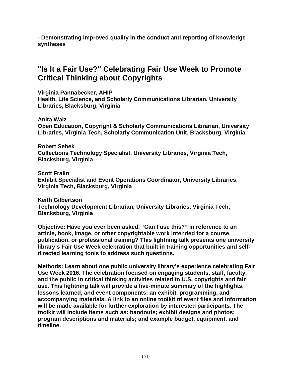**- Demonstrating improved quality in the conduct and reporting of knowledge syntheses** 

# **"Is It a Fair Use?" Celebrating Fair Use Week to Promote Critical Thinking about Copyrights**

**Virginia Pannabecker, AHIP Health, Life Science, and Scholarly Communications Librarian, University Libraries, Blacksburg, Virginia** 

**Anita Walz Open Education, Copyright & Scholarly Communications Librarian, University Libraries, Virginia Tech, Scholarly Communication Unit, Blacksburg, Virginia** 

**Robert Sebek Collections Technology Specialist, University Libraries, Virginia Tech, Blacksburg, Virginia** 

**Scott Fralin Exhibit Specialist and Event Operations Coordinator, University Libraries, Virginia Tech, Blacksburg, Virginia** 

**Keith Gilbertson Technology Development Librarian, University Libraries, Virginia Tech, Blacksburg, Virginia** 

**Objective: Have you ever been asked, "Can I use this?" in reference to an article, book, image, or other copyrightable work intended for a course, publication, or professional training? This lightning talk presents one university library's Fair Use Week celebration that built in training opportunities and selfdirected learning tools to address such questions.** 

**Methods: Learn about one public university library's experience celebrating Fair Use Week 2016. The celebration focused on engaging students, staff, faculty, and the public in critical thinking activities related to U.S. copyrights and fair use. This lightning talk will provide a five-minute summary of the highlights, lessons learned, and event components: an exhibit, programming, and accompanying materials. A link to an online toolkit of event files and information will be made available for further exploration by interested participants. The toolkit will include items such as: handouts; exhibit designs and photos; program descriptions and materials; and example budget, equipment, and timeline.**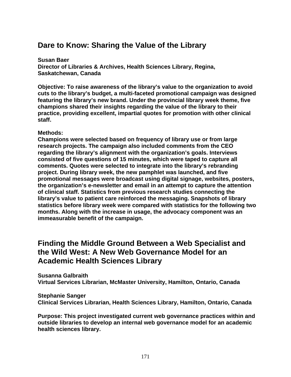# **Dare to Know: Sharing the Value of the Library**

**Susan Baer Director of Libraries & Archives, Health Sciences Library, Regina, Saskatchewan, Canada** 

**Objective: To raise awareness of the library's value to the organization to avoid cuts to the library's budget, a multi-faceted promotional campaign was designed featuring the library's new brand. Under the provincial library week theme, five champions shared their insights regarding the value of the library to their practice, providing excellent, impartial quotes for promotion with other clinical staff.** 

#### **Methods:**

**Champions were selected based on frequency of library use or from large research projects. The campaign also included comments from the CEO regarding the library's alignment with the organization's goals. Interviews consisted of five questions of 15 minutes, which were taped to capture all comments. Quotes were selected to integrate into the library's rebranding project. During library week, the new pamphlet was launched, and five promotional messages were broadcast using digital signage, websites, posters, the organization's e-newsletter and email in an attempt to capture the attention of clinical staff. Statistics from previous research studies connecting the library's value to patient care reinforced the messaging. Snapshots of library statistics before library week were compared with statistics for the following two months. Along with the increase in usage, the advocacy component was an immeasurable benefit of the campaign.** 

# **Finding the Middle Ground Between a Web Specialist and the Wild West: A New Web Governance Model for an Academic Health Sciences Library**

**Susanna Galbraith Virtual Services Librarian, McMaster University, Hamilton, Ontario, Canada** 

**Stephanie Sanger Clinical Services Librarian, Health Sciences Library, Hamilton, Ontario, Canada** 

**Purpose: This project investigated current web governance practices within and outside libraries to develop an internal web governance model for an academic health sciences library.**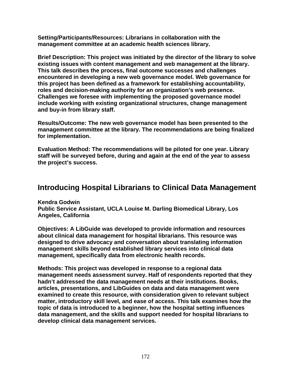**Setting/Participants/Resources: Librarians in collaboration with the management committee at an academic health sciences library.** 

**Brief Description: This project was initiated by the director of the library to solve existing issues with content management and web management at the library. This talk describes the process, final outcome successes and challenges encountered in developing a new web governance model. Web governance for this project has been defined as a framework for establishing accountability, roles and decision-making authority for an organization's web presence. Challenges we foresee with implementing the proposed governance model include working with existing organizational structures, change management and buy-in from library staff.** 

**Results/Outcome: The new web governance model has been presented to the management committee at the library. The recommendations are being finalized for implementation.** 

**Evaluation Method: The recommendations will be piloted for one year. Library staff will be surveyed before, during and again at the end of the year to assess the project's success.** 

# **Introducing Hospital Librarians to Clinical Data Management**

**Kendra Godwin** 

**Public Service Assistant, UCLA Louise M. Darling Biomedical Library, Los Angeles, California** 

**Objectives: A LibGuide was developed to provide information and resources about clinical data management for hospital librarians. This resource was designed to drive advocacy and conversation about translating information management skills beyond established library services into clinical data management, specifically data from electronic health records.** 

**Methods: This project was developed in response to a regional data management needs assessment survey. Half of respondents reported that they hadn't addressed the data management needs at their institutions. Books, articles, presentations, and LibGuides on data and data management were examined to create this resource, with consideration given to relevant subject matter, introductory skill level, and ease of access. This talk examines how the topic of data is introduced to a beginner, how the hospital setting influences data management, and the skills and support needed for hospital librarians to develop clinical data management services.**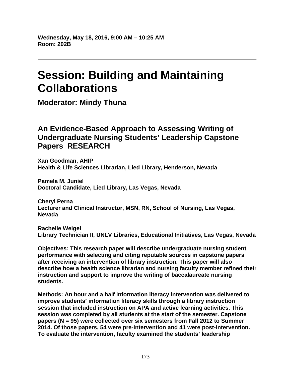# **Session: Building and Maintaining Collaborations**

**Moderator: Mindy Thuna** 

# **An Evidence-Based Approach to Assessing Writing of Undergraduate Nursing Students' Leadership Capstone Papers RESEARCH**

**Xan Goodman, AHIP Health & Life Sciences Librarian, Lied Library, Henderson, Nevada** 

**Pamela M. Juniel Doctoral Candidate, Lied Library, Las Vegas, Nevada** 

**Cheryl Perna Lecturer and Clinical Instructor, MSN, RN, School of Nursing, Las Vegas, Nevada** 

**Rachelle Weigel Library Technician II, UNLV Libraries, Educational Initiatives, Las Vegas, Nevada** 

**Objectives: This research paper will describe undergraduate nursing student performance with selecting and citing reputable sources in capstone papers after receiving an intervention of library instruction. This paper will also describe how a health science librarian and nursing faculty member refined their instruction and support to improve the writing of baccalaureate nursing students.** 

**Methods: An hour and a half information literacy intervention was delivered to improve students' information literacy skills through a library instruction session that included instruction on APA and active learning activities. This session was completed by all students at the start of the semester. Capstone papers (N = 95) were collected over six semesters from Fall 2012 to Summer 2014. Of those papers, 54 were pre-intervention and 41 were post-intervention. To evaluate the intervention, faculty examined the students' leadership**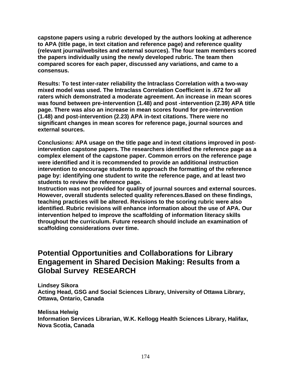**capstone papers using a rubric developed by the authors looking at adherence to APA (title page, in text citation and reference page) and reference quality (relevant journal/websites and external sources). The four team members scored the papers individually using the newly developed rubric. The team then compared scores for each paper, discussed any variations, and came to a consensus.** 

**Results: To test inter-rater reliability the Intraclass Correlation with a two-way mixed model was used. The Intraclass Correlation Coefficient is .672 for all raters which demonstrated a moderate agreement. An increase in mean scores was found between pre-intervention (1.48) and post -intervention (2.39) APA title page. There was also an increase in mean scores found for pre-intervention (1.48) and post-intervention (2.23) APA in-text citations. There were no significant changes in mean scores for reference page, journal sources and external sources.** 

**Conclusions: APA usage on the title page and in-text citations improved in postintervention capstone papers. The researchers identified the reference page as a complex element of the capstone paper. Common errors on the reference page were identified and it is recommended to provide an additional instruction intervention to encourage students to approach the formatting of the reference page by: identifying one student to write the reference page, and at least two students to review the reference page.** 

**Instruction was not provided for quality of journal sources and external sources. However, overall students selected quality references.Based on these findings, teaching practices will be altered. Revisions to the scoring rubric were also identified. Rubric revisions will enhance information about the use of APA. Our intervention helped to improve the scaffolding of information literacy skills throughout the curriculum. Future research should include an examination of scaffolding considerations over time.** 

# **Potential Opportunities and Collaborations for Library Engagement in Shared Decision Making: Results from a Global Survey RESEARCH**

**Lindsey Sikora Acting Head, GSG and Social Sciences Library, University of Ottawa Library, Ottawa, Ontario, Canada** 

**Melissa Helwig Information Services Librarian, W.K. Kellogg Health Sciences Library, Halifax, Nova Scotia, Canada**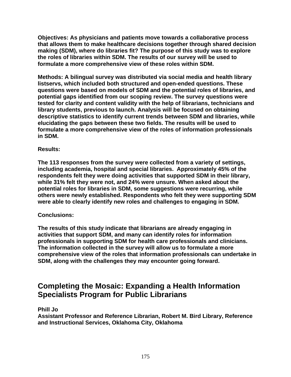**Objectives: As physicians and patients move towards a collaborative process that allows them to make healthcare decisions together through shared decision making (SDM), where do libraries fit? The purpose of this study was to explore the roles of libraries within SDM. The results of our survey will be used to formulate a more comprehensive view of these roles within SDM.** 

**Methods: A bilingual survey was distributed via social media and health library listservs, which included both structured and open-ended questions. These questions were based on models of SDM and the potential roles of libraries, and potential gaps identified from our scoping review. The survey questions were tested for clarity and content validity with the help of librarians, technicians and library students, previous to launch. Analysis will be focused on obtaining descriptive statistics to identify current trends between SDM and libraries, while elucidating the gaps between these two fields. The results will be used to formulate a more comprehensive view of the roles of information professionals in SDM.** 

#### **Results:**

**The 113 responses from the survey were collected from a variety of settings, including academia, hospital and special libraries. Approximately 45% of the respondents felt they were doing activities that supported SDM in their library, while 31% felt they were not, and 24% were unsure. When asked about the potential roles for libraries in SDM, some suggestions were recurring, while others were newly established. Respondents who felt they were supporting SDM were able to clearly identify new roles and challenges to engaging in SDM.** 

#### **Conclusions:**

**The results of this study indicate that librarians are already engaging in activities that support SDM, and many can identify roles for information professionals in supporting SDM for health care professionals and clinicians. The information collected in the survey will allow us to formulate a more comprehensive view of the roles that information professionals can undertake in SDM, along with the challenges they may encounter going forward.** 

# **Completing the Mosaic: Expanding a Health Information Specialists Program for Public Librarians**

#### **Phill Jo**

**Assistant Professor and Reference Librarian, Robert M. Bird Library, Reference and Instructional Services, Oklahoma City, Oklahoma**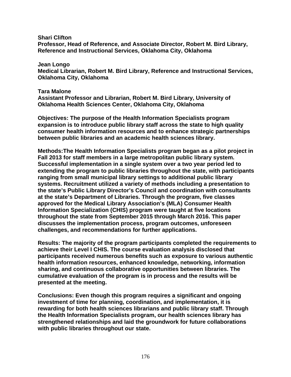**Shari Clifton** 

**Professor, Head of Reference, and Associate Director, Robert M. Bird Library, Reference and Instructional Services, Oklahoma City, Oklahoma** 

**Jean Longo Medical Librarian, Robert M. Bird Library, Reference and Instructional Services, Oklahoma City, Oklahoma** 

#### **Tara Malone**

**Assistant Professor and Librarian, Robert M. Bird Library, University of Oklahoma Health Sciences Center, Oklahoma City, Oklahoma** 

**Objectives: The purpose of the Health Information Specialists program expansion is to introduce public library staff across the state to high quality consumer health information resources and to enhance strategic partnerships between public libraries and an academic health sciences library.** 

**Methods:The Health Information Specialists program began as a pilot project in Fall 2013 for staff members in a large metropolitan public library system. Successful implementation in a single system over a two year period led to extending the program to public libraries throughout the state, with participants ranging from small municipal library settings to additional public library systems. Recruitment utilized a variety of methods including a presentation to the state's Public Library Director's Council and coordination with consultants at the state's Department of Libraries. Through the program, five classes approved for the Medical Library Association's (MLA) Consumer Health Information Specialization (CHIS) program were taught at five locations throughout the state from September 2015 through March 2016. This paper discusses the implementation process, program outcomes, unforeseen challenges, and recommendations for further applications.** 

**Results: The majority of the program participants completed the requirements to achieve their Level I CHIS. The course evaluation analysis disclosed that participants received numerous benefits such as exposure to various authentic health information resources, enhanced knowledge, networking, information sharing, and continuous collaborative opportunities between libraries. The cumulative evaluation of the program is in process and the results will be presented at the meeting.** 

**Conclusions: Even though this program requires a significant and ongoing investment of time for planning, coordination, and implementation, it is rewarding for both health sciences librarians and public library staff. Through the Health Information Specialists program, our health sciences library has strengthened relationships and laid the groundwork for future collaborations with public libraries throughout our state.**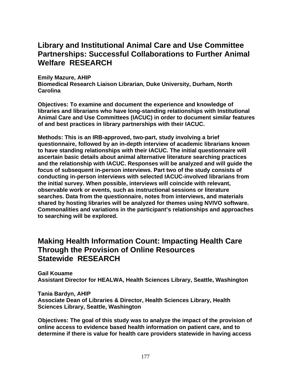# **Library and Institutional Animal Care and Use Committee Partnerships: Successful Collaborations to Further Animal Welfare RESEARCH**

**Emily Mazure, AHIP** 

**Biomedical Research Liaison Librarian, Duke University, Durham, North Carolina** 

**Objectives: To examine and document the experience and knowledge of libraries and librarians who have long-standing relationships with Institutional Animal Care and Use Committees (IACUC) in order to document similar features of and best practices in library partnerships with their IACUC.** 

**Methods: This is an IRB-approved, two-part, study involving a brief questionnaire, followed by an in-depth interview of academic librarians known to have standing relationships with their IACUC. The initial questionnaire will ascertain basic details about animal alternative literature searching practices and the relationship with IACUC. Responses will be analyzed and will guide the focus of subsequent in-person interviews. Part two of the study consists of conducting in-person interviews with selected IACUC-involved librarians from the initial survey. When possible, interviews will coincide with relevant, observable work or events, such as instructional sessions or literature searches. Data from the questionnaire, notes from interviews, and materials shared by hosting libraries will be analyzed for themes using NVIVO software. Commonalities and variations in the participant's relationships and approaches to searching will be explored.** 

# **Making Health Information Count: Impacting Health Care Through the Provision of Online Resources Statewide RESEARCH**

**Gail Kouame Assistant Director for HEALWA, Health Sciences Library, Seattle, Washington** 

**Tania Bardyn, AHIP Associate Dean of Libraries & Director, Health Sciences Library, Health Sciences Library, Seattle, Washington** 

**Objectives: The goal of this study was to analyze the impact of the provision of online access to evidence based health information on patient care, and to determine if there is value for health care providers statewide in having access**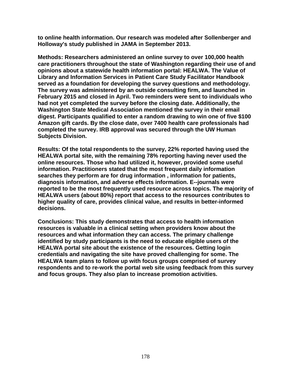**to online health information. Our research was modeled after Sollenberger and Holloway's study published in JAMA in September 2013.** 

**Methods: Researchers administered an online survey to over 100,000 health care practitioners throughout the state of Washington regarding their use of and opinions about a statewide health information portal: HEALWA. The Value of Library and Information Services in Patient Care Study Facilitator Handbook served as a foundation for developing the survey questions and methodology. The survey was administered by an outside consulting firm, and launched in February 2015 and closed in April. Two reminders were sent to individuals who had not yet completed the survey before the closing date. Additionally, the Washington State Medical Association mentioned the survey in their email digest. Participants qualified to enter a random drawing to win one of five \$100 Amazon gift cards. By the close date, over 7400 health care professionals had completed the survey. IRB approval was secured through the UW Human Subjects Division.** 

**Results: Of the total respondents to the survey, 22% reported having used the HEALWA portal site, with the remaining 78% reporting having never used the online resources. Those who had utilized it, however, provided some useful information. Practitioners stated that the most frequent daily information searches they perform are for drug information , information for patients, diagnosis information, and adverse effects information. E--journals were reported to be the most frequently used resource across topics. The majority of HEALWA users (about 80%) report that access to the resources contributes to higher quality of care, provides clinical value, and results in better-informed decisions.** 

**Conclusions: This study demonstrates that access to health information resources is valuable in a clinical setting when providers know about the resources and what information they can access. The primary challenge identified by study participants is the need to educate eligible users of the HEALWA portal site about the existence of the resources. Getting login credentials and navigating the site have proved challenging for some. The HEALWA team plans to follow up with focus groups comprised of survey respondents and to re-work the portal web site using feedback from this survey and focus groups. They also plan to increase promotion activities.**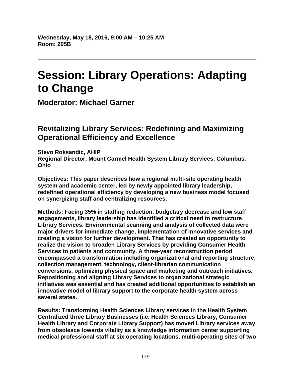# **Session: Library Operations: Adapting to Change**

**Moderator: Michael Garner** 

# **Revitalizing Library Services: Redefining and Maximizing Operational Efficiency and Excellence**

**Stevo Roksandic, AHIP Regional Director, Mount Carmel Health System Library Services, Columbus, Ohio** 

**Objectives: This paper describes how a regional multi-site operating health system and academic center, led by newly appointed library leadership, redefined operational efficiency by developing a new business model focused on synergizing staff and centralizing resources.** 

**Methods: Facing 35% in staffing reduction, budgetary decrease and low staff engagements, library leadership has identified a critical need to restructure Library Services. Environmental scanning and analysis of collected data were major drivers for immediate change, implementation of innovative services and creating a vision for further development. That has created an opportunity to realize the vision to broaden Library Services by providing Consumer Health Services to patients and community. A three-year reconstruction period encompassed a transformation including organizational and reporting structure, collection management, technology, client-librarian communication conversions, optimizing physical space and marketing and outreach initiatives. Repositioning and aligning Library Services to organizational strategic initiatives was essential and has created additional opportunities to establish an innovative model of library support to the corporate health system across several states.** 

**Results: Transforming Health Sciences Library services in the Health System Centralized three Library Businesses (i.e. Health Sciences Library, Consumer Health Library and Corporate Library Support) has moved Library services away from obsolesce towards vitality as a knowledge information center supporting medical professional staff at six operating locations, multi-operating sites of two**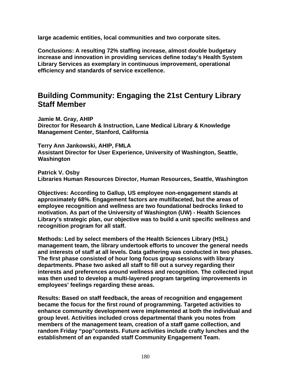**large academic entities, local communities and two corporate sites.** 

**Conclusions: A resulting 72% staffing increase, almost double budgetary increase and innovation in providing services define today's Health System Library Services as exemplary in continuous improvement, operational efficiency and standards of service excellence.** 

#### **Building Community: Engaging the 21st Century Library Staff Member**

**Jamie M. Gray, AHIP Director for Research & Instruction, Lane Medical Library & Knowledge Management Center, Stanford, California** 

**Terry Ann Jankowski, AHIP, FMLA Assistant Director for User Experience, University of Washington, Seattle, Washington** 

**Patrick V. Osby Libraries Human Resources Director, Human Resources, Seattle, Washington** 

**Objectives: According to Gallup, US employee non-engagement stands at approximately 68%. Engagement factors are multifaceted, but the areas of employee recognition and wellness are two foundational bedrocks linked to motivation. As part of the University of Washington (UW) - Health Sciences Library's strategic plan, our objective was to build a unit specific wellness and recognition program for all staff.** 

**Methods: Led by select members of the Health Sciences Library (HSL) management team, the library undertook efforts to uncover the general needs and interests of staff at all levels. Data gathering was conducted in two phases. The first phase consisted of hour long focus group sessions with library departments. Phase two asked all staff to fill out a survey regarding their interests and preferences around wellness and recognition. The collected input was then used to develop a multi-layered program targeting improvements in employees' feelings regarding these areas.** 

**Results: Based on staff feedback, the areas of recognition and engagement became the focus for the first round of programming. Targeted activities to enhance community development were implemented at both the individual and group level. Activities included cross departmental thank you notes from members of the management team, creation of a staff game collection, and random Friday "pop"contests. Future activities include crafty lunches and the establishment of an expanded staff Community Engagement Team.**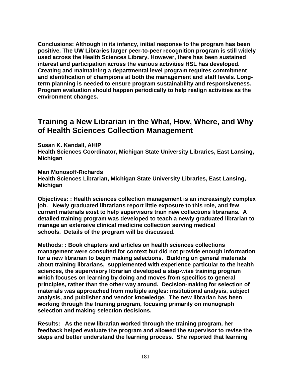**Conclusions: Although in its infancy, initial response to the program has been positive. The UW Libraries larger peer-to-peer recognition program is still widely used across the Health Sciences Library. However, there has been sustained interest and participation across the various activities HSL has developed. Creating and maintaining a departmental level program requires commitment and identification of champions at both the management and staff levels. Longterm planning is needed to ensure program sustainability and responsiveness. Program evaluation should happen periodically to help realign activities as the environment changes.** 

#### **Training a New Librarian in the What, How, Where, and Why of Health Sciences Collection Management**

**Susan K. Kendall, AHIP** 

**Health Sciences Coordinator, Michigan State University Libraries, East Lansing, Michigan** 

**Mari Monosoff-Richards** 

**Health Sciences Librarian, Michigan State University Libraries, East Lansing, Michigan** 

**Objectives: : Health sciences collection management is an increasingly complex job. Newly graduated librarians report little exposure to this role, and few current materials exist to help supervisors train new collections librarians. A detailed training program was developed to teach a newly graduated librarian to manage an extensive clinical medicine collection serving medical schools. Details of the program will be discussed.** 

**Methods: : Book chapters and articles on health sciences collections management were consulted for context but did not provide enough information for a new librarian to begin making selections. Building on general materials about training librarians, supplemented with experience particular to the health sciences, the supervisory librarian developed a step-wise training program which focuses on learning by doing and moves from specifics to general principles, rather than the other way around. Decision-making for selection of materials was approached from multiple angles: institutional analysis, subject analysis, and publisher and vendor knowledge. The new librarian has been working through the training program, focusing primarily on monograph selection and making selection decisions.** 

**Results: As the new librarian worked through the training program, her feedback helped evaluate the program and allowed the supervisor to revise the steps and better understand the learning process. She reported that learning**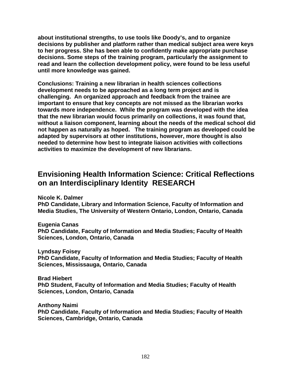**about institutional strengths, to use tools like Doody's, and to organize decisions by publisher and platform rather than medical subject area were keys to her progress. She has been able to confidently make appropriate purchase decisions. Some steps of the training program, particularly the assignment to read and learn the collection development policy, were found to be less useful until more knowledge was gained.** 

**Conclusions: Training a new librarian in health sciences collections development needs to be approached as a long term project and is challenging. An organized approach and feedback from the trainee are important to ensure that key concepts are not missed as the librarian works towards more independence. While the program was developed with the idea that the new librarian would focus primarily on collections, it was found that, without a liaison component, learning about the needs of the medical school did not happen as naturally as hoped. The training program as developed could be adapted by supervisors at other institutions, however, more thought is also needed to determine how best to integrate liaison activities with collections activities to maximize the development of new librarians.** 

## **Envisioning Health Information Science: Critical Reflections on an Interdisciplinary Identity RESEARCH**

**Nicole K. Dalmer** 

**PhD Candidate, Library and Information Science, Faculty of Information and Media Studies, The University of Western Ontario, London, Ontario, Canada** 

**Eugenia Canas** 

**PhD Candidate, Faculty of Information and Media Studies; Faculty of Health Sciences, London, Ontario, Canada** 

**Lyndsay Foisey PhD Candidate, Faculty of Information and Media Studies; Faculty of Health Sciences, Mississauga, Ontario, Canada** 

**Brad Hiebert PhD Student, Faculty of Information and Media Studies; Faculty of Health Sciences, London, Ontario, Canada** 

**Anthony Naimi PhD Candidate, Faculty of Information and Media Studies; Faculty of Health Sciences, Cambridge, Ontario, Canada**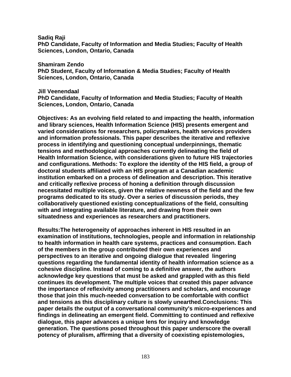**Sadiq Raji** 

**PhD Candidate, Faculty of Information and Media Studies; Faculty of Health Sciences, London, Ontario, Canada** 

**Shamiram Zendo** 

**PhD Student, Faculty of Information & Media Studies; Faculty of Health Sciences, London, Ontario, Canada** 

**Jill Veenendaal** 

**PhD Candidate, Faculty of Information and Media Studies; Faculty of Health Sciences, London, Ontario, Canada** 

**Objectives: As an evolving field related to and impacting the health, information and library sciences, Health Information Science (HIS) presents emergent and varied considerations for researchers, policymakers, health services providers and information professionals. This paper describes the iterative and reflexive process in identifying and questioning conceptual underpinnings, thematic tensions and methodological approaches currently delineating the field of Health Information Science, with considerations given to future HIS trajectories and configurations. Methods: To explore the identity of the HIS field, a group of doctoral students affiliated with an HIS program at a Canadian academic institution embarked on a process of delineation and description. This iterative and critically reflexive process of honing a definition through discussion necessitated multiple voices, given the relative newness of the field and the few programs dedicated to its study. Over a series of discussion periods, they collaboratively questioned existing conceptualizations of the field, consulting with and integrating available literature, and drawing from their own situatedness and experiences as researchers and practitioners.** 

**Results:The heterogeneity of approaches inherent in HIS resulted in an examination of institutions, technologies, people and information in relationship to health information in health care systems, practices and consumption. Each of the members in the group contributed their own experiences and perspectives to an iterative and ongoing dialogue that revealed lingering questions regarding the fundamental identity of health information science as a cohesive discipline. Instead of coming to a definitive answer, the authors acknowledge key questions that must be asked and grappled with as this field continues its development. The multiple voices that created this paper advance the importance of reflexivity among practitioners and scholars, and encourage those that join this much-needed conversation to be comfortable with conflict and tensions as this disciplinary culture is slowly unearthed.Conclusions: This paper details the output of a conversational community's micro-experiences and findings in delineating an emergent field. Committing to continued and reflexive dialogue, this paper advances a unique lens for inquiry and knowledge generation. The questions posed throughout this paper underscore the overall potency of pluralism, affirming that a diversity of coexisting epistemologies,**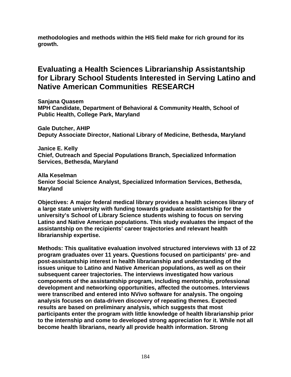**methodologies and methods within the HIS field make for rich ground for its growth.** 

# **Evaluating a Health Sciences Librarianship Assistantship for Library School Students Interested in Serving Latino and Native American Communities RESEARCH**

**Sanjana Quasem MPH Candidate, Department of Behavioral & Community Health, School of Public Health, College Park, Maryland** 

**Gale Dutcher, AHIP Deputy Associate Director, National Library of Medicine, Bethesda, Maryland** 

**Janice E. Kelly Chief, Outreach and Special Populations Branch, Specialized Information Services, Bethesda, Maryland** 

**Alla Keselman Senior Social Science Analyst, Specialized Information Services, Bethesda, Maryland** 

**Objectives: A major federal medical library provides a health sciences library of a large state university with funding towards graduate assistantship for the university's School of Library Science students wishing to focus on serving Latino and Native American populations. This study evaluates the impact of the assistantship on the recipients' career trajectories and relevant health librarianship expertise.** 

**Methods: This qualitative evaluation involved structured interviews with 13 of 22 program graduates over 11 years. Questions focused on participants' pre- and post-assistantship interest in health librarianship and understanding of the issues unique to Latino and Native American populations, as well as on their subsequent career trajectories. The interviews investigated how various components of the assistantship program, including mentorship, professional development and networking opportunities, affected the outcomes. Interviews were transcribed and entered into NVivo software for analysis. The ongoing analysis focuses on data-driven discovery of repeating themes. Expected results are based on preliminary analysis, which suggests that most participants enter the program with little knowledge of health librarianship prior to the internship and come to developed strong appreciation for it. While not all become health librarians, nearly all provide health information. Strong**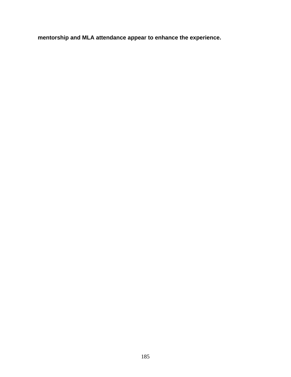**mentorship and MLA attendance appear to enhance the experience.**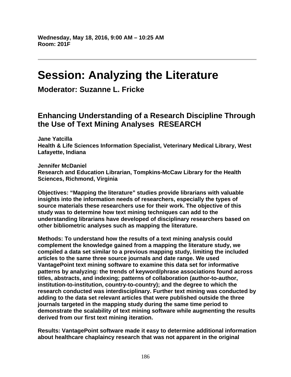# **Session: Analyzing the Literature**

**Moderator: Suzanne L. Fricke** 

# **Enhancing Understanding of a Research Discipline Through the Use of Text Mining Analyses RESEARCH**

**Jane Yatcilla Health & Life Sciences Information Specialist, Veterinary Medical Library, West Lafayette, Indiana** 

**Jennifer McDaniel Research and Education Librarian, Tompkins-McCaw Library for the Health Sciences, Richmond, Virginia** 

**Objectives: "Mapping the literature" studies provide librarians with valuable insights into the information needs of researchers, especially the types of source materials these researchers use for their work. The objective of this study was to determine how text mining techniques can add to the understanding librarians have developed of disciplinary researchers based on other bibliometric analyses such as mapping the literature.** 

**Methods: To understand how the results of a text mining analysis could complement the knowledge gained from a mapping the literature study, we compiled a data set similar to a previous mapping study, limiting the included articles to the same three source journals and date range. We used VantagePoint text mining software to examine this data set for informative patterns by analyzing: the trends of keyword/phrase associations found across titles, abstracts, and indexing; patterns of collaboration (author-to-author, institution-to-institution, country-to-country); and the degree to which the research conducted was interdisciplinary. Further text mining was conducted by adding to the data set relevant articles that were published outside the three journals targeted in the mapping study during the same time period to demonstrate the scalability of text mining software while augmenting the results derived from our first text mining iteration.** 

**Results: VantagePoint software made it easy to determine additional information about healthcare chaplaincy research that was not apparent in the original**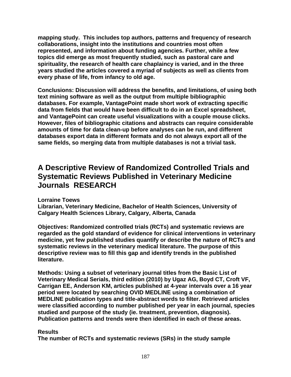**mapping study. This includes top authors, patterns and frequency of research collaborations, insight into the institutions and countries most often represented, and information about funding agencies. Further, while a few topics did emerge as most frequently studied, such as pastoral care and spirituality, the research of health care chaplaincy is varied, and in the three years studied the articles covered a myriad of subjects as well as clients from every phase of life, from infancy to old age.** 

**Conclusions: Discussion will address the benefits, and limitations, of using both text mining software as well as the output from multiple bibliographic databases. For example, VantagePoint made short work of extracting specific data from fields that would have been difficult to do in an Excel spreadsheet, and VantagePoint can create useful visualizations with a couple mouse clicks. However, files of bibliographic citations and abstracts can require considerable amounts of time for data clean-up before analyses can be run, and different databases export data in different formats and do not always export all of the same fields, so merging data from multiple databases is not a trivial task.** 

### **A Descriptive Review of Randomized Controlled Trials and Systematic Reviews Published in Veterinary Medicine Journals RESEARCH**

**Lorraine Toews** 

**Librarian, Veterinary Medicine, Bachelor of Health Sciences, University of Calgary Health Sciences Library, Calgary, Alberta, Canada** 

**Objectives: Randomized controlled trials (RCTs) and systematic reviews are regarded as the gold standard of evidence for clinical interventions in veterinary medicine, yet few published studies quantify or describe the nature of RCTs and systematic reviews in the veterinary medical literature. The purpose of this descriptive review was to fill this gap and identify trends in the published literature.** 

**Methods: Using a subset of veterinary journal titles from the Basic List of Veterinary Medical Serials, third edition (2010) by Ugaz AG, Boyd CT, Croft VF, Carrigan EE, Anderson KM, articles published at 4-year intervals over a 16 year period were located by searching OVID MEDLINE using a combination of MEDLINE publication types and title-abstract words to filter. Retrieved articles were classified according to number published per year in each journal, species studied and purpose of the study (ie. treatment, prevention, diagnosis). Publication patterns and trends were then identified in each of these areas.** 

#### **Results**

**The number of RCTs and systematic reviews (SRs) in the study sample**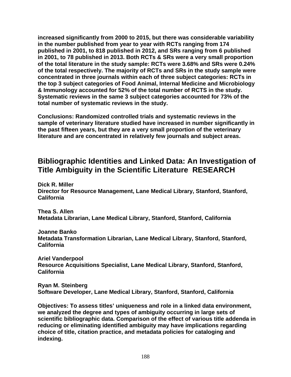**increased significantly from 2000 to 2015, but there was considerable variability in the number published from year to year with RCTs ranging from 174 published in 2001, to 818 published in 2012, and SRs ranging from 6 published in 2001, to 78 published in 2013. Both RCTs & SRs were a very small proportion of the total literature in the study sample: RCTs were 3.68% and SRs were 0.24% of the total respectively. The majority of RCTs and SRs in the study sample were concentrated in three journals within each of three subject categories: RCTs in the top 3 subject categories of Food Animal, Internal Medicine and Microbiology & Immunology accounted for 52% of the total number of RCTS in the study. Systematic reviews in the same 3 subject categories accounted for 73% of the total number of systematic reviews in the study.** 

**Conclusions: Randomized controlled trials and systematic reviews in the sample of veterinary literature studied have increased in number significantly in the past fifteen years, but they are a very small proportion of the veterinary literature and are concentrated in relatively few journals and subject areas.** 

# **Bibliographic Identities and Linked Data: An Investigation of Title Ambiguity in the Scientific Literature RESEARCH**

**Dick R. Miller Director for Resource Management, Lane Medical Library, Stanford, Stanford, California** 

**Thea S. Allen Metadata Librarian, Lane Medical Library, Stanford, Stanford, California** 

**Joanne Banko Metadata Transformation Librarian, Lane Medical Library, Stanford, Stanford, California** 

**Ariel Vanderpool Resource Acquisitions Specialist, Lane Medical Library, Stanford, Stanford, California** 

**Ryan M. Steinberg Software Developer, Lane Medical Library, Stanford, Stanford, California** 

**Objectives: To assess titles' uniqueness and role in a linked data environment, we analyzed the degree and types of ambiguity occurring in large sets of scientific bibliographic data. Comparison of the effect of various title addenda in reducing or eliminating identified ambiguity may have implications regarding choice of title, citation practice, and metadata policies for cataloging and indexing.**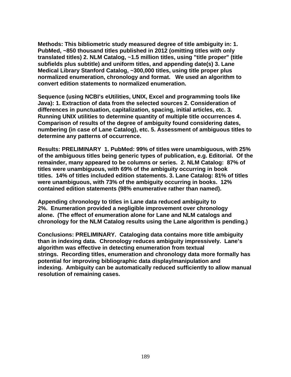**Methods: This bibliometric study measured degree of title ambiguity in: 1. PubMed, ~850 thousand titles published in 2012 (omitting titles with only translated titles) 2. NLM Catalog, ~1.5 million titles, using "title proper" (title subfields plus subtitle) and uniform titles, and appending date(s) 3. Lane Medical Library Stanford Catalog, ~300,000 titles, using title proper plus normalized enumeration, chronology and format. We used an algorithm to convert edition statements to normalized enumeration.** 

**Sequence (using NCBI's eUtilities, UNIX, Excel and programming tools like Java): 1. Extraction of data from the selected sources 2. Consideration of differences in punctuation, capitalization, spacing, initial articles, etc. 3. Running UNIX utilities to determine quantity of multiple title occurrences 4. Comparison of results of the degree of ambiguity found considering dates, numbering (in case of Lane Catalog), etc. 5. Assessment of ambiguous titles to determine any patterns of occurrence.** 

**Results: PRELIMINARY 1. PubMed: 99% of titles were unambiguous, with 25% of the ambiguous titles being generic types of publication, e.g. Editorial. Of the remainder, many appeared to be columns or series. 2. NLM Catalog: 87% of titles were unambiguous, with 69% of the ambiguity occurring in book titles. 14% of titles included edition statements. 3. Lane Catalog: 81% of titles were unambiguous, with 73% of the ambiguity occurring in books. 12% contained edition statements (98% enumerative rather than named).** 

**Appending chronology to titles in Lane data reduced ambiguity to 2%. Enumeration provided a negligible improvement over chronology alone. (The effect of enumeration alone for Lane and NLM catalogs and chronology for the NLM Catalog results using the Lane algorithm is pending.)** 

**Conclusions: PRELIMINARY. Cataloging data contains more title ambiguity than in indexing data. Chronology reduces ambiguity impressively. Lane's algorithm was effective in detecting enumeration from textual strings. Recording titles, enumeration and chronology data more formally has potential for improving bibliographic data display/manipulation and indexing. Ambiguity can be automatically reduced sufficiently to allow manual resolution of remaining cases.**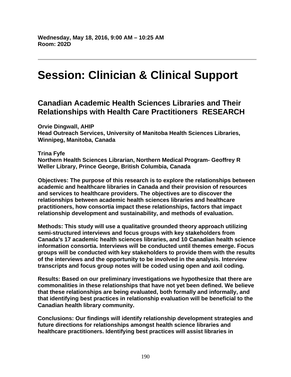# **Session: Clinician & Clinical Support**

# **Canadian Academic Health Sciences Libraries and Their Relationships with Health Care Practitioners RESEARCH**

**Orvie Dingwall, AHIP** 

**Head Outreach Services, University of Manitoba Health Sciences Libraries, Winnipeg, Manitoba, Canada** 

#### **Trina Fyfe**

**Northern Health Sciences Librarian, Northern Medical Program- Geoffrey R Weller Library, Prince George, British Columbia, Canada** 

**Objectives: The purpose of this research is to explore the relationships between academic and healthcare libraries in Canada and their provision of resources and services to healthcare providers. The objectives are to discover the relationships between academic health sciences libraries and healthcare practitioners, how consortia impact these relationships, factors that impact relationship development and sustainability, and methods of evaluation.** 

**Methods: This study will use a qualitative grounded theory approach utilizing semi-structured interviews and focus groups with key stakeholders from Canada's 17 academic health sciences libraries, and 10 Canadian health science information consortia. Interviews will be conducted until themes emerge. Focus groups will be conducted with key stakeholders to provide them with the results of the interviews and the opportunity to be involved in the analysis. Interview transcripts and focus group notes will be coded using open and axil coding.** 

**Results: Based on our preliminary investigations we hypothesize that there are commonalities in these relationships that have not yet been defined. We believe that these relationships are being evaluated, both formally and informally, and that identifying best practices in relationship evaluation will be beneficial to the Canadian health library community.** 

**Conclusions: Our findings will identify relationship development strategies and future directions for relationships amongst health science libraries and healthcare practitioners. Identifying best practices will assist libraries in**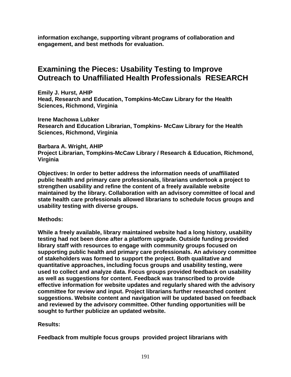**information exchange, supporting vibrant programs of collaboration and engagement, and best methods for evaluation.** 

# **Examining the Pieces: Usability Testing to Improve Outreach to Unaffiliated Health Professionals RESEARCH**

**Emily J. Hurst, AHIP Head, Research and Education, Tompkins-McCaw Library for the Health Sciences, Richmond, Virginia** 

**Irene Machowa Lubker Research and Education Librarian, Tompkins- McCaw Library for the Health Sciences, Richmond, Virginia** 

**Barbara A. Wright, AHIP Project Librarian, Tompkins-McCaw Library / Research & Education, Richmond, Virginia** 

**Objectives: In order to better address the information needs of unaffiliated public health and primary care professionals, librarians undertook a project to strengthen usability and refine the content of a freely available website maintained by the library. Collaboration with an advisory committee of local and state health care professionals allowed librarians to schedule focus groups and usability testing with diverse groups.** 

#### **Methods:**

**While a freely available, library maintained website had a long history, usability testing had not been done after a platform upgrade. Outside funding provided library staff with resources to engage with community groups focused on supporting public health and primary care professionals. An advisory committee of stakeholders was formed to support the project. Both qualitative and quantitative approaches, including focus groups and usability testing, were used to collect and analyze data. Focus groups provided feedback on usability as well as suggestions for content. Feedback was transcribed to provide effective information for website updates and regularly shared with the advisory committee for review and input. Project librarians further researched content suggestions. Website content and navigation will be updated based on feedback and reviewed by the advisory committee. Other funding opportunities will be sought to further publicize an updated website.** 

#### **Results:**

**Feedback from multiple focus groups provided project librarians with**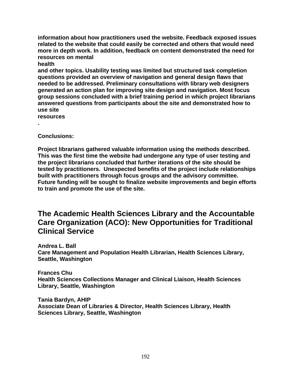**information about how practitioners used the website. Feedback exposed issues related to the website that could easily be corrected and others that would need more in depth work. In addition, feedback on content demonstrated the need for resources on mental** 

**health** 

**and other topics. Usability testing was limited but structured task completion questions provided an overview of navigation and general design flaws that needed to be addressed. Preliminary consultations with library web designers generated an action plan for improving site design and navigation. Most focus group sessions concluded with a brief training period in which project librarians answered questions from participants about the site and demonstrated how to use site** 

**resources** 

**.** 

**Conclusions:** 

**Project librarians gathered valuable information using the methods described. This was the first time the website had undergone any type of user testing and the project librarians concluded that further iterations of the site should be tested by practitioners. Unexpected benefits of the project include relationships built with practitioners through focus groups and the advisory committee. Future funding will be sought to finalize website improvements and begin efforts to train and promote the use of the site.** 

### **The Academic Health Sciences Library and the Accountable Care Organization (ACO): New Opportunities for Traditional Clinical Service**

**Andrea L. Ball Care Management and Population Health Librarian, Health Sciences Library, Seattle, Washington** 

**Frances Chu Health Sciences Collections Manager and Clinical Liaison, Health Sciences Library, Seattle, Washington** 

**Tania Bardyn, AHIP Associate Dean of Libraries & Director, Health Sciences Library, Health Sciences Library, Seattle, Washington**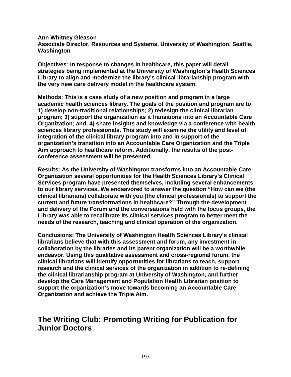**Ann Whitney Gleason Associate Director, Resources and Systems, University of Washington, Seattle, Washington** 

**Objectives: In response to changes in healthcare, this paper will detail strategies being implemented at the University of Washington's Health Sciences Library to align and modernize the library's clinical librarianship program with the very new care delivery model in the healthcare system.** 

**Methods: This is a case study of a new position and program in a large academic health sciences library. The goals of the position and program are to 1) develop non-traditional relationships; 2) redesign the clinical librarian program; 3) support the organization as it transitions into an Accountable Care Organization; and, 4) share insights and knowledge via a conference with health sciences library professionals. This study will examine the utility and level of integration of the clinical library program into and in support of the organization's transition into an Accountable Care Organization and the Triple Aim approach to healthcare reform. Additionally, the results of the postconference assessment will be presented.** 

**Results: As the University of Washington transforms into an Accountable Care Organization several opportunities for the Health Sciences Library's Clinical Services program have presented themselves, including several enhancements to our library services. We endeavored to answer the question "How can we (the clinical librarians) collaborate with you (the clinical professionals) to support the current and future transformations in healthcare?" Through the development and delivery of the Forum and the conversations held with the focus groups, the Library was able to recalibrate its clinical services program to better meet the needs of the research, teaching and clinical operation of the organization.** 

**Conclusions: The University of Washington Health Sciences Library's clinical librarians believe that with this assessment and forum, any investment in collaboration by the libraries and its parent organization will be a worthwhile endeavor. Using this qualitative assessment and cross-regional forum, the clinical librarians will identify opportunities for librarians to teach, support research and the clinical services of the organization in addition to re-defining the clinical librarianship program at University of Washington, and further develop the Care Management and Population Health Librarian position to support the organization's move towards becoming an Accountable Care Organization and achieve the Triple Aim.** 

### **The Writing Club: Promoting Writing for Publication for Junior Doctors**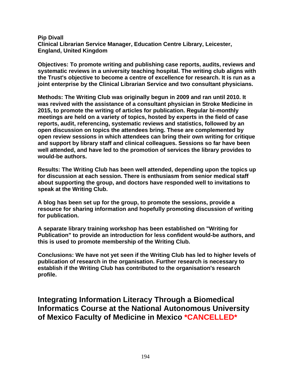**Pip Divall Clinical Librarian Service Manager, Education Centre Library, Leicester, England, United Kingdom** 

**Objectives: To promote writing and publishing case reports, audits, reviews and systematic reviews in a university teaching hospital. The writing club aligns with the Trust's objective to become a centre of excellence for research. It is run as a joint enterprise by the Clinical Librarian Service and two consultant physicians.** 

**Methods: The Writing Club was originally begun in 2009 and ran until 2010. It was revived with the assistance of a consultant physician in Stroke Medicine in 2015, to promote the writing of articles for publication. Regular bi-monthly meetings are held on a variety of topics, hosted by experts in the field of case reports, audit, referencing, systematic reviews and statistics, followed by an open discussion on topics the attendees bring. These are complemented by open review sessions in which attendees can bring their own writing for critique and support by library staff and clinical colleagues. Sessions so far have been well attended, and have led to the promotion of services the library provides to would-be authors.** 

**Results: The Writing Club has been well attended, depending upon the topics up for discussion at each session. There is enthusiasm from senior medical staff about supporting the group, and doctors have responded well to invitations to speak at the Writing Club.** 

**A blog has been set up for the group, to promote the sessions, provide a resource for sharing information and hopefully promoting discussion of writing for publication.** 

**A separate library training workshop has been established on "Writing for Publication" to provide an introduction for less confident would-be authors, and this is used to promote membership of the Writing Club.** 

**Conclusions: We have not yet seen if the Writing Club has led to higher levels of publication of research in the organisation. Further research is necessary to establish if the Writing Club has contributed to the organisation's research profile.** 

**Integrating Information Literacy Through a Biomedical Informatics Course at the National Autonomous University of Mexico Faculty of Medicine in Mexico \*CANCELLED\***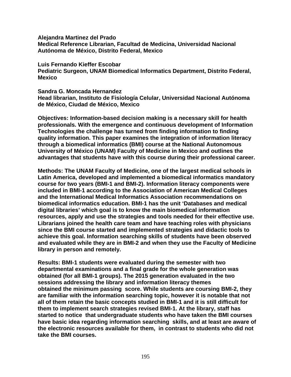**Alejandra Martinez del Prado Medical Reference Librarian, Facultad de Medicina, Universidad Nacional Autónoma de México, Distrito Federal, Mexico** 

**Luis Fernando Kieffer Escobar Pediatric Surgeon, UNAM Biomedical Informatics Department, Distrito Federal, Mexico** 

**Sandra G. Moncada Hernandez** 

**Head librarian, Instituto de Fisiología Celular, Universidad Nacional Autónoma de México, Ciudad de México, Mexico** 

**Objectives: Information-based decision making is a necessary skill for health professionals. With the emergence and continuous development of Information Technologies the challenge has turned from finding information to finding quality information. This paper examines the integration of information literacy through a biomedical informatics (BMI) course at the National Autonomous University of México (UNAM) Faculty of Medicine in Mexico and outlines the advantages that students have with this course during their professional career.** 

**Methods: The UNAM Faculty of Medicine, one of the largest medical schools in Latin America, developed and implemented a biomedical informatics mandatory course for two years (BMI-1 and BMI-2). Information literacy components were included in BMI-1 according to the Association of American Medical Colleges and the International Medical Informatics Association recommendations on biomedical informatics education. BMI-1 has the unit 'Databases and medical digital libraries' which goal is to know the main biomedical information resources, apply and use the strategies and tools needed for their effective use. Librarians joined the health care team and have teaching roles with physicians since the BMI course started and implemented strategies and didactic tools to achieve this goal. Information searching skills of students have been observed and evaluated while they are in BMI-2 and when they use the Faculty of Medicine library in person and remotely.** 

**Results: BMI-1 students were evaluated during the semester with two departmental examinations and a final grade for the whole generation was obtained (for all BMI-1 groups). The 2015 generation evaluated in the two sessions addressing the library and information literacy themes obtained the minimum passing score. While students are coursing BMI-2, they are familiar with the information searching topic, however it is notable that not all of them retain the basic concepts studied in BMI-1 and it is still difficult for them to implement search strategies revised BMI-1. At the library, staff has started to notice that undergraduate students who have taken the BMI courses have basic idea regarding information searching skills, and at least are aware of the electronic resources available for them, in contrast to students who did not take the BMI courses.**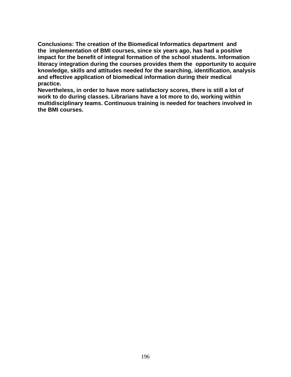**Conclusions: The creation of the Biomedical Informatics department and the implementation of BMI courses, since six years ago, has had a positive impact for the benefit of integral formation of the school students. Information literacy integration during the courses provides them the opportunity to acquire knowledge, skills and attitudes needed for the searching, identification, analysis and effective application of biomedical information during their medical practice.** 

**Nevertheless, in order to have more satisfactory scores, there is still a lot of work to do during classes. Librarians have a lot more to do, working within multidisciplinary teams. Continuous training is needed for teachers involved in the BMI courses.**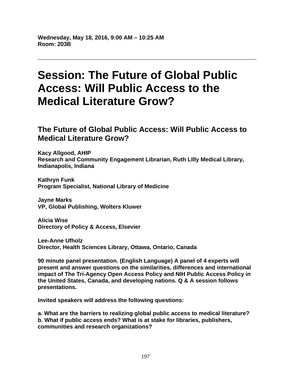# **Session: The Future of Global Public Access: Will Public Access to the Medical Literature Grow?**

## **The Future of Global Public Access: Will Public Access to Medical Literature Grow?**

**Kacy Allgood, AHIP Research and Community Engagement Librarian, Ruth LIlly Medical Library, Indianapolis, Indiana** 

**Kathryn Funk Program Specialist, National Library of Medicine** 

**Jayne Marks VP, Global Publishing, Wolters Kluwer** 

**Alicia Wise Directory of Policy & Access, Elsevier** 

**Lee-Anne Ufholz Director, Health Sciences Library, Ottawa, Ontario, Canada** 

**90 minute panel presentation. (English Language) A panel of 4 experts will present and answer questions on the similarities, differences and international impact of The Tri-Agency Open Access Policy and NIH Public Access Policy in the United States, Canada, and developing nations. Q & A session follows presentations.** 

**Invited speakers will address the following questions:** 

**a. What are the barriers to realizing global public access to medical literature? b. What if public access ends? What is at stake for libraries, publishers, communities and research organizations?**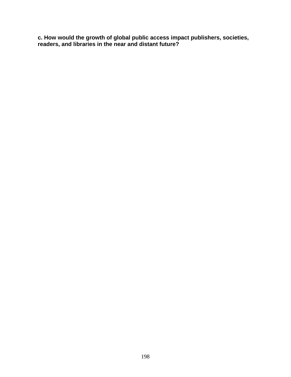**c. How would the growth of global public access impact publishers, societies, readers, and libraries in the near and distant future?**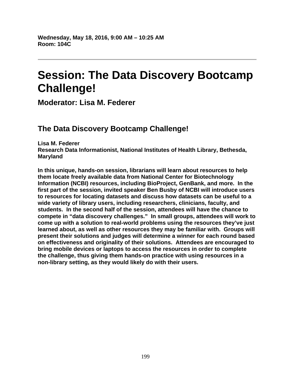# **Session: The Data Discovery Bootcamp Challenge!**

**Moderator: Lisa M. Federer** 

# **The Data Discovery Bootcamp Challenge!**

**Lisa M. Federer Research Data Informationist, National Institutes of Health Library, Bethesda, Maryland** 

**In this unique, hands-on session, librarians will learn about resources to help them locate freely available data from National Center for Biotechnology Information (NCBI) resources, including BioProject, GenBank, and more. In the first part of the session, invited speaker Ben Busby of NCBI will introduce users to resources for locating datasets and discuss how datasets can be useful to a wide variety of library users, including researchers, clinicians, faculty, and students. In the second half of the session, attendees will have the chance to compete in "data discovery challenges." In small groups, attendees will work to come up with a solution to real-world problems using the resources they've just learned about, as well as other resources they may be familiar with. Groups will present their solutions and judges will determine a winner for each round based on effectiveness and originality of their solutions. Attendees are encouraged to bring mobile devices or laptops to access the resources in order to complete the challenge, thus giving them hands-on practice with using resources in a non-library setting, as they would likely do with their users.**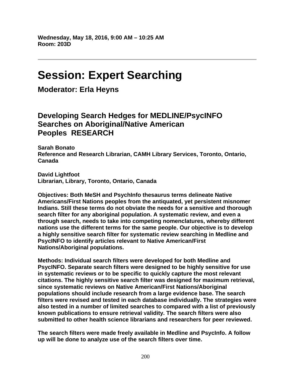# **Session: Expert Searching**

**Moderator: Erla Heyns** 

# **Developing Search Hedges for MEDLINE/PsycINFO Searches on Aboriginal/Native American Peoples RESEARCH**

**Sarah Bonato Reference and Research Librarian, CAMH Library Services, Toronto, Ontario, Canada** 

**David Lightfoot Librarian, Library, Toronto, Ontario, Canada** 

**Objectives: Both MeSH and PsychInfo thesaurus terms delineate Native Americans/First Nations peoples from the antiquated, yet persistent misnomer Indians. Still these terms do not obviate the needs for a sensitive and thorough search filter for any aboriginal population. A systematic review, and even a through search, needs to take into competing nomenclatures, whereby different nations use the different terms for the same people. Our objective is to develop a highly sensitive search filter for systematic review searching in Medline and PsycINFO to identify articles relevant to Native American/First Nations/Aboriginal populations.** 

**Methods: Individual search filters were developed for both Medline and PsycINFO. Separate search filters were designed to be highly sensitive for use in systematic reviews or to be specific to quickly capture the most relevant citations. The highly sensitive search filter was designed for maximum retrieval, since systematic reviews on Native American/First Nations/Aboriginal populations should include research from a large evidence base. The search filters were revised and tested in each database individually. The strategies were also tested in a number of limited searches to compared with a list of previously known publications to ensure retrieval validity. The search filters were also submitted to other health science librarians and researchers for peer reviewed.** 

**The search filters were made freely available in Medline and PsycInfo. A follow up will be done to analyze use of the search filters over time.**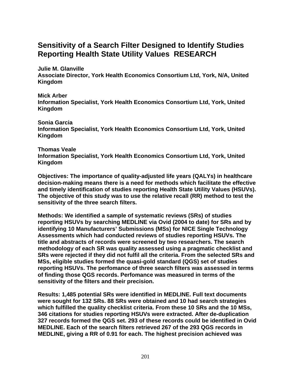# **Sensitivity of a Search Filter Designed to Identify Studies Reporting Health State Utility Values RESEARCH**

**Julie M. Glanville** 

**Associate Director, York Health Economics Consortium Ltd, York, N/A, United Kingdom** 

**Mick Arber** 

**Information Specialist, York Health Economics Consortium Ltd, York, United Kingdom** 

**Sonia Garcia Information Specialist, York Health Economics Consortium Ltd, York, United Kingdom** 

**Thomas Veale** 

**Information Specialist, York Health Economics Consortium Ltd, York, United Kingdom** 

**Objectives: The importance of quality-adjusted life years (QALYs) in healthcare decision-making means there is a need for methods which facilitate the effective and timely identification of studies reporting Health State Utility Values (HSUVs). The objective of this study was to use the relative recall (RR) method to test the sensitivity of the three search filters.** 

**Methods: We identified a sample of systematic reviews (SRs) of studies reporting HSUVs by searching MEDLINE via Ovid (2004 to date) for SRs and by identifying 10 Manufacturers' Submissions (MSs) for NICE Single Technology Assessments which had conducted reviews of studies reporting HSUVs. The title and abstracts of records were screened by two researchers. The search methodology of each SR was quality assessed using a pragmatic checklist and SRs were rejected if they did not fulfil all the criteria. From the selected SRs and MSs, eligible studies formed the quasi-gold standard (QGS) set of studies reporting HSUVs. The perfomance of three search filters was assessed in terms of finding those QGS records. Perfomance was measured in terms of the sensitivity of the filters and their precision.** 

**Results: 1,485 potential SRs were identified in MEDLINE. Full text documents were sought for 132 SRs. 88 SRs were obtained and 10 had search strategies which fulfilled the quality checklist criteria. From these 10 SRs and the 10 MSs, 346 citations for studies reporting HSUVs were extracted. After de-duplication 327 records formed the QGS set. 293 of these records could be identified in Ovid MEDLINE. Each of the search filters retrieved 267 of the 293 QGS records in MEDLINE, giving a RR of 0.91 for each. The highest precision achieved was**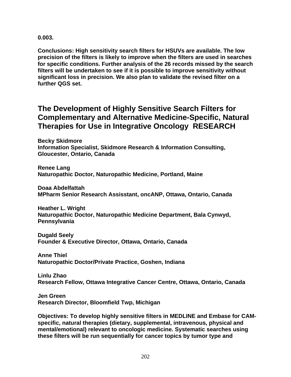**0.003.** 

**Conclusions: High sensitivity search filters for HSUVs are available. The low precision of the filters is likely to improve when the filters are used in searches for specific conditions. Further analysis of the 26 records missed by the search filters will be undertaken to see if it is possible to improve sensitivity without significant loss in precision. We also plan to validate the revised filter on a further QGS set.** 

### **The Development of Highly Sensitive Search Filters for Complementary and Alternative Medicine-Specific, Natural Therapies for Use in Integrative Oncology RESEARCH**

**Becky Skidmore Information Specialist, Skidmore Research & Information Consulting, Gloucester, Ontario, Canada** 

**Renee Lang Naturopathic Doctor, Naturopathic Medicine, Portland, Maine** 

**Doaa Abdelfattah MPharm Senior Research Assisstant, oncANP, Ottawa, Ontario, Canada** 

**Heather L. Wright Naturopathic Doctor, Naturopathic Medicine Department, Bala Cynwyd, Pennsylvania** 

**Dugald Seely Founder & Executive Director, Ottawa, Ontario, Canada** 

**Anne Thiel Naturopathic Doctor/Private Practice, Goshen, Indiana** 

**Linlu Zhao Research Fellow, Ottawa Integrative Cancer Centre, Ottawa, Ontario, Canada** 

**Jen Green Research Director, Bloomfield Twp, Michigan** 

**Objectives: To develop highly sensitive filters in MEDLINE and Embase for CAMspecific, natural therapies (dietary, supplemental, intravenous, physical and mental/emotional) relevant to oncologic medicine. Systematic searches using these filters will be run sequentially for cancer topics by tumor type and**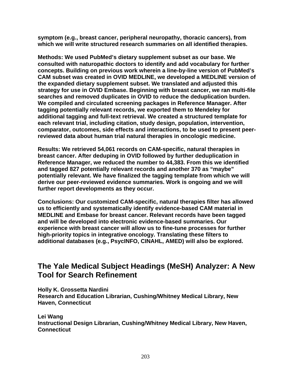**symptom (e.g., breast cancer, peripheral neuropathy, thoracic cancers), from which we will write structured research summaries on all identified therapies.** 

**Methods: We used PubMed's dietary supplement subset as our base. We consulted with naturopathic doctors to identify and add vocabulary for further concepts. Building on previous work wherein a line-by-line version of PubMed's CAM subset was created in OVID MEDLINE, we developed a MEDLINE version of the expanded dietary supplement subset. We translated and adjusted this strategy for use in OVID Embase. Beginning with breast cancer, we ran multi-file searches and removed duplicates in OVID to reduce the deduplication burden. We compiled and circulated screening packages in Reference Manager. After tagging potentially relevant records, we exported them to Mendeley for additional tagging and full-text retrieval. We created a structured template for each relevant trial, including citation, study design, population, intervention, comparator, outcomes, side effects and interactions, to be used to present peerreviewed data about human trial natural therapies in oncologic medicine.** 

**Results: We retrieved 54,061 records on CAM-specific, natural therapies in breast cancer. After deduping in OVID followed by further deduplication in Reference Manager, we reduced the number to 44,383. From this we identified and tagged 827 potentially relevant records and another 370 as "maybe" potentially relevant. We have finalized the tagging template from which we will derive our peer-reviewed evidence summaries. Work is ongoing and we will further report developments as they occur.** 

**Conclusions: Our customized CAM-specific, natural therapies filter has allowed us to efficiently and systematically identify evidence-based CAM material in MEDLINE and Embase for breast cancer. Relevant records have been tagged and will be developed into electronic evidence-based summaries. Our experience with breast cancer will allow us to fine-tune processes for further high-priority topics in integrative oncology. Translating these filters to additional databases (e.g., PsycINFO, CINAHL, AMED) will also be explored.** 

# **The Yale Medical Subject Headings (MeSH) Analyzer: A New Tool for Search Refinement**

**Holly K. Grossetta Nardini Research and Education Librarian, Cushing/Whitney Medical Library, New Haven, Connecticut** 

**Lei Wang Instructional Design Librarian, Cushing/Whitney Medical Library, New Haven, Connecticut**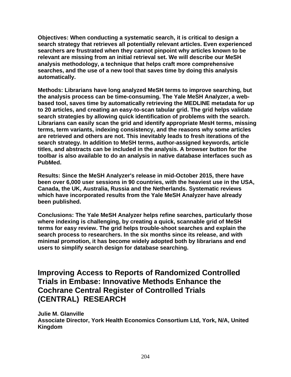**Objectives: When conducting a systematic search, it is critical to design a search strategy that retrieves all potentially relevant articles. Even experienced searchers are frustrated when they cannot pinpoint why articles known to be relevant are missing from an initial retrieval set. We will describe our MeSH analysis methodology, a technique that helps craft more comprehensive searches, and the use of a new tool that saves time by doing this analysis automatically.** 

**Methods: Librarians have long analyzed MeSH terms to improve searching, but the analysis process can be time-consuming. The Yale MeSH Analyzer, a webbased tool, saves time by automatically retrieving the MEDLINE metadata for up to 20 articles, and creating an easy-to-scan tabular grid. The grid helps validate search strategies by allowing quick identification of problems with the search. Librarians can easily scan the grid and identify appropriate MesH terms, missing terms, term variants, indexing consistency, and the reasons why some articles are retrieved and others are not. This inevitably leads to fresh iterations of the search strategy. In addition to MeSH terms, author-assigned keywords, article titles, and abstracts can be included in the analysis. A browser button for the toolbar is also available to do an analysis in native database interfaces such as PubMed.** 

**Results: Since the MeSH Analyzer's release in mid-October 2015, there have been over 6,000 user sessions in 90 countries, with the heaviest use in the USA, Canada, the UK, Australia, Russia and the Netherlands. Systematic reviews which have incorporated results from the Yale MeSH Analyzer have already been published.** 

**Conclusions: The Yale MeSH Analyzer helps refine searches, particularly those where indexing is challenging, by creating a quick, scannable grid of MeSH terms for easy review. The grid helps trouble-shoot searches and explain the search process to researchers. In the six months since its release, and with minimal promotion, it has become widely adopted both by librarians and end users to simplify search design for database searching.** 

### **Improving Access to Reports of Randomized Controlled Trials in Embase: Innovative Methods Enhance the Cochrane Central Register of Controlled Trials (CENTRAL) RESEARCH**

**Julie M. Glanville Associate Director, York Health Economics Consortium Ltd, York, N/A, United Kingdom**